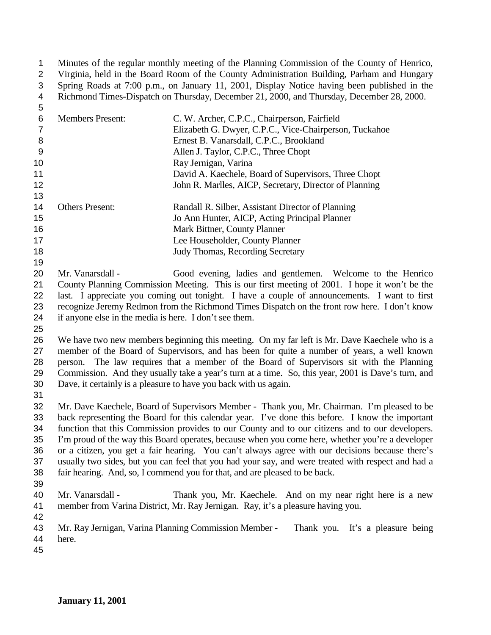Minutes of the regular monthly meeting of the Planning Commission of the County of Henrico, Virginia, held in the Board Room of the County Administration Building, Parham and Hungary Spring Roads at 7:00 p.m., on January 11, 2001, Display Notice having been published in the Richmond Times-Dispatch on Thursday, December 21, 2000, and Thursday, December 28, 2000.

| ັ  |                         |                                                        |
|----|-------------------------|--------------------------------------------------------|
| 6  | <b>Members Present:</b> | C. W. Archer, C.P.C., Chairperson, Fairfield           |
|    |                         | Elizabeth G. Dwyer, C.P.C., Vice-Chairperson, Tuckahoe |
| 8  |                         | Ernest B. Vanarsdall, C.P.C., Brookland                |
| 9  |                         | Allen J. Taylor, C.P.C., Three Chopt                   |
| 10 |                         | Ray Jernigan, Varina                                   |
| 11 |                         | David A. Kaechele, Board of Supervisors, Three Chopt   |
| 12 |                         | John R. Marlles, AICP, Secretary, Director of Planning |
| 13 |                         |                                                        |
| 14 | <b>Others Present:</b>  | Randall R. Silber, Assistant Director of Planning      |
| 15 |                         | Jo Ann Hunter, AICP, Acting Principal Planner          |
| 16 |                         | Mark Bittner, County Planner                           |
| 17 |                         | Lee Householder, County Planner                        |
| 18 |                         | <b>Judy Thomas, Recording Secretary</b>                |

 Mr. Vanarsdall - Good evening, ladies and gentlemen. Welcome to the Henrico County Planning Commission Meeting. This is our first meeting of 2001. I hope it won't be the last. I appreciate you coming out tonight. I have a couple of announcements. I want to first recognize Jeremy Redmon from the Richmond Times Dispatch on the front row here. I don't know if anyone else in the media is here. I don't see them.

 We have two new members beginning this meeting. On my far left is Mr. Dave Kaechele who is a member of the Board of Supervisors, and has been for quite a number of years, a well known person. The law requires that a member of the Board of Supervisors sit with the Planning Commission. And they usually take a year's turn at a time. So, this year, 2001 is Dave's turn, and Dave, it certainly is a pleasure to have you back with us again.

 Mr. Dave Kaechele, Board of Supervisors Member - Thank you, Mr. Chairman. I'm pleased to be back representing the Board for this calendar year. I've done this before. I know the important function that this Commission provides to our County and to our citizens and to our developers. I'm proud of the way this Board operates, because when you come here, whether you're a developer or a citizen, you get a fair hearing. You can't always agree with our decisions because there's usually two sides, but you can feel that you had your say, and were treated with respect and had a fair hearing. And, so, I commend you for that, and are pleased to be back.

- 
- Mr. Vanarsdall Thank you, Mr. Kaechele. And on my near right here is a new member from Varina District, Mr. Ray Jernigan. Ray, it's a pleasure having you.
- 

 Mr. Ray Jernigan, Varina Planning Commission Member - Thank you. It's a pleasure being here.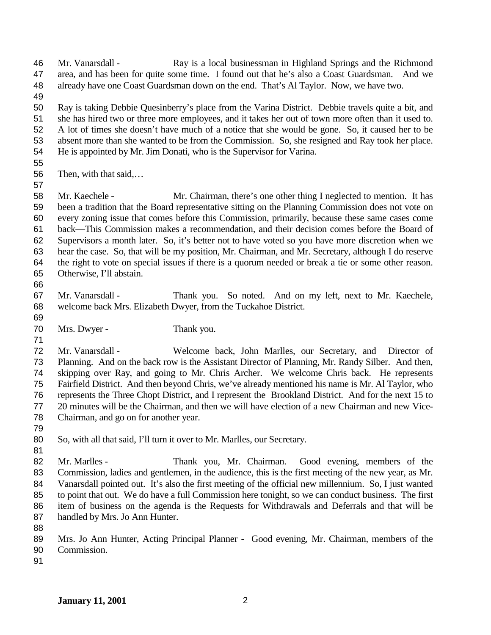Mr. Vanarsdall - Ray is a local businessman in Highland Springs and the Richmond area, and has been for quite some time. I found out that he's also a Coast Guardsman. And we already have one Coast Guardsman down on the end. That's Al Taylor. Now, we have two.

 Ray is taking Debbie Quesinberry's place from the Varina District. Debbie travels quite a bit, and she has hired two or three more employees, and it takes her out of town more often than it used to. A lot of times she doesn't have much of a notice that she would be gone. So, it caused her to be absent more than she wanted to be from the Commission. So, she resigned and Ray took her place. He is appointed by Mr. Jim Donati, who is the Supervisor for Varina.

Then, with that said,…

 Mr. Kaechele - Mr. Chairman, there's one other thing I neglected to mention. It has been a tradition that the Board representative sitting on the Planning Commission does not vote on every zoning issue that comes before this Commission, primarily, because these same cases come back—This Commission makes a recommendation, and their decision comes before the Board of Supervisors a month later. So, it's better not to have voted so you have more discretion when we hear the case. So, that will be my position, Mr. Chairman, and Mr. Secretary, although I do reserve the right to vote on special issues if there is a quorum needed or break a tie or some other reason. Otherwise, I'll abstain.

 Mr. Vanarsdall - Thank you. So noted. And on my left, next to Mr. Kaechele, welcome back Mrs. Elizabeth Dwyer, from the Tuckahoe District.

Mrs. Dwyer - Thank you.

 Mr. Vanarsdall - Welcome back, John Marlles, our Secretary, and Director of Planning. And on the back row is the Assistant Director of Planning, Mr. Randy Silber. And then, skipping over Ray, and going to Mr. Chris Archer. We welcome Chris back. He represents Fairfield District. And then beyond Chris, we've already mentioned his name is Mr. Al Taylor, who represents the Three Chopt District, and I represent the Brookland District. And for the next 15 to 20 minutes will be the Chairman, and then we will have election of a new Chairman and new Vice-Chairman, and go on for another year.

So, with all that said, I'll turn it over to Mr. Marlles, our Secretary.

 Mr. Marlles - Thank you, Mr. Chairman. Good evening, members of the Commission, ladies and gentlemen, in the audience, this is the first meeting of the new year, as Mr. Vanarsdall pointed out. It's also the first meeting of the official new millennium. So, I just wanted to point that out. We do have a full Commission here tonight, so we can conduct business. The first item of business on the agenda is the Requests for Withdrawals and Deferrals and that will be handled by Mrs. Jo Ann Hunter.

 Mrs. Jo Ann Hunter, Acting Principal Planner - Good evening, Mr. Chairman, members of the Commission.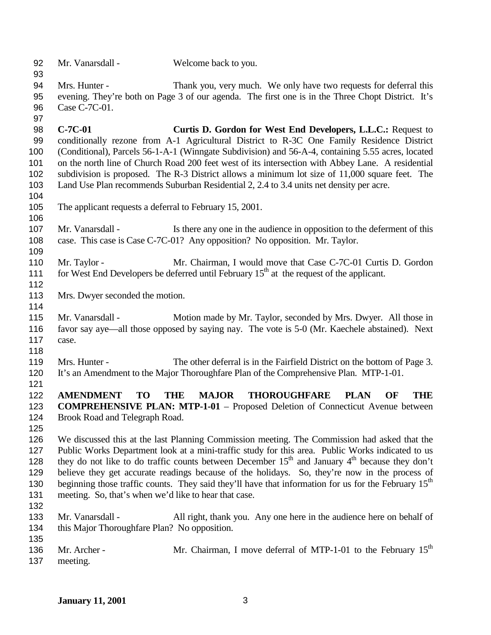- Mr. Vanarsdall Welcome back to you.
- Mrs. Hunter Thank you, very much. We only have two requests for deferral this evening. They're both on Page 3 of our agenda. The first one is in the Three Chopt District. It's Case C-7C-01.
- **C-7C-01 Curtis D. Gordon for West End Developers, L.L.C.:** Request to conditionally rezone from A-1 Agricultural District to R-3C One Family Residence District (Conditional), Parcels 56-1-A-1 (Winngate Subdivision) and 56-A-4, containing 5.55 acres, located on the north line of Church Road 200 feet west of its intersection with Abbey Lane. A residential subdivision is proposed. The R-3 District allows a minimum lot size of 11,000 square feet. The Land Use Plan recommends Suburban Residential 2, 2.4 to 3.4 units net density per acre.
- The applicant requests a deferral to February 15, 2001.
- 107 Mr. Vanarsdall Is there any one in the audience in opposition to the deferment of this case. This case is Case C-7C-01? Any opposition? No opposition. Mr. Taylor.
- Mr. Taylor Mr. Chairman, I would move that Case C-7C-01 Curtis D. Gordon for West End Developers be deferred until February  $15<sup>th</sup>$  at the request of the applicant.
- Mrs. Dwyer seconded the motion.
- 

 Mr. Vanarsdall - Motion made by Mr. Taylor, seconded by Mrs. Dwyer. All those in favor say aye—all those opposed by saying nay. The vote is 5-0 (Mr. Kaechele abstained). Next case.

 Mrs. Hunter - The other deferral is in the Fairfield District on the bottom of Page 3. It's an Amendment to the Major Thoroughfare Plan of the Comprehensive Plan. MTP-1-01.

 **AMENDMENT TO THE MAJOR THOROUGHFARE PLAN OF THE COMPREHENSIVE PLAN: MTP-1-01** – Proposed Deletion of Connecticut Avenue between Brook Road and Telegraph Road.

 We discussed this at the last Planning Commission meeting. The Commission had asked that the Public Works Department look at a mini-traffic study for this area. Public Works indicated to us 128 they do not like to do traffic counts between December  $15<sup>th</sup>$  and January  $4<sup>th</sup>$  because they don't believe they get accurate readings because of the holidays. So, they're now in the process of 130 beginning those traffic counts. They said they'll have that information for us for the February 15<sup>th</sup> meeting. So, that's when we'd like to hear that case. 

- Mr. Vanarsdall All right, thank you. Any one here in the audience here on behalf of this Major Thoroughfare Plan? No opposition.
- 136 Mr. Archer - Mr. Chairman, I move deferral of MTP-1-01 to the February 15<sup>th</sup> meeting.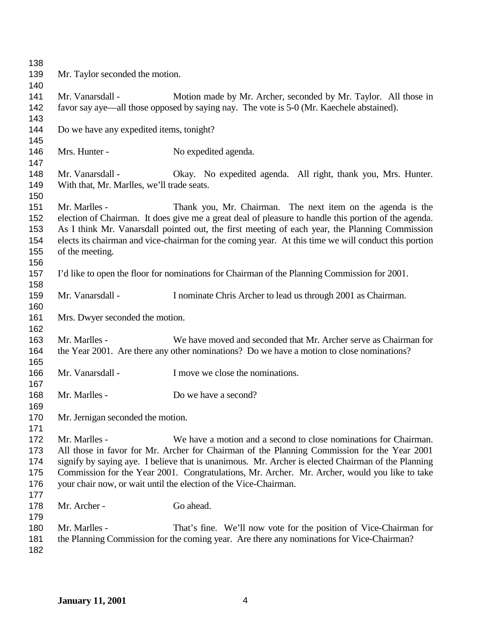| 138<br>139<br>140                      | Mr. Taylor seconded the motion.                                |                                                                                                                                                                                                                                                                                                                                                                                                                                            |
|----------------------------------------|----------------------------------------------------------------|--------------------------------------------------------------------------------------------------------------------------------------------------------------------------------------------------------------------------------------------------------------------------------------------------------------------------------------------------------------------------------------------------------------------------------------------|
| 141<br>142<br>143                      | Mr. Vanarsdall -                                               | Motion made by Mr. Archer, seconded by Mr. Taylor. All those in<br>favor say aye—all those opposed by saying nay. The vote is 5-0 (Mr. Kaechele abstained).                                                                                                                                                                                                                                                                                |
| 144<br>145                             | Do we have any expedited items, tonight?                       |                                                                                                                                                                                                                                                                                                                                                                                                                                            |
| 146<br>147                             | Mrs. Hunter -                                                  | No expedited agenda.                                                                                                                                                                                                                                                                                                                                                                                                                       |
| 148<br>149<br>150                      | Mr. Vanarsdall -<br>With that, Mr. Marlles, we'll trade seats. | Okay. No expedited agenda. All right, thank you, Mrs. Hunter.                                                                                                                                                                                                                                                                                                                                                                              |
| 151<br>152<br>153<br>154<br>155<br>156 | Mr. Marlles -<br>of the meeting.                               | Thank you, Mr. Chairman. The next item on the agenda is the<br>election of Chairman. It does give me a great deal of pleasure to handle this portion of the agenda.<br>As I think Mr. Vanarsdall pointed out, the first meeting of each year, the Planning Commission<br>elects its chairman and vice-chairman for the coming year. At this time we will conduct this portion                                                              |
| 157<br>158                             |                                                                | I'd like to open the floor for nominations for Chairman of the Planning Commission for 2001.                                                                                                                                                                                                                                                                                                                                               |
| 159<br>160                             | Mr. Vanarsdall -                                               | I nominate Chris Archer to lead us through 2001 as Chairman.                                                                                                                                                                                                                                                                                                                                                                               |
| 161<br>162                             | Mrs. Dwyer seconded the motion.                                |                                                                                                                                                                                                                                                                                                                                                                                                                                            |
| 163<br>164<br>165                      | Mr. Marlles -                                                  | We have moved and seconded that Mr. Archer serve as Chairman for<br>the Year 2001. Are there any other nominations? Do we have a motion to close nominations?                                                                                                                                                                                                                                                                              |
| 166<br>167                             | Mr. Vanarsdall -                                               | I move we close the nominations.                                                                                                                                                                                                                                                                                                                                                                                                           |
| 168<br>169                             | Mr. Marlles -                                                  | Do we have a second?                                                                                                                                                                                                                                                                                                                                                                                                                       |
| 170<br>171                             | Mr. Jernigan seconded the motion.                              |                                                                                                                                                                                                                                                                                                                                                                                                                                            |
| 172<br>173<br>174<br>175<br>176<br>177 | Mr. Marlles -                                                  | We have a motion and a second to close nominations for Chairman.<br>All those in favor for Mr. Archer for Chairman of the Planning Commission for the Year 2001<br>signify by saying aye. I believe that is unanimous. Mr. Archer is elected Chairman of the Planning<br>Commission for the Year 2001. Congratulations, Mr. Archer. Mr. Archer, would you like to take<br>your chair now, or wait until the election of the Vice-Chairman. |
| 178<br>179                             | Mr. Archer -                                                   | Go ahead.                                                                                                                                                                                                                                                                                                                                                                                                                                  |
| 180<br>181<br>182                      | Mr. Marlles -                                                  | That's fine. We'll now vote for the position of Vice-Chairman for<br>the Planning Commission for the coming year. Are there any nominations for Vice-Chairman?                                                                                                                                                                                                                                                                             |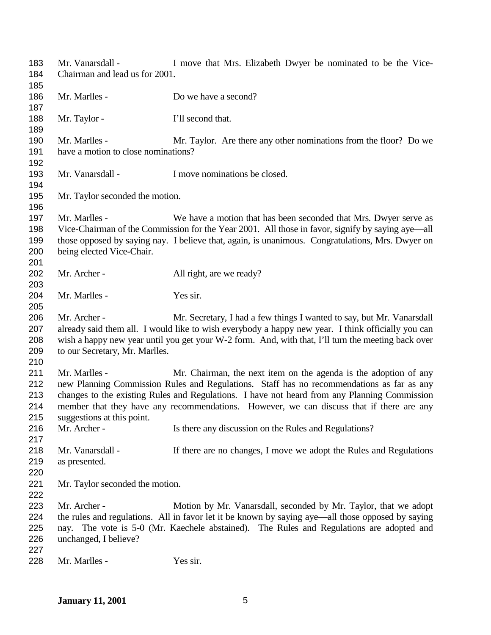| 183 | Mr. Vanarsdall -                                                                                   | I move that Mrs. Elizabeth Dwyer be nominated to be the Vice-                                      |
|-----|----------------------------------------------------------------------------------------------------|----------------------------------------------------------------------------------------------------|
| 184 | Chairman and lead us for 2001.                                                                     |                                                                                                    |
| 185 |                                                                                                    |                                                                                                    |
| 186 | Mr. Marlles -                                                                                      | Do we have a second?                                                                               |
| 187 |                                                                                                    |                                                                                                    |
| 188 | Mr. Taylor -                                                                                       | I'll second that.                                                                                  |
| 189 |                                                                                                    |                                                                                                    |
| 190 | Mr. Marlles -                                                                                      | Mr. Taylor. Are there any other nominations from the floor? Do we                                  |
| 191 | have a motion to close nominations?                                                                |                                                                                                    |
| 192 |                                                                                                    |                                                                                                    |
| 193 | Mr. Vanarsdall -                                                                                   | I move nominations be closed.                                                                      |
| 194 |                                                                                                    |                                                                                                    |
| 195 | Mr. Taylor seconded the motion.                                                                    |                                                                                                    |
| 196 |                                                                                                    |                                                                                                    |
| 197 | Mr. Marlles -                                                                                      | We have a motion that has been seconded that Mrs. Dwyer serve as                                   |
| 198 |                                                                                                    | Vice-Chairman of the Commission for the Year 2001. All those in favor, signify by saying aye—all   |
| 199 |                                                                                                    | those opposed by saying nay. I believe that, again, is unanimous. Congratulations, Mrs. Dwyer on   |
| 200 | being elected Vice-Chair.                                                                          |                                                                                                    |
| 201 |                                                                                                    |                                                                                                    |
| 202 | Mr. Archer -                                                                                       | All right, are we ready?                                                                           |
| 203 |                                                                                                    |                                                                                                    |
| 204 | Mr. Marlles -                                                                                      | Yes sir.                                                                                           |
| 205 |                                                                                                    |                                                                                                    |
| 206 | Mr. Archer -                                                                                       | Mr. Secretary, I had a few things I wanted to say, but Mr. Vanarsdall                              |
| 207 |                                                                                                    | already said them all. I would like to wish everybody a happy new year. I think officially you can |
| 208 | wish a happy new year until you get your W-2 form. And, with that, I'll turn the meeting back over |                                                                                                    |
| 209 | to our Secretary, Mr. Marlles.                                                                     |                                                                                                    |
| 210 |                                                                                                    |                                                                                                    |
| 211 | Mr. Marlles -                                                                                      | Mr. Chairman, the next item on the agenda is the adoption of any                                   |
| 212 |                                                                                                    | new Planning Commission Rules and Regulations. Staff has no recommendations as far as any          |
| 213 |                                                                                                    | changes to the existing Rules and Regulations. I have not heard from any Planning Commission       |
| 214 |                                                                                                    | member that they have any recommendations. However, we can discuss that if there are any           |
| 215 | suggestions at this point.                                                                         |                                                                                                    |
| 216 | Mr. Archer -                                                                                       | Is there any discussion on the Rules and Regulations?                                              |
| 217 |                                                                                                    |                                                                                                    |
| 218 | Mr. Vanarsdall -                                                                                   | If there are no changes, I move we adopt the Rules and Regulations                                 |
| 219 | as presented.                                                                                      |                                                                                                    |
| 220 |                                                                                                    |                                                                                                    |
| 221 | Mr. Taylor seconded the motion.                                                                    |                                                                                                    |
| 222 |                                                                                                    |                                                                                                    |
| 223 | Mr. Archer -                                                                                       | Motion by Mr. Vanarsdall, seconded by Mr. Taylor, that we adopt                                    |
| 224 |                                                                                                    | the rules and regulations. All in favor let it be known by saying aye—all those opposed by saying  |
| 225 |                                                                                                    | nay. The vote is 5-0 (Mr. Kaechele abstained). The Rules and Regulations are adopted and           |
| 226 | unchanged, I believe?                                                                              |                                                                                                    |
| 227 |                                                                                                    |                                                                                                    |
| 228 | Mr. Marlles -                                                                                      | Yes sir.                                                                                           |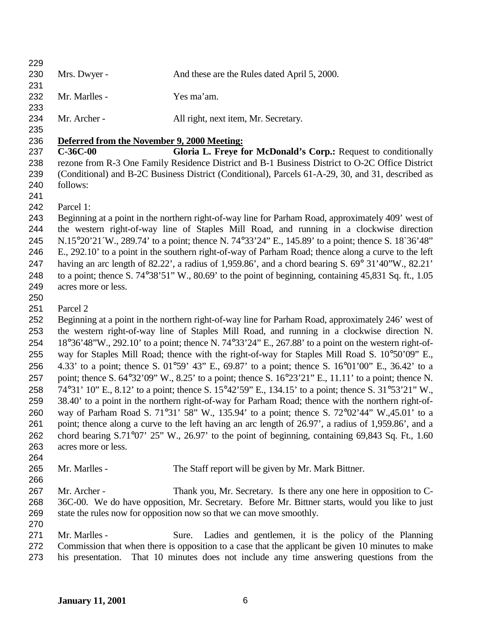230 Mrs. Dwyer - And these are the Rules dated April 5, 2000. Mr. Marlles - Yes ma'am. Mr. Archer - All right, next item, Mr. Secretary. **Deferred from the November 9, 2000 Meeting: C-36C-00 Gloria L. Freye for McDonald's Corp.:** Request to conditionally rezone from R-3 One Family Residence District and B-1 Business District to O-2C Office District (Conditional) and B-2C Business District (Conditional), Parcels 61-A-29, 30, and 31, described as follows: Parcel 1: Beginning at a point in the northern right-of-way line for Parham Road, approximately 409' west of the western right-of-way line of Staples Mill Road, and running in a clockwise direction N.15°20'21´W., 289.74' to a point; thence N. 74°33'24" E., 145.89' to a point; thence S. 18`36'48" E., 292.10' to a point in the southern right-of-way of Parham Road; thence along a curve to the left having an arc length of 82.22', a radius of 1,959.86', and a chord bearing S. 69° 31'40"W., 82.21' to a point; thence S. 74°38'51" W., 80.69' to the point of beginning, containing 45,831 Sq. ft., 1.05 acres more or less. Parcel 2 Beginning at a point in the northern right-of-way line for Parham Road, approximately 246' west of the western right-of-way line of Staples Mill Road, and running in a clockwise direction N. 18°36'48"W., 292.10' to a point; thence N. 74°33'24" E., 267.88' to a point on the western right-of- way for Staples Mill Road; thence with the right-of-way for Staples Mill Road S. 10°50'09" E., 4.33' to a point; thence S. 01°59' 43" E., 69.87' to a point; thence S. 16°01'00" E., 36.42' to a point; thence S. 64°32'09" W., 8.25' to a point; thence S. 16°23'21" E., 11.11' to a point; thence N. 74°31' 10" E., 8.12' to a point; thence S. 15°42'59" E., 134.15' to a point; thence S. 31°53'21" W., 38.40' to a point in the northern right-of-way for Parham Road; thence with the northern right-of- way of Parham Road S. 71°31' 58" W., 135.94' to a point; thence S. 72°02'44" W.,45.01' to a point; thence along a curve to the left having an arc length of 26.97', a radius of 1,959.86', and a chord bearing S.71°07' 25" W., 26.97' to the point of beginning, containing 69,843 Sq. Ft., 1.60 acres more or less. Mr. Marlles - The Staff report will be given by Mr. Mark Bittner. Mr. Archer - Thank you, Mr. Secretary. Is there any one here in opposition to C- 36C-00. We do have opposition, Mr. Secretary. Before Mr. Bittner starts, would you like to just state the rules now for opposition now so that we can move smoothly. Mr. Marlles - Sure. Ladies and gentlemen, it is the policy of the Planning Commission that when there is opposition to a case that the applicant be given 10 minutes to make his presentation. That 10 minutes does not include any time answering questions from the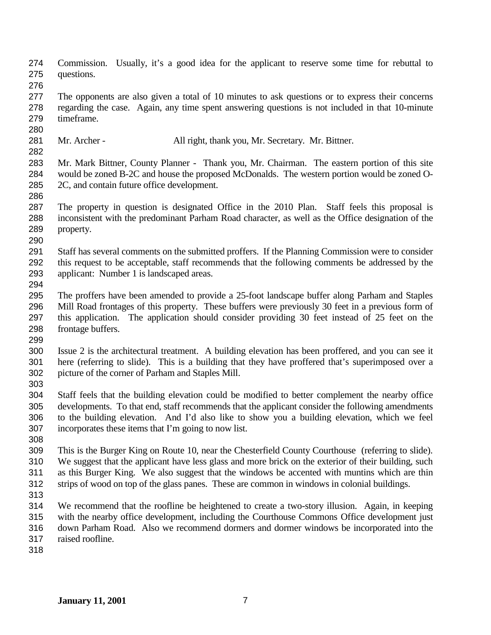Commission. Usually, it's a good idea for the applicant to reserve some time for rebuttal to questions.

 The opponents are also given a total of 10 minutes to ask questions or to express their concerns regarding the case. Again, any time spent answering questions is not included in that 10-minute timeframe.

- 281 Mr. Archer All right, thank you, Mr. Secretary. Mr. Bittner.
- 

 Mr. Mark Bittner, County Planner - Thank you, Mr. Chairman. The eastern portion of this site would be zoned B-2C and house the proposed McDonalds. The western portion would be zoned O-2C, and contain future office development.

- The property in question is designated Office in the 2010 Plan. Staff feels this proposal is inconsistent with the predominant Parham Road character, as well as the Office designation of the property.
- Staff has several comments on the submitted proffers. If the Planning Commission were to consider this request to be acceptable, staff recommends that the following comments be addressed by the applicant: Number 1 is landscaped areas.
- 
- The proffers have been amended to provide a 25-foot landscape buffer along Parham and Staples Mill Road frontages of this property. These buffers were previously 30 feet in a previous form of this application. The application should consider providing 30 feet instead of 25 feet on the frontage buffers.
- 
- Issue 2 is the architectural treatment. A building elevation has been proffered, and you can see it here (referring to slide). This is a building that they have proffered that's superimposed over a picture of the corner of Parham and Staples Mill.
- 
- Staff feels that the building elevation could be modified to better complement the nearby office developments. To that end, staff recommends that the applicant consider the following amendments to the building elevation. And I'd also like to show you a building elevation, which we feel incorporates these items that I'm going to now list.
- 

 This is the Burger King on Route 10, near the Chesterfield County Courthouse (referring to slide). We suggest that the applicant have less glass and more brick on the exterior of their building, such as this Burger King. We also suggest that the windows be accented with muntins which are thin strips of wood on top of the glass panes. These are common in windows in colonial buildings.

 We recommend that the roofline be heightened to create a two-story illusion. Again, in keeping with the nearby office development, including the Courthouse Commons Office development just down Parham Road. Also we recommend dormers and dormer windows be incorporated into the raised roofline.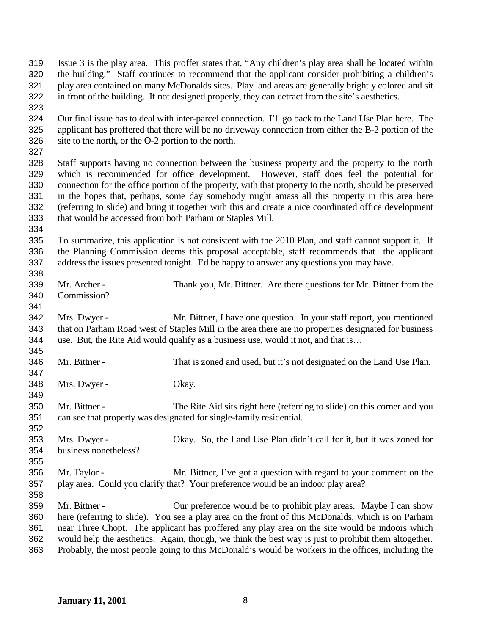Issue 3 is the play area. This proffer states that, "Any children's play area shall be located within the building." Staff continues to recommend that the applicant consider prohibiting a children's play area contained on many McDonalds sites. Play land areas are generally brightly colored and sit in front of the building. If not designed properly, they can detract from the site's aesthetics. Our final issue has to deal with inter-parcel connection. I'll go back to the Land Use Plan here. The applicant has proffered that there will be no driveway connection from either the B-2 portion of the site to the north, or the O-2 portion to the north. Staff supports having no connection between the business property and the property to the north which is recommended for office development. However, staff does feel the potential for connection for the office portion of the property, with that property to the north, should be preserved in the hopes that, perhaps, some day somebody might amass all this property in this area here (referring to slide) and bring it together with this and create a nice coordinated office development that would be accessed from both Parham or Staples Mill. To summarize, this application is not consistent with the 2010 Plan, and staff cannot support it. If the Planning Commission deems this proposal acceptable, staff recommends that the applicant address the issues presented tonight. I'd be happy to answer any questions you may have. Mr. Archer - Thank you, Mr. Bittner. Are there questions for Mr. Bittner from the Commission? Mrs. Dwyer - Mr. Bittner, I have one question. In your staff report, you mentioned that on Parham Road west of Staples Mill in the area there are no properties designated for business use. But, the Rite Aid would qualify as a business use, would it not, and that is… Mr. Bittner - That is zoned and used, but it's not designated on the Land Use Plan. Mrs. Dwyer - Okay. Mr. Bittner - The Rite Aid sits right here (referring to slide) on this corner and you can see that property was designated for single-family residential. Mrs. Dwyer - Okay. So, the Land Use Plan didn't call for it, but it was zoned for business nonetheless? Mr. Taylor - Mr. Bittner, I've got a question with regard to your comment on the play area. Could you clarify that? Your preference would be an indoor play area? Mr. Bittner - Our preference would be to prohibit play areas. Maybe I can show here (referring to slide). You see a play area on the front of this McDonalds, which is on Parham near Three Chopt. The applicant has proffered any play area on the site would be indoors which would help the aesthetics. Again, though, we think the best way is just to prohibit them altogether. Probably, the most people going to this McDonald's would be workers in the offices, including the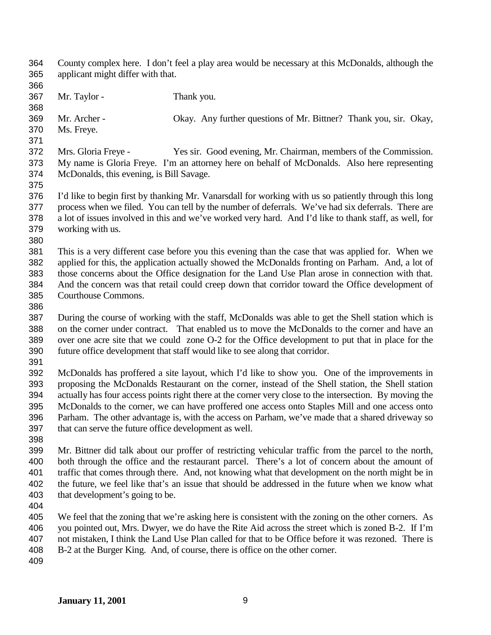County complex here. I don't feel a play area would be necessary at this McDonalds, although the applicant might differ with that. Mr. Taylor - Thank you. Mr. Archer - Okay. Any further questions of Mr. Bittner? Thank you, sir. Okay, Ms. Freye. Mrs. Gloria Freye - Yes sir. Good evening, Mr. Chairman, members of the Commission. My name is Gloria Freye. I'm an attorney here on behalf of McDonalds. Also here representing McDonalds, this evening, is Bill Savage. I'd like to begin first by thanking Mr. Vanarsdall for working with us so patiently through this long process when we filed. You can tell by the number of deferrals. We've had six deferrals. There are a lot of issues involved in this and we've worked very hard. And I'd like to thank staff, as well, for working with us. This is a very different case before you this evening than the case that was applied for. When we applied for this, the application actually showed the McDonalds fronting on Parham. And, a lot of those concerns about the Office designation for the Land Use Plan arose in connection with that. And the concern was that retail could creep down that corridor toward the Office development of Courthouse Commons. During the course of working with the staff, McDonalds was able to get the Shell station which is on the corner under contract. That enabled us to move the McDonalds to the corner and have an over one acre site that we could zone O-2 for the Office development to put that in place for the future office development that staff would like to see along that corridor. McDonalds has proffered a site layout, which I'd like to show you. One of the improvements in proposing the McDonalds Restaurant on the corner, instead of the Shell station, the Shell station actually has four access points right there at the corner very close to the intersection. By moving the McDonalds to the corner, we can have proffered one access onto Staples Mill and one access onto Parham. The other advantage is, with the access on Parham, we've made that a shared driveway so that can serve the future office development as well. Mr. Bittner did talk about our proffer of restricting vehicular traffic from the parcel to the north, both through the office and the restaurant parcel. There's a lot of concern about the amount of traffic that comes through there. And, not knowing what that development on the north might be in the future, we feel like that's an issue that should be addressed in the future when we know what that development's going to be. We feel that the zoning that we're asking here is consistent with the zoning on the other corners. As you pointed out, Mrs. Dwyer, we do have the Rite Aid across the street which is zoned B-2. If I'm not mistaken, I think the Land Use Plan called for that to be Office before it was rezoned. There is B-2 at the Burger King. And, of course, there is office on the other corner.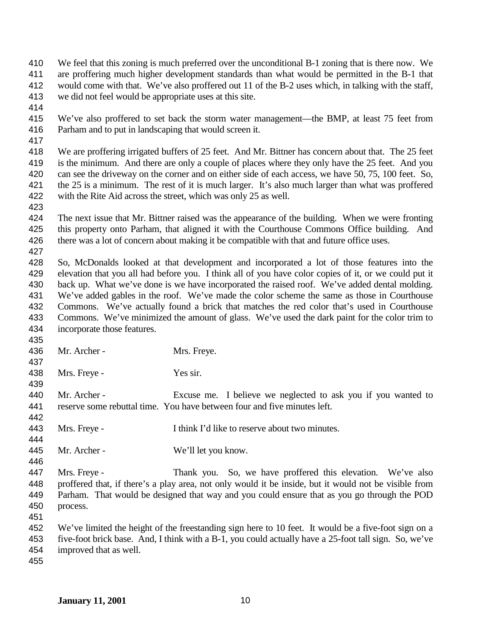- We feel that this zoning is much preferred over the unconditional B-1 zoning that is there now. We
- are proffering much higher development standards than what would be permitted in the B-1 that
- would come with that. We've also proffered out 11 of the B-2 uses which, in talking with the staff, we did not feel would be appropriate uses at this site.
- 
- We've also proffered to set back the storm water management—the BMP, at least 75 feet from Parham and to put in landscaping that would screen it.
- 

 We are proffering irrigated buffers of 25 feet. And Mr. Bittner has concern about that. The 25 feet is the minimum. And there are only a couple of places where they only have the 25 feet. And you can see the driveway on the corner and on either side of each access, we have 50, 75, 100 feet. So, the 25 is a minimum. The rest of it is much larger. It's also much larger than what was proffered with the Rite Aid across the street, which was only 25 as well.

 The next issue that Mr. Bittner raised was the appearance of the building. When we were fronting this property onto Parham, that aligned it with the Courthouse Commons Office building. And there was a lot of concern about making it be compatible with that and future office uses.

 So, McDonalds looked at that development and incorporated a lot of those features into the elevation that you all had before you. I think all of you have color copies of it, or we could put it back up. What we've done is we have incorporated the raised roof. We've added dental molding. We've added gables in the roof. We've made the color scheme the same as those in Courthouse Commons. We've actually found a brick that matches the red color that's used in Courthouse Commons. We've minimized the amount of glass. We've used the dark paint for the color trim to incorporate those features.

- 436 Mr. Archer - Mrs. Freye.
- Mrs. Freye Yes sir.
- Mr. Archer Excuse me. I believe we neglected to ask you if you wanted to reserve some rebuttal time. You have between four and five minutes left.
- Mrs. Freye I think I'd like to reserve about two minutes.
- Mr. Archer - We'll let you know.
- Mrs. Freye - Thank you. So, we have proffered this elevation. We've also proffered that, if there's a play area, not only would it be inside, but it would not be visible from Parham. That would be designed that way and you could ensure that as you go through the POD process.
- 
- We've limited the height of the freestanding sign here to 10 feet. It would be a five-foot sign on a five-foot brick base. And, I think with a B-1, you could actually have a 25-foot tall sign. So, we've improved that as well.
-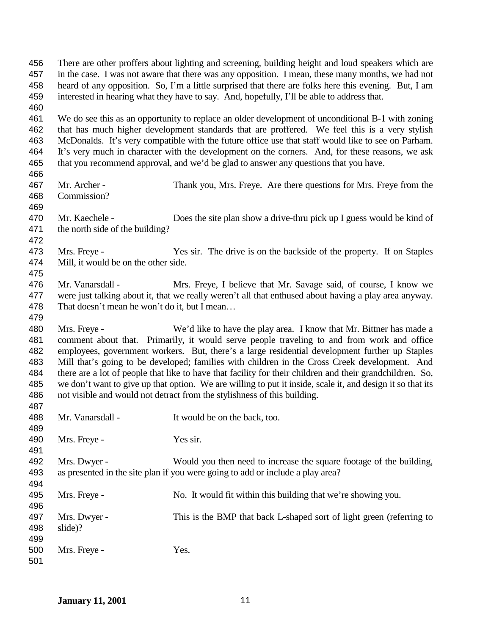| 456 |                                                                                                            | There are other proffers about lighting and screening, building height and loud speakers which are    |  |
|-----|------------------------------------------------------------------------------------------------------------|-------------------------------------------------------------------------------------------------------|--|
| 457 | in the case. I was not aware that there was any opposition. I mean, these many months, we had not          |                                                                                                       |  |
| 458 | heard of any opposition. So, I'm a little surprised that there are folks here this evening. But, I am      |                                                                                                       |  |
| 459 |                                                                                                            | interested in hearing what they have to say. And, hopefully, I'll be able to address that.            |  |
| 460 |                                                                                                            |                                                                                                       |  |
| 461 |                                                                                                            | We do see this as an opportunity to replace an older development of unconditional B-1 with zoning     |  |
| 462 |                                                                                                            | that has much higher development standards that are proffered. We feel this is a very stylish         |  |
| 463 |                                                                                                            | McDonalds. It's very compatible with the future office use that staff would like to see on Parham.    |  |
| 464 |                                                                                                            | It's very much in character with the development on the corners. And, for these reasons, we ask       |  |
| 465 |                                                                                                            | that you recommend approval, and we'd be glad to answer any questions that you have.                  |  |
| 466 |                                                                                                            |                                                                                                       |  |
| 467 | Mr. Archer -                                                                                               | Thank you, Mrs. Freye. Are there questions for Mrs. Freye from the                                    |  |
| 468 | Commission?                                                                                                |                                                                                                       |  |
| 469 |                                                                                                            |                                                                                                       |  |
| 470 | Mr. Kaechele -                                                                                             | Does the site plan show a drive-thru pick up I guess would be kind of                                 |  |
| 471 | the north side of the building?                                                                            |                                                                                                       |  |
| 472 |                                                                                                            |                                                                                                       |  |
| 473 | Mrs. Freye -                                                                                               | Yes sir. The drive is on the backside of the property. If on Staples                                  |  |
| 474 | Mill, it would be on the other side.                                                                       |                                                                                                       |  |
| 475 |                                                                                                            |                                                                                                       |  |
| 476 | Mr. Vanarsdall -                                                                                           | Mrs. Freye, I believe that Mr. Savage said, of course, I know we                                      |  |
| 477 |                                                                                                            | were just talking about it, that we really weren't all that enthused about having a play area anyway. |  |
| 478 | That doesn't mean he won't do it, but I mean                                                               |                                                                                                       |  |
| 479 |                                                                                                            |                                                                                                       |  |
| 480 | Mrs. Freye -                                                                                               | We'd like to have the play area. I know that Mr. Bittner has made a                                   |  |
| 481 |                                                                                                            | comment about that. Primarily, it would serve people traveling to and from work and office            |  |
| 482 |                                                                                                            | employees, government workers. But, there's a large residential development further up Staples        |  |
| 483 | Mill that's going to be developed; families with children in the Cross Creek development. And              |                                                                                                       |  |
| 484 | there are a lot of people that like to have that facility for their children and their grandchildren. So,  |                                                                                                       |  |
| 485 | we don't want to give up that option. We are willing to put it inside, scale it, and design it so that its |                                                                                                       |  |
| 486 |                                                                                                            | not visible and would not detract from the stylishness of this building.                              |  |
| 487 |                                                                                                            |                                                                                                       |  |
| 488 | Mr. Vanarsdall -                                                                                           | It would be on the back, too.                                                                         |  |
| 489 |                                                                                                            |                                                                                                       |  |
| 490 | Mrs. Freye -                                                                                               | Yes sir.                                                                                              |  |
| 491 |                                                                                                            |                                                                                                       |  |
| 492 | Mrs. Dwyer -                                                                                               | Would you then need to increase the square footage of the building,                                   |  |
| 493 |                                                                                                            | as presented in the site plan if you were going to add or include a play area?                        |  |
| 494 |                                                                                                            |                                                                                                       |  |
| 495 | Mrs. Freye -                                                                                               | No. It would fit within this building that we're showing you.                                         |  |
| 496 |                                                                                                            |                                                                                                       |  |
| 497 | Mrs. Dwyer -                                                                                               | This is the BMP that back L-shaped sort of light green (referring to                                  |  |
| 498 | slide)?                                                                                                    |                                                                                                       |  |
| 499 |                                                                                                            |                                                                                                       |  |
| 500 | Mrs. Freye -                                                                                               | Yes.                                                                                                  |  |
| 501 |                                                                                                            |                                                                                                       |  |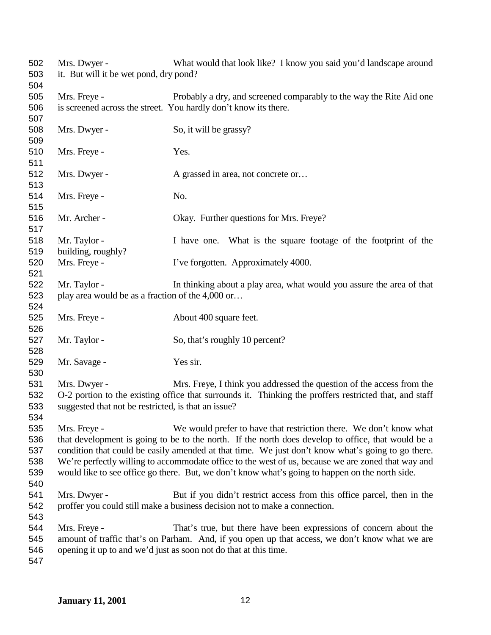| it. But will it be wet pond, dry pond?<br>503<br>504<br>505<br>Mrs. Freye -<br>Probably a dry, and screened comparably to the way the Rite Aid one<br>is screened across the street. You hardly don't know its there.<br>506<br>507<br>508<br>Mrs. Dwyer -<br>So, it will be grassy?<br>509<br>510<br>Mrs. Freye -<br>Yes.<br>511<br>512<br>Mrs. Dwyer -<br>A grassed in area, not concrete or<br>513<br>514<br>Mrs. Freye -<br>No.<br>515<br>516<br>Mr. Archer -<br>Okay. Further questions for Mrs. Freye?<br>517<br>518<br>Mr. Taylor -<br>I have one. What is the square footage of the footprint of the<br>building, roughly?<br>519<br>Mrs. Freye -<br>I've forgotten. Approximately 4000.<br>520<br>521<br>522<br>In thinking about a play area, what would you assure the area of that<br>Mr. Taylor -<br>523<br>play area would be as a fraction of the 4,000 or<br>524<br>525<br>Mrs. Freye -<br>About 400 square feet.<br>526<br>527<br>Mr. Taylor -<br>So, that's roughly 10 percent?<br>528<br>529<br>Mr. Savage -<br>Yes sir.<br>530<br>531<br>Mrs. Dwyer -<br>Mrs. Freye, I think you addressed the question of the access from the<br>O-2 portion to the existing office that surrounds it. Thinking the proffers restricted that, and staff<br>532<br>533<br>suggested that not be restricted, is that an issue?<br>534<br>Mrs. Freye -<br>We would prefer to have that restriction there. We don't know what<br>535<br>that development is going to be to the north. If the north does develop to office, that would be a<br>536<br>537<br>condition that could be easily amended at that time. We just don't know what's going to go there.<br>538<br>We're perfectly willing to accommodate office to the west of us, because we are zoned that way and<br>539<br>would like to see office go there. But, we don't know what's going to happen on the north side.<br>540<br>541<br>Mrs. Dwyer -<br>But if you didn't restrict access from this office parcel, then in the<br>542<br>proffer you could still make a business decision not to make a connection.<br>543<br>544<br>That's true, but there have been expressions of concern about the<br>Mrs. Freye -<br>545<br>amount of traffic that's on Parham. And, if you open up that access, we don't know what we are<br>opening it up to and we'd just as soon not do that at this time.<br>546 | 502 | Mrs. Dwyer - | What would that look like? I know you said you'd landscape around |
|---------------------------------------------------------------------------------------------------------------------------------------------------------------------------------------------------------------------------------------------------------------------------------------------------------------------------------------------------------------------------------------------------------------------------------------------------------------------------------------------------------------------------------------------------------------------------------------------------------------------------------------------------------------------------------------------------------------------------------------------------------------------------------------------------------------------------------------------------------------------------------------------------------------------------------------------------------------------------------------------------------------------------------------------------------------------------------------------------------------------------------------------------------------------------------------------------------------------------------------------------------------------------------------------------------------------------------------------------------------------------------------------------------------------------------------------------------------------------------------------------------------------------------------------------------------------------------------------------------------------------------------------------------------------------------------------------------------------------------------------------------------------------------------------------------------------------------------------------------------------------------------------------------------------------------------------------------------------------------------------------------------------------------------------------------------------------------------------------------------------------------------------------------------------------------------------------------------------------------------------------------------------------------------------------------------------------------------------------------------------------|-----|--------------|-------------------------------------------------------------------|
|                                                                                                                                                                                                                                                                                                                                                                                                                                                                                                                                                                                                                                                                                                                                                                                                                                                                                                                                                                                                                                                                                                                                                                                                                                                                                                                                                                                                                                                                                                                                                                                                                                                                                                                                                                                                                                                                                                                                                                                                                                                                                                                                                                                                                                                                                                                                                                           |     |              |                                                                   |
|                                                                                                                                                                                                                                                                                                                                                                                                                                                                                                                                                                                                                                                                                                                                                                                                                                                                                                                                                                                                                                                                                                                                                                                                                                                                                                                                                                                                                                                                                                                                                                                                                                                                                                                                                                                                                                                                                                                                                                                                                                                                                                                                                                                                                                                                                                                                                                           |     |              |                                                                   |
|                                                                                                                                                                                                                                                                                                                                                                                                                                                                                                                                                                                                                                                                                                                                                                                                                                                                                                                                                                                                                                                                                                                                                                                                                                                                                                                                                                                                                                                                                                                                                                                                                                                                                                                                                                                                                                                                                                                                                                                                                                                                                                                                                                                                                                                                                                                                                                           |     |              |                                                                   |
|                                                                                                                                                                                                                                                                                                                                                                                                                                                                                                                                                                                                                                                                                                                                                                                                                                                                                                                                                                                                                                                                                                                                                                                                                                                                                                                                                                                                                                                                                                                                                                                                                                                                                                                                                                                                                                                                                                                                                                                                                                                                                                                                                                                                                                                                                                                                                                           |     |              |                                                                   |
|                                                                                                                                                                                                                                                                                                                                                                                                                                                                                                                                                                                                                                                                                                                                                                                                                                                                                                                                                                                                                                                                                                                                                                                                                                                                                                                                                                                                                                                                                                                                                                                                                                                                                                                                                                                                                                                                                                                                                                                                                                                                                                                                                                                                                                                                                                                                                                           |     |              |                                                                   |
|                                                                                                                                                                                                                                                                                                                                                                                                                                                                                                                                                                                                                                                                                                                                                                                                                                                                                                                                                                                                                                                                                                                                                                                                                                                                                                                                                                                                                                                                                                                                                                                                                                                                                                                                                                                                                                                                                                                                                                                                                                                                                                                                                                                                                                                                                                                                                                           |     |              |                                                                   |
|                                                                                                                                                                                                                                                                                                                                                                                                                                                                                                                                                                                                                                                                                                                                                                                                                                                                                                                                                                                                                                                                                                                                                                                                                                                                                                                                                                                                                                                                                                                                                                                                                                                                                                                                                                                                                                                                                                                                                                                                                                                                                                                                                                                                                                                                                                                                                                           |     |              |                                                                   |
|                                                                                                                                                                                                                                                                                                                                                                                                                                                                                                                                                                                                                                                                                                                                                                                                                                                                                                                                                                                                                                                                                                                                                                                                                                                                                                                                                                                                                                                                                                                                                                                                                                                                                                                                                                                                                                                                                                                                                                                                                                                                                                                                                                                                                                                                                                                                                                           |     |              |                                                                   |
|                                                                                                                                                                                                                                                                                                                                                                                                                                                                                                                                                                                                                                                                                                                                                                                                                                                                                                                                                                                                                                                                                                                                                                                                                                                                                                                                                                                                                                                                                                                                                                                                                                                                                                                                                                                                                                                                                                                                                                                                                                                                                                                                                                                                                                                                                                                                                                           |     |              |                                                                   |
|                                                                                                                                                                                                                                                                                                                                                                                                                                                                                                                                                                                                                                                                                                                                                                                                                                                                                                                                                                                                                                                                                                                                                                                                                                                                                                                                                                                                                                                                                                                                                                                                                                                                                                                                                                                                                                                                                                                                                                                                                                                                                                                                                                                                                                                                                                                                                                           |     |              |                                                                   |
|                                                                                                                                                                                                                                                                                                                                                                                                                                                                                                                                                                                                                                                                                                                                                                                                                                                                                                                                                                                                                                                                                                                                                                                                                                                                                                                                                                                                                                                                                                                                                                                                                                                                                                                                                                                                                                                                                                                                                                                                                                                                                                                                                                                                                                                                                                                                                                           |     |              |                                                                   |
|                                                                                                                                                                                                                                                                                                                                                                                                                                                                                                                                                                                                                                                                                                                                                                                                                                                                                                                                                                                                                                                                                                                                                                                                                                                                                                                                                                                                                                                                                                                                                                                                                                                                                                                                                                                                                                                                                                                                                                                                                                                                                                                                                                                                                                                                                                                                                                           |     |              |                                                                   |
|                                                                                                                                                                                                                                                                                                                                                                                                                                                                                                                                                                                                                                                                                                                                                                                                                                                                                                                                                                                                                                                                                                                                                                                                                                                                                                                                                                                                                                                                                                                                                                                                                                                                                                                                                                                                                                                                                                                                                                                                                                                                                                                                                                                                                                                                                                                                                                           |     |              |                                                                   |
|                                                                                                                                                                                                                                                                                                                                                                                                                                                                                                                                                                                                                                                                                                                                                                                                                                                                                                                                                                                                                                                                                                                                                                                                                                                                                                                                                                                                                                                                                                                                                                                                                                                                                                                                                                                                                                                                                                                                                                                                                                                                                                                                                                                                                                                                                                                                                                           |     |              |                                                                   |
|                                                                                                                                                                                                                                                                                                                                                                                                                                                                                                                                                                                                                                                                                                                                                                                                                                                                                                                                                                                                                                                                                                                                                                                                                                                                                                                                                                                                                                                                                                                                                                                                                                                                                                                                                                                                                                                                                                                                                                                                                                                                                                                                                                                                                                                                                                                                                                           |     |              |                                                                   |
|                                                                                                                                                                                                                                                                                                                                                                                                                                                                                                                                                                                                                                                                                                                                                                                                                                                                                                                                                                                                                                                                                                                                                                                                                                                                                                                                                                                                                                                                                                                                                                                                                                                                                                                                                                                                                                                                                                                                                                                                                                                                                                                                                                                                                                                                                                                                                                           |     |              |                                                                   |
|                                                                                                                                                                                                                                                                                                                                                                                                                                                                                                                                                                                                                                                                                                                                                                                                                                                                                                                                                                                                                                                                                                                                                                                                                                                                                                                                                                                                                                                                                                                                                                                                                                                                                                                                                                                                                                                                                                                                                                                                                                                                                                                                                                                                                                                                                                                                                                           |     |              |                                                                   |
|                                                                                                                                                                                                                                                                                                                                                                                                                                                                                                                                                                                                                                                                                                                                                                                                                                                                                                                                                                                                                                                                                                                                                                                                                                                                                                                                                                                                                                                                                                                                                                                                                                                                                                                                                                                                                                                                                                                                                                                                                                                                                                                                                                                                                                                                                                                                                                           |     |              |                                                                   |
|                                                                                                                                                                                                                                                                                                                                                                                                                                                                                                                                                                                                                                                                                                                                                                                                                                                                                                                                                                                                                                                                                                                                                                                                                                                                                                                                                                                                                                                                                                                                                                                                                                                                                                                                                                                                                                                                                                                                                                                                                                                                                                                                                                                                                                                                                                                                                                           |     |              |                                                                   |
|                                                                                                                                                                                                                                                                                                                                                                                                                                                                                                                                                                                                                                                                                                                                                                                                                                                                                                                                                                                                                                                                                                                                                                                                                                                                                                                                                                                                                                                                                                                                                                                                                                                                                                                                                                                                                                                                                                                                                                                                                                                                                                                                                                                                                                                                                                                                                                           |     |              |                                                                   |
|                                                                                                                                                                                                                                                                                                                                                                                                                                                                                                                                                                                                                                                                                                                                                                                                                                                                                                                                                                                                                                                                                                                                                                                                                                                                                                                                                                                                                                                                                                                                                                                                                                                                                                                                                                                                                                                                                                                                                                                                                                                                                                                                                                                                                                                                                                                                                                           |     |              |                                                                   |
|                                                                                                                                                                                                                                                                                                                                                                                                                                                                                                                                                                                                                                                                                                                                                                                                                                                                                                                                                                                                                                                                                                                                                                                                                                                                                                                                                                                                                                                                                                                                                                                                                                                                                                                                                                                                                                                                                                                                                                                                                                                                                                                                                                                                                                                                                                                                                                           |     |              |                                                                   |
|                                                                                                                                                                                                                                                                                                                                                                                                                                                                                                                                                                                                                                                                                                                                                                                                                                                                                                                                                                                                                                                                                                                                                                                                                                                                                                                                                                                                                                                                                                                                                                                                                                                                                                                                                                                                                                                                                                                                                                                                                                                                                                                                                                                                                                                                                                                                                                           |     |              |                                                                   |
|                                                                                                                                                                                                                                                                                                                                                                                                                                                                                                                                                                                                                                                                                                                                                                                                                                                                                                                                                                                                                                                                                                                                                                                                                                                                                                                                                                                                                                                                                                                                                                                                                                                                                                                                                                                                                                                                                                                                                                                                                                                                                                                                                                                                                                                                                                                                                                           |     |              |                                                                   |
|                                                                                                                                                                                                                                                                                                                                                                                                                                                                                                                                                                                                                                                                                                                                                                                                                                                                                                                                                                                                                                                                                                                                                                                                                                                                                                                                                                                                                                                                                                                                                                                                                                                                                                                                                                                                                                                                                                                                                                                                                                                                                                                                                                                                                                                                                                                                                                           |     |              |                                                                   |
|                                                                                                                                                                                                                                                                                                                                                                                                                                                                                                                                                                                                                                                                                                                                                                                                                                                                                                                                                                                                                                                                                                                                                                                                                                                                                                                                                                                                                                                                                                                                                                                                                                                                                                                                                                                                                                                                                                                                                                                                                                                                                                                                                                                                                                                                                                                                                                           |     |              |                                                                   |
|                                                                                                                                                                                                                                                                                                                                                                                                                                                                                                                                                                                                                                                                                                                                                                                                                                                                                                                                                                                                                                                                                                                                                                                                                                                                                                                                                                                                                                                                                                                                                                                                                                                                                                                                                                                                                                                                                                                                                                                                                                                                                                                                                                                                                                                                                                                                                                           |     |              |                                                                   |
|                                                                                                                                                                                                                                                                                                                                                                                                                                                                                                                                                                                                                                                                                                                                                                                                                                                                                                                                                                                                                                                                                                                                                                                                                                                                                                                                                                                                                                                                                                                                                                                                                                                                                                                                                                                                                                                                                                                                                                                                                                                                                                                                                                                                                                                                                                                                                                           |     |              |                                                                   |
|                                                                                                                                                                                                                                                                                                                                                                                                                                                                                                                                                                                                                                                                                                                                                                                                                                                                                                                                                                                                                                                                                                                                                                                                                                                                                                                                                                                                                                                                                                                                                                                                                                                                                                                                                                                                                                                                                                                                                                                                                                                                                                                                                                                                                                                                                                                                                                           |     |              |                                                                   |
|                                                                                                                                                                                                                                                                                                                                                                                                                                                                                                                                                                                                                                                                                                                                                                                                                                                                                                                                                                                                                                                                                                                                                                                                                                                                                                                                                                                                                                                                                                                                                                                                                                                                                                                                                                                                                                                                                                                                                                                                                                                                                                                                                                                                                                                                                                                                                                           |     |              |                                                                   |
|                                                                                                                                                                                                                                                                                                                                                                                                                                                                                                                                                                                                                                                                                                                                                                                                                                                                                                                                                                                                                                                                                                                                                                                                                                                                                                                                                                                                                                                                                                                                                                                                                                                                                                                                                                                                                                                                                                                                                                                                                                                                                                                                                                                                                                                                                                                                                                           |     |              |                                                                   |
|                                                                                                                                                                                                                                                                                                                                                                                                                                                                                                                                                                                                                                                                                                                                                                                                                                                                                                                                                                                                                                                                                                                                                                                                                                                                                                                                                                                                                                                                                                                                                                                                                                                                                                                                                                                                                                                                                                                                                                                                                                                                                                                                                                                                                                                                                                                                                                           |     |              |                                                                   |
|                                                                                                                                                                                                                                                                                                                                                                                                                                                                                                                                                                                                                                                                                                                                                                                                                                                                                                                                                                                                                                                                                                                                                                                                                                                                                                                                                                                                                                                                                                                                                                                                                                                                                                                                                                                                                                                                                                                                                                                                                                                                                                                                                                                                                                                                                                                                                                           |     |              |                                                                   |
|                                                                                                                                                                                                                                                                                                                                                                                                                                                                                                                                                                                                                                                                                                                                                                                                                                                                                                                                                                                                                                                                                                                                                                                                                                                                                                                                                                                                                                                                                                                                                                                                                                                                                                                                                                                                                                                                                                                                                                                                                                                                                                                                                                                                                                                                                                                                                                           |     |              |                                                                   |
|                                                                                                                                                                                                                                                                                                                                                                                                                                                                                                                                                                                                                                                                                                                                                                                                                                                                                                                                                                                                                                                                                                                                                                                                                                                                                                                                                                                                                                                                                                                                                                                                                                                                                                                                                                                                                                                                                                                                                                                                                                                                                                                                                                                                                                                                                                                                                                           |     |              |                                                                   |
|                                                                                                                                                                                                                                                                                                                                                                                                                                                                                                                                                                                                                                                                                                                                                                                                                                                                                                                                                                                                                                                                                                                                                                                                                                                                                                                                                                                                                                                                                                                                                                                                                                                                                                                                                                                                                                                                                                                                                                                                                                                                                                                                                                                                                                                                                                                                                                           |     |              |                                                                   |
|                                                                                                                                                                                                                                                                                                                                                                                                                                                                                                                                                                                                                                                                                                                                                                                                                                                                                                                                                                                                                                                                                                                                                                                                                                                                                                                                                                                                                                                                                                                                                                                                                                                                                                                                                                                                                                                                                                                                                                                                                                                                                                                                                                                                                                                                                                                                                                           |     |              |                                                                   |
|                                                                                                                                                                                                                                                                                                                                                                                                                                                                                                                                                                                                                                                                                                                                                                                                                                                                                                                                                                                                                                                                                                                                                                                                                                                                                                                                                                                                                                                                                                                                                                                                                                                                                                                                                                                                                                                                                                                                                                                                                                                                                                                                                                                                                                                                                                                                                                           |     |              |                                                                   |
|                                                                                                                                                                                                                                                                                                                                                                                                                                                                                                                                                                                                                                                                                                                                                                                                                                                                                                                                                                                                                                                                                                                                                                                                                                                                                                                                                                                                                                                                                                                                                                                                                                                                                                                                                                                                                                                                                                                                                                                                                                                                                                                                                                                                                                                                                                                                                                           |     |              |                                                                   |
|                                                                                                                                                                                                                                                                                                                                                                                                                                                                                                                                                                                                                                                                                                                                                                                                                                                                                                                                                                                                                                                                                                                                                                                                                                                                                                                                                                                                                                                                                                                                                                                                                                                                                                                                                                                                                                                                                                                                                                                                                                                                                                                                                                                                                                                                                                                                                                           |     |              |                                                                   |
|                                                                                                                                                                                                                                                                                                                                                                                                                                                                                                                                                                                                                                                                                                                                                                                                                                                                                                                                                                                                                                                                                                                                                                                                                                                                                                                                                                                                                                                                                                                                                                                                                                                                                                                                                                                                                                                                                                                                                                                                                                                                                                                                                                                                                                                                                                                                                                           |     |              |                                                                   |
|                                                                                                                                                                                                                                                                                                                                                                                                                                                                                                                                                                                                                                                                                                                                                                                                                                                                                                                                                                                                                                                                                                                                                                                                                                                                                                                                                                                                                                                                                                                                                                                                                                                                                                                                                                                                                                                                                                                                                                                                                                                                                                                                                                                                                                                                                                                                                                           |     |              |                                                                   |
|                                                                                                                                                                                                                                                                                                                                                                                                                                                                                                                                                                                                                                                                                                                                                                                                                                                                                                                                                                                                                                                                                                                                                                                                                                                                                                                                                                                                                                                                                                                                                                                                                                                                                                                                                                                                                                                                                                                                                                                                                                                                                                                                                                                                                                                                                                                                                                           |     |              |                                                                   |
|                                                                                                                                                                                                                                                                                                                                                                                                                                                                                                                                                                                                                                                                                                                                                                                                                                                                                                                                                                                                                                                                                                                                                                                                                                                                                                                                                                                                                                                                                                                                                                                                                                                                                                                                                                                                                                                                                                                                                                                                                                                                                                                                                                                                                                                                                                                                                                           |     |              |                                                                   |
|                                                                                                                                                                                                                                                                                                                                                                                                                                                                                                                                                                                                                                                                                                                                                                                                                                                                                                                                                                                                                                                                                                                                                                                                                                                                                                                                                                                                                                                                                                                                                                                                                                                                                                                                                                                                                                                                                                                                                                                                                                                                                                                                                                                                                                                                                                                                                                           | 547 |              |                                                                   |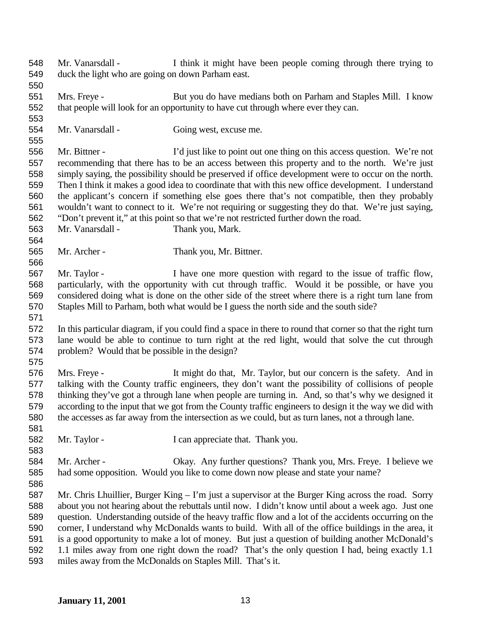- Mr. Vanarsdall I think it might have been people coming through there trying to duck the light who are going on down Parham east.
- Mrs. Freye But you do have medians both on Parham and Staples Mill. I know that people will look for an opportunity to have cut through where ever they can.
- Mr. Vanarsdall Going west, excuse me.
- Mr. Bittner I'd just like to point out one thing on this access question. We're not recommending that there has to be an access between this property and to the north. We're just simply saying, the possibility should be preserved if office development were to occur on the north. Then I think it makes a good idea to coordinate that with this new office development. I understand the applicant's concern if something else goes there that's not compatible, then they probably wouldn't want to connect to it. We're not requiring or suggesting they do that. We're just saying, "Don't prevent it," at this point so that we're not restricted further down the road.
- Mr. Vanarsdall Thank you, Mark.
- Mr. Archer Thank you, Mr. Bittner.
- Mr. Taylor I have one more question with regard to the issue of traffic flow, particularly, with the opportunity with cut through traffic. Would it be possible, or have you considered doing what is done on the other side of the street where there is a right turn lane from Staples Mill to Parham, both what would be I guess the north side and the south side?
- In this particular diagram, if you could find a space in there to round that corner so that the right turn lane would be able to continue to turn right at the red light, would that solve the cut through problem? Would that be possible in the design?
- 

 Mrs. Freye - It might do that, Mr. Taylor, but our concern is the safety. And in talking with the County traffic engineers, they don't want the possibility of collisions of people thinking they've got a through lane when people are turning in. And, so that's why we designed it according to the input that we got from the County traffic engineers to design it the way we did with the accesses as far away from the intersection as we could, but as turn lanes, not a through lane.

- 582 Mr. Taylor I can appreciate that. Thank you.
- Mr. Archer Okay. Any further questions? Thank you, Mrs. Freye. I believe we had some opposition. Would you like to come down now please and state your name?
- Mr. Chris Lhuillier, Burger King I'm just a supervisor at the Burger King across the road. Sorry about you not hearing about the rebuttals until now. I didn't know until about a week ago. Just one question. Understanding outside of the heavy traffic flow and a lot of the accidents occurring on the corner, I understand why McDonalds wants to build. With all of the office buildings in the area, it is a good opportunity to make a lot of money. But just a question of building another McDonald's 1.1 miles away from one right down the road? That's the only question I had, being exactly 1.1 miles away from the McDonalds on Staples Mill. That's it.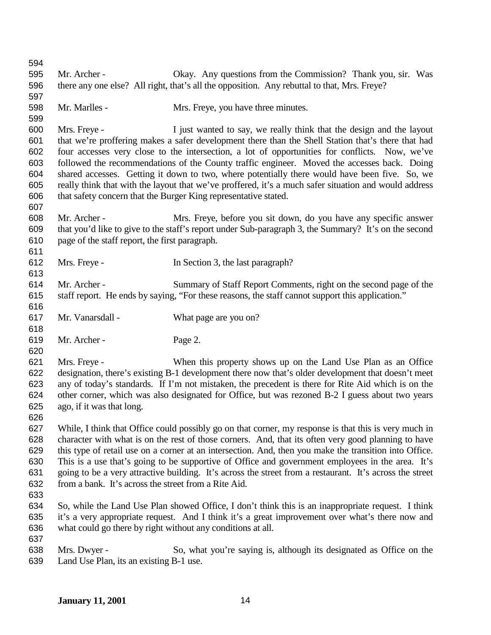| 594 |                                                             |                                                                                                          |
|-----|-------------------------------------------------------------|----------------------------------------------------------------------------------------------------------|
| 595 | Mr. Archer -                                                | Okay. Any questions from the Commission? Thank you, sir. Was                                             |
| 596 |                                                             | there any one else? All right, that's all the opposition. Any rebuttal to that, Mrs. Freye?              |
| 597 |                                                             |                                                                                                          |
| 598 | Mr. Marlles -                                               | Mrs. Freye, you have three minutes.                                                                      |
| 599 |                                                             |                                                                                                          |
| 600 | Mrs. Freye -                                                | I just wanted to say, we really think that the design and the layout                                     |
| 601 |                                                             | that we're proffering makes a safer development there than the Shell Station that's there that had       |
| 602 |                                                             | four accesses very close to the intersection, a lot of opportunities for conflicts. Now, we've           |
| 603 |                                                             | followed the recommendations of the County traffic engineer. Moved the accesses back. Doing              |
| 604 |                                                             | shared accesses. Getting it down to two, where potentially there would have been five. So, we            |
| 605 |                                                             | really think that with the layout that we've proffered, it's a much safer situation and would address    |
| 606 |                                                             | that safety concern that the Burger King representative stated.                                          |
| 607 |                                                             |                                                                                                          |
| 608 | Mr. Archer -                                                | Mrs. Freye, before you sit down, do you have any specific answer                                         |
| 609 |                                                             | that you'd like to give to the staff's report under Sub-paragraph 3, the Summary? It's on the second     |
| 610 | page of the staff report, the first paragraph.              |                                                                                                          |
| 611 |                                                             |                                                                                                          |
| 612 | Mrs. Freye -                                                | In Section 3, the last paragraph?                                                                        |
| 613 |                                                             |                                                                                                          |
| 614 | Mr. Archer -                                                | Summary of Staff Report Comments, right on the second page of the                                        |
| 615 |                                                             | staff report. He ends by saying, "For these reasons, the staff cannot support this application."         |
| 616 |                                                             |                                                                                                          |
| 617 | Mr. Vanarsdall -                                            | What page are you on?                                                                                    |
| 618 |                                                             |                                                                                                          |
| 619 | Mr. Archer -                                                | Page 2.                                                                                                  |
| 620 |                                                             |                                                                                                          |
| 621 | Mrs. Freye -                                                | When this property shows up on the Land Use Plan as an Office                                            |
| 622 |                                                             | designation, there's existing B-1 development there now that's older development that doesn't meet       |
| 623 |                                                             | any of today's standards. If I'm not mistaken, the precedent is there for Rite Aid which is on the       |
| 624 |                                                             | other corner, which was also designated for Office, but was rezoned B-2 I guess about two years          |
| 625 | ago, if it was that long.                                   |                                                                                                          |
| 626 |                                                             |                                                                                                          |
| 627 |                                                             | While, I think that Office could possibly go on that corner, my response is that this is very much in    |
| 628 |                                                             | character with what is on the rest of those corners. And, that its often very good planning to have      |
| 629 |                                                             | this type of retail use on a corner at an intersection. And, then you make the transition into Office.   |
| 630 |                                                             | This is a use that's going to be supportive of Office and government employees in the area. It's         |
| 631 |                                                             | going to be a very attractive building. It's across the street from a restaurant. It's across the street |
| 632 | from a bank. It's across the street from a Rite Aid.        |                                                                                                          |
| 633 |                                                             |                                                                                                          |
| 634 |                                                             | So, while the Land Use Plan showed Office, I don't think this is an inappropriate request. I think       |
| 635 |                                                             | it's a very appropriate request. And I think it's a great improvement over what's there now and          |
| 636 | what could go there by right without any conditions at all. |                                                                                                          |
| 637 |                                                             |                                                                                                          |
| 638 | Mrs. Dwyer -                                                | So, what you're saying is, although its designated as Office on the                                      |
| 639 | Land Use Plan, its an existing B-1 use.                     |                                                                                                          |
|     |                                                             |                                                                                                          |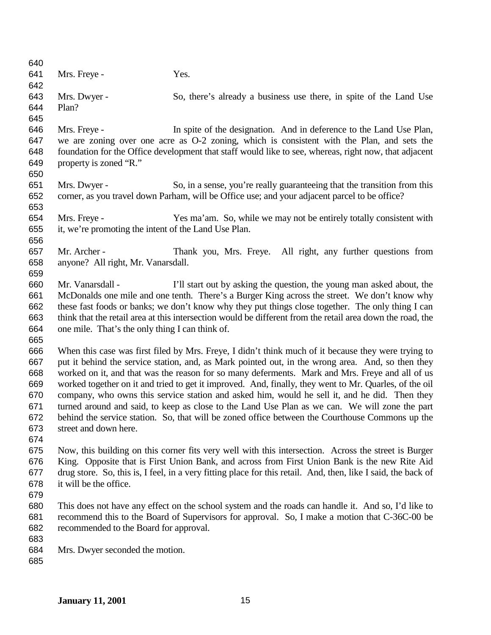641 Mrs. Freye - Yes. Mrs. Dwyer - So, there's already a business use there, in spite of the Land Use Plan? Mrs. Freye - In spite of the designation. And in deference to the Land Use Plan, we are zoning over one acre as O-2 zoning, which is consistent with the Plan, and sets the foundation for the Office development that staff would like to see, whereas, right now, that adjacent property is zoned "R." Mrs. Dwyer - So, in a sense, you're really guaranteeing that the transition from this corner, as you travel down Parham, will be Office use; and your adjacent parcel to be office? Mrs. Freye - Yes ma'am. So, while we may not be entirely totally consistent with it, we're promoting the intent of the Land Use Plan. Mr. Archer - Thank you, Mrs. Freye. All right, any further questions from anyone? All right, Mr. Vanarsdall. Mr. Vanarsdall - I'll start out by asking the question, the young man asked about, the McDonalds one mile and one tenth. There's a Burger King across the street. We don't know why these fast foods or banks; we don't know why they put things close together. The only thing I can think that the retail area at this intersection would be different from the retail area down the road, the one mile. That's the only thing I can think of. When this case was first filed by Mrs. Freye, I didn't think much of it because they were trying to put it behind the service station, and, as Mark pointed out, in the wrong area. And, so then they worked on it, and that was the reason for so many deferments. Mark and Mrs. Freye and all of us worked together on it and tried to get it improved. And, finally, they went to Mr. Quarles, of the oil company, who owns this service station and asked him, would he sell it, and he did. Then they turned around and said, to keep as close to the Land Use Plan as we can. We will zone the part behind the service station. So, that will be zoned office between the Courthouse Commons up the street and down here. Now, this building on this corner fits very well with this intersection. Across the street is Burger King. Opposite that is First Union Bank, and across from First Union Bank is the new Rite Aid drug store. So, this is, I feel, in a very fitting place for this retail. And, then, like I said, the back of it will be the office. This does not have any effect on the school system and the roads can handle it. And so, I'd like to recommend this to the Board of Supervisors for approval. So, I make a motion that C-36C-00 be recommended to the Board for approval. Mrs. Dwyer seconded the motion.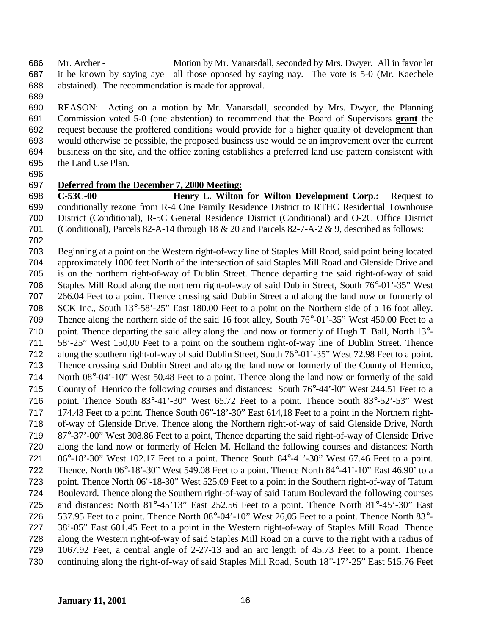Mr. Archer - Motion by Mr. Vanarsdall, seconded by Mrs. Dwyer. All in favor let it be known by saying aye—all those opposed by saying nay. The vote is 5-0 (Mr. Kaechele abstained). The recommendation is made for approval.

 REASON: Acting on a motion by Mr. Vanarsdall, seconded by Mrs. Dwyer, the Planning Commission voted 5-0 (one abstention) to recommend that the Board of Supervisors **grant** the request because the proffered conditions would provide for a higher quality of development than would otherwise be possible, the proposed business use would be an improvement over the current business on the site, and the office zoning establishes a preferred land use pattern consistent with the Land Use Plan.

### **Deferred from the December 7, 2000 Meeting:**

 **C-53C-00 Henry L. Wilton for Wilton Development Corp.:** Request to conditionally rezone from R-4 One Family Residence District to RTHC Residential Townhouse District (Conditional), R-5C General Residence District (Conditional) and O-2C Office District (Conditional), Parcels 82-A-14 through 18 & 20 and Parcels 82-7-A-2 & 9, described as follows:

 Beginning at a point on the Western right-of-way line of Staples Mill Road, said point being located approximately 1000 feet North of the intersection of said Staples Mill Road and Glenside Drive and is on the northern right-of-way of Dublin Street. Thence departing the said right-of-way of said Staples Mill Road along the northern right-of-way of said Dublin Street, South 76°-01'-35" West 266.04 Feet to a point. Thence crossing said Dublin Street and along the land now or formerly of SCK Inc., South 13°-58'-25" East 180.00 Feet to a point on the Northern side of a 16 foot alley. Thence along the northern side of the said 16 foot alley, South 76°-01'-35" West 450.00 Feet to a point. Thence departing the said alley along the land now or formerly of Hugh T. Ball, North 13°- 58'-25" West 150,00 Feet to a point on the southern right-of-way line of Dublin Street. Thence along the southern right-of-way of said Dublin Street, South 76°-01'-35" West 72.98 Feet to a point. Thence crossing said Dublin Street and along the land now or formerly of the County of Henrico, North 08°-04'-10" West 50.48 Feet to a point. Thence along the land now or formerly of the said County of Henrico the following courses and distances: South 76°-44'-l0" West 244.51 Feet to a point. Thence South 83°-41'-30" West 65.72 Feet to a point. Thence South 83°-52'-53" West 174.43 Feet to a point. Thence South 06°-18'-30" East 614,18 Feet to a point in the Northern right- of-way of Glenside Drive. Thence along the Northern right-of-way of said Glenside Drive, North 87°-37'-00" West 308.86 Feet to a point, Thence departing the said right-of-way of Glenside Drive along the land now or formerly of Helen M. Holland the following courses and distances: North 06°-18'-30" West 102.17 Feet to a point. Thence South 84°-41'-30" West 67.46 Feet to a point. Thence. North 06°-18'-30" West 549.08 Feet to a point. Thence North 84°-41'-10" East 46.90' to a point. Thence North 06°-18-30" West 525.09 Feet to a point in the Southern right-of-way of Tatum Boulevard. Thence along the Southern right-of-way of said Tatum Boulevard the following courses and distances: North 81°-45'13" East 252.56 Feet to a point. Thence North 81°-45'-30" East 537.95 Feet to a point. Thence North 08°-04'-10" West 26,05 Feet to a point. Thence North 83°- 38'-05" East 681.45 Feet to a point in the Western right-of-way of Staples Mill Road. Thence along the Western right-of-way of said Staples Mill Road on a curve to the right with a radius of 1067.92 Feet, a central angle of 2-27-13 and an arc length of 45.73 Feet to a point. Thence continuing along the right-of-way of said Staples Mill Road, South 18°-17'-25" East 515.76 Feet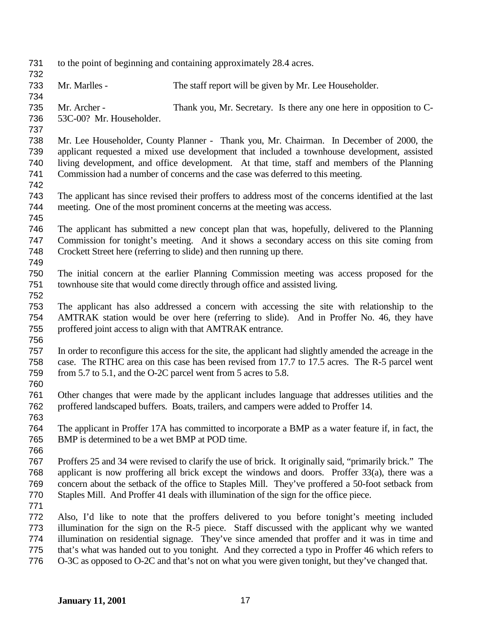| 731 | to the point of beginning and containing approximately 28.4 acres. |                                                                                                         |  |
|-----|--------------------------------------------------------------------|---------------------------------------------------------------------------------------------------------|--|
| 732 |                                                                    |                                                                                                         |  |
| 733 | Mr. Marlles -                                                      | The staff report will be given by Mr. Lee Householder.                                                  |  |
| 734 |                                                                    |                                                                                                         |  |
| 735 | Mr. Archer -                                                       | Thank you, Mr. Secretary. Is there any one here in opposition to C-                                     |  |
| 736 | 53C-00? Mr. Householder.                                           |                                                                                                         |  |
| 737 |                                                                    |                                                                                                         |  |
| 738 |                                                                    | Mr. Lee Householder, County Planner - Thank you, Mr. Chairman. In December of 2000, the                 |  |
| 739 |                                                                    | applicant requested a mixed use development that included a townhouse development, assisted             |  |
| 740 |                                                                    | living development, and office development. At that time, staff and members of the Planning             |  |
| 741 |                                                                    | Commission had a number of concerns and the case was deferred to this meeting.                          |  |
| 742 |                                                                    |                                                                                                         |  |
| 743 |                                                                    | The applicant has since revised their proffers to address most of the concerns identified at the last   |  |
| 744 |                                                                    | meeting. One of the most prominent concerns at the meeting was access.                                  |  |
| 745 |                                                                    |                                                                                                         |  |
| 746 |                                                                    | The applicant has submitted a new concept plan that was, hopefully, delivered to the Planning           |  |
| 747 |                                                                    | Commission for tonight's meeting. And it shows a secondary access on this site coming from              |  |
| 748 |                                                                    | Crockett Street here (referring to slide) and then running up there.                                    |  |
| 749 |                                                                    |                                                                                                         |  |
| 750 |                                                                    | The initial concern at the earlier Planning Commission meeting was access proposed for the              |  |
| 751 |                                                                    | townhouse site that would come directly through office and assisted living.                             |  |
| 752 |                                                                    |                                                                                                         |  |
| 753 |                                                                    | The applicant has also addressed a concern with accessing the site with relationship to the             |  |
| 754 |                                                                    | AMTRAK station would be over here (referring to slide). And in Proffer No. 46, they have                |  |
| 755 |                                                                    | proffered joint access to align with that AMTRAK entrance.                                              |  |
| 756 |                                                                    |                                                                                                         |  |
| 757 |                                                                    | In order to reconfigure this access for the site, the applicant had slightly amended the acreage in the |  |
| 758 |                                                                    | case. The RTHC area on this case has been revised from 17.7 to 17.5 acres. The R-5 parcel went          |  |
| 759 |                                                                    | from 5.7 to 5.1, and the O-2C parcel went from 5 acres to 5.8.                                          |  |
| 760 |                                                                    |                                                                                                         |  |
| 761 |                                                                    | Other changes that were made by the applicant includes language that addresses utilities and the        |  |
| 762 |                                                                    | proffered landscaped buffers. Boats, trailers, and campers were added to Proffer 14.                    |  |
| 763 |                                                                    |                                                                                                         |  |
| 764 |                                                                    | The applicant in Proffer 17A has committed to incorporate a BMP as a water feature if, in fact, the     |  |
| 765 | BMP is determined to be a wet BMP at POD time.                     |                                                                                                         |  |
| 766 |                                                                    |                                                                                                         |  |
| 767 |                                                                    | Proffers 25 and 34 were revised to clarify the use of brick. It originally said, "primarily brick." The |  |
| 768 |                                                                    | applicant is now proffering all brick except the windows and doors. Proffer 33(a), there was a          |  |
| 769 |                                                                    | concern about the setback of the office to Staples Mill. They've proffered a 50-foot setback from       |  |
| 770 |                                                                    | Staples Mill. And Proffer 41 deals with illumination of the sign for the office piece.                  |  |
| 771 |                                                                    |                                                                                                         |  |
| 772 |                                                                    | Also, I'd like to note that the proffers delivered to you before tonight's meeting included             |  |
| 773 |                                                                    | illumination for the sign on the R-5 piece. Staff discussed with the applicant why we wanted            |  |
| 774 |                                                                    | illumination on residential signage. They've since amended that proffer and it was in time and          |  |
| 775 |                                                                    | that's what was handed out to you tonight. And they corrected a typo in Proffer 46 which refers to      |  |
| 776 |                                                                    | O-3C as opposed to O-2C and that's not on what you were given tonight, but they've changed that.        |  |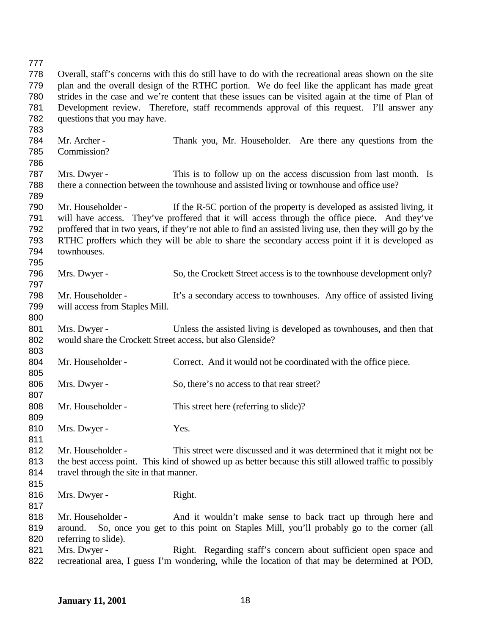Overall, staff's concerns with this do still have to do with the recreational areas shown on the site plan and the overall design of the RTHC portion. We do feel like the applicant has made great strides in the case and we're content that these issues can be visited again at the time of Plan of Development review. Therefore, staff recommends approval of this request. I'll answer any questions that you may have. Mr. Archer - Thank you, Mr. Householder. Are there any questions from the Commission? Mrs. Dwyer - This is to follow up on the access discussion from last month. Is there a connection between the townhouse and assisted living or townhouse and office use? Mr. Householder - If the R-5C portion of the property is developed as assisted living, it will have access. They've proffered that it will access through the office piece. And they've proffered that in two years, if they're not able to find an assisted living use, then they will go by the RTHC proffers which they will be able to share the secondary access point if it is developed as townhouses. Mrs. Dwyer - So, the Crockett Street access is to the townhouse development only? Mr. Householder - It's a secondary access to townhouses. Any office of assisted living will access from Staples Mill. Mrs. Dwyer - Unless the assisted living is developed as townhouses, and then that would share the Crockett Street access, but also Glenside? 804 Mr. Householder - Correct. And it would not be coordinated with the office piece. 806 Mrs. Dwyer - So, there's no access to that rear street? 808 Mr. Householder - This street here (referring to slide)? 810 Mrs. Dwyer - Yes. Mr. Householder - This street were discussed and it was determined that it might not be the best access point. This kind of showed up as better because this still allowed traffic to possibly 814 travel through the site in that manner. 816 Mrs. Dwyer - Right. 818 Mr. Householder - And it wouldn't make sense to back tract up through here and around. So, once you get to this point on Staples Mill, you'll probably go to the corner (all

- referring to slide).
	- Mrs. Dwyer Right. Regarding staff's concern about sufficient open space and recreational area, I guess I'm wondering, while the location of that may be determined at POD,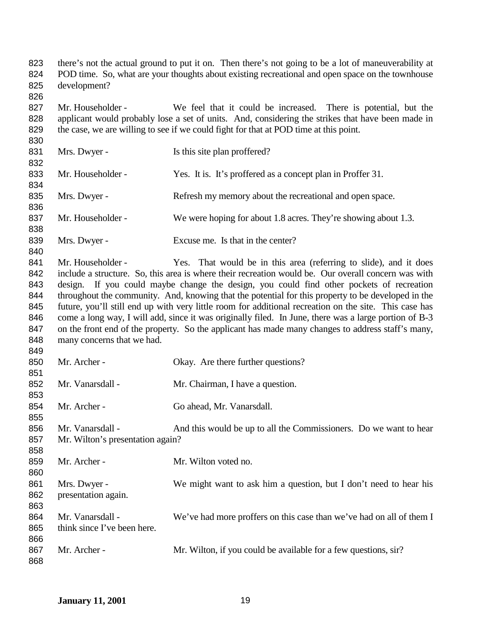there's not the actual ground to put it on. Then there's not going to be a lot of maneuverability at POD time. So, what are your thoughts about existing recreational and open space on the townhouse development? 

 Mr. Householder - We feel that it could be increased. There is potential, but the applicant would probably lose a set of units. And, considering the strikes that have been made in the case, we are willing to see if we could fight for that at POD time at this point. 

831 Mrs. Dwyer - Is this site plan proffered? Mr. Householder - Yes. It is. It's proffered as a concept plan in Proffer 31. Mrs. Dwyer - Refresh my memory about the recreational and open space. 837 Mr. Householder - We were hoping for about 1.8 acres. They're showing about 1.3. 839 Mrs. Dwyer - Excuse me. Is that in the center?

841 Mr. Householder - Yes. That would be in this area (referring to slide), and it does include a structure. So, this area is where their recreation would be. Our overall concern was with design. If you could maybe change the design, you could find other pockets of recreation throughout the community. And, knowing that the potential for this property to be developed in the future, you'll still end up with very little room for additional recreation on the site. This case has 846 come a long way, I will add, since it was originally filed. In June, there was a large portion of B-3 847 on the front end of the property. So the applicant has made many changes to address staff's many, 848 many concerns that we had.

850 Mr. Archer - Okay. Are there further questions? 852 Mr. Vanarsdall - Mr. Chairman, I have a question. Mr. Archer - Go ahead, Mr. Vanarsdall. 856 Mr. Vanarsdall - And this would be up to all the Commissioners. Do we want to hear Mr. Wilton's presentation again? Mr. Archer - Mr. Wilton voted no. 861 Mrs. Dwyer - We might want to ask him a question, but I don't need to hear his presentation again. 864 Mr. Vanarsdall - We've had more proffers on this case than we've had on all of them I think since I've been here. 867 Mr. Archer - Mr. Wilton, if you could be available for a few questions, sir?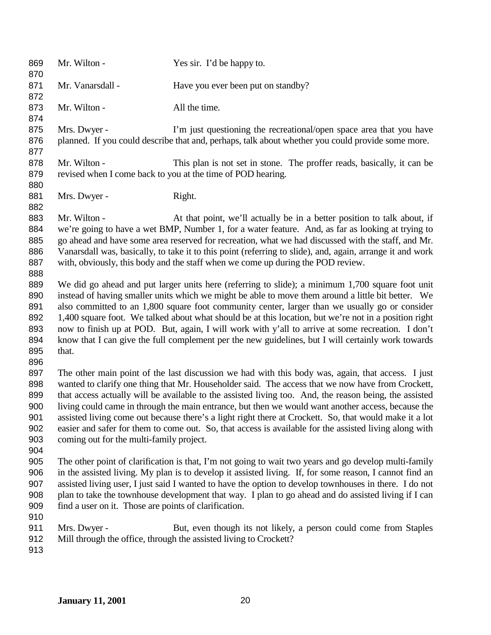| 869<br>870                                                  | Mr. Wilton -                                                                                                                                                                                                                                                                                                                                                                                                                                                                                                                                                                                                                                                                           | Yes sir. I'd be happy to.                                                                                                                                                                                                                                                                                                                                                                                                                                                                                                                                                                                                    |
|-------------------------------------------------------------|----------------------------------------------------------------------------------------------------------------------------------------------------------------------------------------------------------------------------------------------------------------------------------------------------------------------------------------------------------------------------------------------------------------------------------------------------------------------------------------------------------------------------------------------------------------------------------------------------------------------------------------------------------------------------------------|------------------------------------------------------------------------------------------------------------------------------------------------------------------------------------------------------------------------------------------------------------------------------------------------------------------------------------------------------------------------------------------------------------------------------------------------------------------------------------------------------------------------------------------------------------------------------------------------------------------------------|
| 871<br>872                                                  | Mr. Vanarsdall -                                                                                                                                                                                                                                                                                                                                                                                                                                                                                                                                                                                                                                                                       | Have you ever been put on standby?                                                                                                                                                                                                                                                                                                                                                                                                                                                                                                                                                                                           |
| 873<br>874                                                  | Mr. Wilton -                                                                                                                                                                                                                                                                                                                                                                                                                                                                                                                                                                                                                                                                           | All the time.                                                                                                                                                                                                                                                                                                                                                                                                                                                                                                                                                                                                                |
| 875<br>876<br>877                                           | Mrs. Dwyer -                                                                                                                                                                                                                                                                                                                                                                                                                                                                                                                                                                                                                                                                           | I'm just questioning the recreational/open space area that you have<br>planned. If you could describe that and, perhaps, talk about whether you could provide some more.                                                                                                                                                                                                                                                                                                                                                                                                                                                     |
| 878<br>879                                                  | Mr. Wilton -                                                                                                                                                                                                                                                                                                                                                                                                                                                                                                                                                                                                                                                                           | This plan is not set in stone. The proffer reads, basically, it can be<br>revised when I come back to you at the time of POD hearing.                                                                                                                                                                                                                                                                                                                                                                                                                                                                                        |
| 880<br>881<br>882                                           | Mrs. Dwyer -                                                                                                                                                                                                                                                                                                                                                                                                                                                                                                                                                                                                                                                                           | Right.                                                                                                                                                                                                                                                                                                                                                                                                                                                                                                                                                                                                                       |
| 883<br>884<br>885<br>886<br>887                             | Mr. Wilton -                                                                                                                                                                                                                                                                                                                                                                                                                                                                                                                                                                                                                                                                           | At that point, we'll actually be in a better position to talk about, if<br>we're going to have a wet BMP, Number 1, for a water feature. And, as far as looking at trying to<br>go ahead and have some area reserved for recreation, what we had discussed with the staff, and Mr.<br>Vanarsdall was, basically, to take it to this point (referring to slide), and, again, arrange it and work<br>with, obviously, this body and the staff when we come up during the POD review.                                                                                                                                           |
| 888<br>889<br>890<br>891<br>892<br>893<br>894<br>895<br>896 | that.                                                                                                                                                                                                                                                                                                                                                                                                                                                                                                                                                                                                                                                                                  | We did go ahead and put larger units here (referring to slide); a minimum 1,700 square foot unit<br>instead of having smaller units which we might be able to move them around a little bit better. We<br>also committed to an 1,800 square foot community center, larger than we usually go or consider<br>1,400 square foot. We talked about what should be at this location, but we're not in a position right<br>now to finish up at POD. But, again, I will work with y'all to arrive at some recreation. I don't<br>know that I can give the full complement per the new guidelines, but I will certainly work towards |
| 897<br>898<br>899<br>900<br>901<br>902<br>903<br>904        | The other main point of the last discussion we had with this body was, again, that access. I just<br>wanted to clarify one thing that Mr. Householder said. The access that we now have from Crockett,<br>that access actually will be available to the assisted living too. And, the reason being, the assisted<br>living could came in through the main entrance, but then we would want another access, because the<br>assisted living come out because there's a light right there at Crockett. So, that would make it a lot<br>easier and safer for them to come out. So, that access is available for the assisted living along with<br>coming out for the multi-family project. |                                                                                                                                                                                                                                                                                                                                                                                                                                                                                                                                                                                                                              |
| 905<br>906<br>907<br>908<br>909<br>910                      | find a user on it. Those are points of clarification.                                                                                                                                                                                                                                                                                                                                                                                                                                                                                                                                                                                                                                  | The other point of clarification is that, I'm not going to wait two years and go develop multi-family<br>in the assisted living. My plan is to develop it assisted living. If, for some reason, I cannot find an<br>assisted living user, I just said I wanted to have the option to develop townhouses in there. I do not<br>plan to take the townhouse development that way. I plan to go ahead and do assisted living if I can                                                                                                                                                                                            |
| 911<br>912<br>913                                           | Mrs. Dwyer -                                                                                                                                                                                                                                                                                                                                                                                                                                                                                                                                                                                                                                                                           | But, even though its not likely, a person could come from Staples<br>Mill through the office, through the assisted living to Crockett?                                                                                                                                                                                                                                                                                                                                                                                                                                                                                       |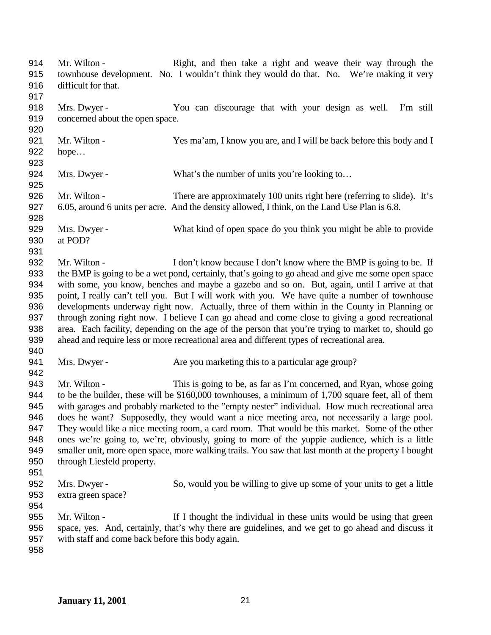| 914<br>915<br>916<br>917 | Mr. Wilton -<br>difficult for that.              | Right, and then take a right and weave their way through the<br>townhouse development. No. I wouldn't think they would do that. No. We're making it very |
|--------------------------|--------------------------------------------------|----------------------------------------------------------------------------------------------------------------------------------------------------------|
| 918                      | Mrs. Dwyer -                                     | You can discourage that with your design as well.<br>I'm still                                                                                           |
| 919                      | concerned about the open space.                  |                                                                                                                                                          |
| 920                      |                                                  |                                                                                                                                                          |
| 921                      | Mr. Wilton -                                     | Yes ma'am, I know you are, and I will be back before this body and I                                                                                     |
| 922                      | hope                                             |                                                                                                                                                          |
| 923                      |                                                  |                                                                                                                                                          |
| 924                      | Mrs. Dwyer -                                     | What's the number of units you're looking to                                                                                                             |
| 925                      |                                                  |                                                                                                                                                          |
| 926                      | Mr. Wilton -                                     | There are approximately 100 units right here (referring to slide). It's                                                                                  |
| 927                      |                                                  | 6.05, around 6 units per acre. And the density allowed, I think, on the Land Use Plan is 6.8.                                                            |
| 928                      |                                                  |                                                                                                                                                          |
| 929                      | Mrs. Dwyer -                                     | What kind of open space do you think you might be able to provide                                                                                        |
| 930                      | at POD?                                          |                                                                                                                                                          |
| 931                      |                                                  |                                                                                                                                                          |
| 932                      | Mr. Wilton -                                     | I don't know because I don't know where the BMP is going to be. If                                                                                       |
| 933                      |                                                  | the BMP is going to be a wet pond, certainly, that's going to go ahead and give me some open space                                                       |
| 934                      |                                                  | with some, you know, benches and maybe a gazebo and so on. But, again, until I arrive at that                                                            |
| 935                      |                                                  | point, I really can't tell you. But I will work with you. We have quite a number of townhouse                                                            |
| 936                      |                                                  | developments underway right now. Actually, three of them within in the County in Planning or                                                             |
| 937                      |                                                  | through zoning right now. I believe I can go ahead and come close to giving a good recreational                                                          |
| 938                      |                                                  | area. Each facility, depending on the age of the person that you're trying to market to, should go                                                       |
| 939                      |                                                  | ahead and require less or more recreational area and different types of recreational area.                                                               |
| 940                      |                                                  |                                                                                                                                                          |
| 941                      | Mrs. Dwyer -                                     | Are you marketing this to a particular age group?                                                                                                        |
| 942                      |                                                  |                                                                                                                                                          |
| 943                      | Mr. Wilton -                                     | This is going to be, as far as I'm concerned, and Ryan, whose going                                                                                      |
| 944                      |                                                  | to be the builder, these will be \$160,000 townhouses, a minimum of 1,700 square feet, all of them                                                       |
| 945                      |                                                  | with garages and probably marketed to the "empty nester" individual. How much recreational area                                                          |
| 946                      |                                                  | does he want? Supposedly, they would want a nice meeting area, not necessarily a large pool.                                                             |
| 947                      |                                                  | They would like a nice meeting room, a card room. That would be this market. Some of the other                                                           |
| 948                      |                                                  | ones we're going to, we're, obviously, going to more of the yuppie audience, which is a little                                                           |
| 949                      |                                                  | smaller unit, more open space, more walking trails. You saw that last month at the property I bought                                                     |
| 950                      | through Liesfeld property.                       |                                                                                                                                                          |
| 951                      |                                                  |                                                                                                                                                          |
| 952                      | Mrs. Dwyer -                                     | So, would you be willing to give up some of your units to get a little                                                                                   |
| 953                      | extra green space?                               |                                                                                                                                                          |
| 954                      |                                                  |                                                                                                                                                          |
| 955                      | Mr. Wilton -                                     | If I thought the individual in these units would be using that green                                                                                     |
| 956                      |                                                  | space, yes. And, certainly, that's why there are guidelines, and we get to go ahead and discuss it                                                       |
| 957                      | with staff and come back before this body again. |                                                                                                                                                          |
| 958                      |                                                  |                                                                                                                                                          |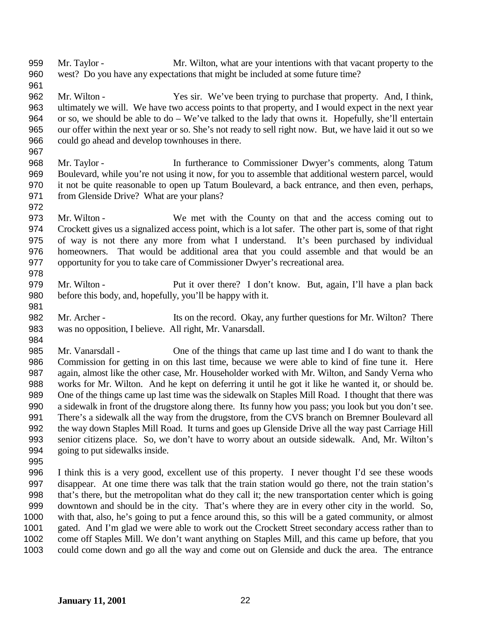- Mr. Taylor Mr. Wilton, what are your intentions with that vacant property to the west? Do you have any expectations that might be included at some future time?
- Mr. Wilton Yes sir. We've been trying to purchase that property. And, I think, ultimately we will. We have two access points to that property, and I would expect in the next year or so, we should be able to do – We've talked to the lady that owns it. Hopefully, she'll entertain our offer within the next year or so. She's not ready to sell right now. But, we have laid it out so we could go ahead and develop townhouses in there.
- Mr. Taylor In furtherance to Commissioner Dwyer's comments, along Tatum Boulevard, while you're not using it now, for you to assemble that additional western parcel, would it not be quite reasonable to open up Tatum Boulevard, a back entrance, and then even, perhaps, from Glenside Drive? What are your plans?
- 

- Mr. Wilton We met with the County on that and the access coming out to Crockett gives us a signalized access point, which is a lot safer. The other part is, some of that right of way is not there any more from what I understand. It's been purchased by individual homeowners. That would be additional area that you could assemble and that would be an opportunity for you to take care of Commissioner Dwyer's recreational area.
- Mr. Wilton Put it over there? I don't know. But, again, I'll have a plan back before this body, and, hopefully, you'll be happy with it.
- 982 Mr. Archer Its on the record. Okay, any further questions for Mr. Wilton? There was no opposition, I believe. All right, Mr. Vanarsdall.
- Mr. Vanarsdall One of the things that came up last time and I do want to thank the Commission for getting in on this last time, because we were able to kind of fine tune it. Here again, almost like the other case, Mr. Householder worked with Mr. Wilton, and Sandy Verna who works for Mr. Wilton. And he kept on deferring it until he got it like he wanted it, or should be. One of the things came up last time was the sidewalk on Staples Mill Road. I thought that there was a sidewalk in front of the drugstore along there. Its funny how you pass; you look but you don't see. There's a sidewalk all the way from the drugstore, from the CVS branch on Bremner Boulevard all the way down Staples Mill Road. It turns and goes up Glenside Drive all the way past Carriage Hill senior citizens place. So, we don't have to worry about an outside sidewalk. And, Mr. Wilton's going to put sidewalks inside.
- 

 I think this is a very good, excellent use of this property. I never thought I'd see these woods disappear. At one time there was talk that the train station would go there, not the train station's that's there, but the metropolitan what do they call it; the new transportation center which is going downtown and should be in the city. That's where they are in every other city in the world. So, with that, also, he's going to put a fence around this, so this will be a gated community, or almost gated. And I'm glad we were able to work out the Crockett Street secondary access rather than to come off Staples Mill. We don't want anything on Staples Mill, and this came up before, that you could come down and go all the way and come out on Glenside and duck the area. The entrance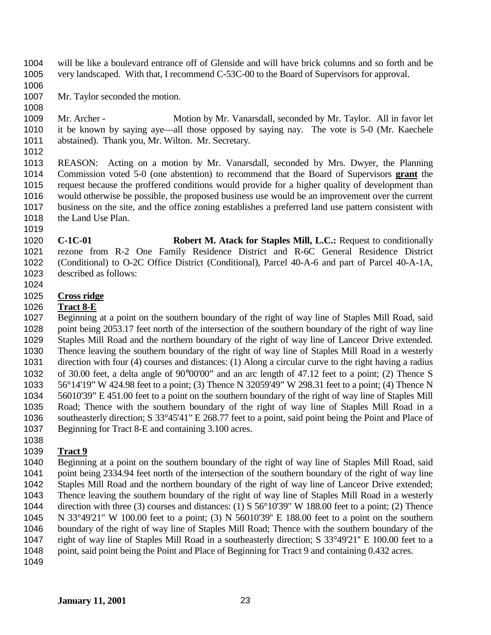- will be like a boulevard entrance off of Glenside and will have brick columns and so forth and be very landscaped. With that, I recommend C-53C-00 to the Board of Supervisors for approval.
- 
- Mr. Taylor seconded the motion.
- 
- 1009 Mr. Archer Motion by Mr. Vanarsdall, seconded by Mr. Taylor. All in favor let it be known by saying aye—all those opposed by saying nay. The vote is 5-0 (Mr. Kaechele abstained). Thank you, Mr. Wilton. Mr. Secretary.
- 
- REASON: Acting on a motion by Mr. Vanarsdall, seconded by Mrs. Dwyer, the Planning Commission voted 5-0 (one abstention) to recommend that the Board of Supervisors **grant** the request because the proffered conditions would provide for a higher quality of development than would otherwise be possible, the proposed business use would be an improvement over the current business on the site, and the office zoning establishes a preferred land use pattern consistent with 1018 the Land Use Plan.
- **C-1C-01 Robert M. Atack for Staples Mill, L.C.:** Request to conditionally rezone from R-2 One Family Residence District and R-6C General Residence District (Conditional) to O-2C Office District (Conditional), Parcel 40-A-6 and part of Parcel 40-A-1A, described as follows:
- 

## **Cross ridge**

## **Tract 8-E**

 Beginning at a point on the southern boundary of the right of way line of Staples Mill Road, said point being 2053.17 feet north of the intersection of the southern boundary of the right of way line Staples Mill Road and the northern boundary of the right of way line of Lanceor Drive extended. Thence leaving the southern boundary of the right of way line of Staples Mill Road in a westerly direction with four (4) courses and distances: (1) Along a circular curve to the right having a radius of 30.00 feet, a delta angle of 90°00'00" and an arc length of 47.12 feet to a point; (2) Thence S 56°14'19" W 424.98 feet to a point; (3) Thence N 32059'49" W 298.31 feet to a point; (4) Thence N 56010'39" E 451.00 feet to a point on the southern boundary of the right of way line of Staples Mill Road; Thence with the southern boundary of the right of way line of Staples Mill Road in a southeasterly direction; S 33°45'41" E 268.77 feet to a point, said point being the Point and Place of Beginning for Tract 8-E and containing 3.100 acres.

# **Tract 9**

 Beginning at a point on the southern boundary of the right of way line of Staples Mill Road, said point being 2334.94 feet north of the intersection of the southern boundary of the right of way line Staples Mill Road and the northern boundary of the right of way line of Lanceor Drive extended; Thence leaving the southern boundary of the right of way line of Staples Mill Road in a westerly direction with three (3) courses and distances: (1) S 56°10'39" W 188.00 feet to a point; (2) Thence N 33°49'21" W 100.00 feet to a point; (3) N 56010'39'' E 188.00 feet to a point on the southern boundary of the right of way line of Staples Mill Road; Thence with the southern boundary of the right of way line of Staples Mill Road in a southeasterly direction; S 33°49'21'' E 100.00 feet to a 1048 point, said point being the Point and Place of Beginning for Tract 9 and containing 0.432 acres.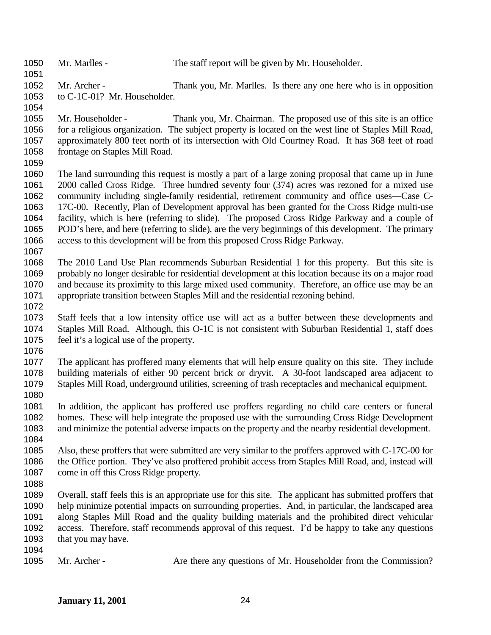Mr. Marlles - The staff report will be given by Mr. Householder. Mr. Archer - Thank you, Mr. Marlles. Is there any one here who is in opposition to C-1C-01? Mr. Householder. Mr. Householder - Thank you, Mr. Chairman. The proposed use of this site is an office for a religious organization. The subject property is located on the west line of Staples Mill Road, approximately 800 feet north of its intersection with Old Courtney Road. It has 368 feet of road frontage on Staples Mill Road. The land surrounding this request is mostly a part of a large zoning proposal that came up in June 2000 called Cross Ridge. Three hundred seventy four (374) acres was rezoned for a mixed use community including single-family residential, retirement community and office uses—Case C- 17C-00. Recently, Plan of Development approval has been granted for the Cross Ridge multi-use facility, which is here (referring to slide). The proposed Cross Ridge Parkway and a couple of POD's here, and here (referring to slide), are the very beginnings of this development. The primary access to this development will be from this proposed Cross Ridge Parkway. The 2010 Land Use Plan recommends Suburban Residential 1 for this property. But this site is probably no longer desirable for residential development at this location because its on a major road and because its proximity to this large mixed used community. Therefore, an office use may be an appropriate transition between Staples Mill and the residential rezoning behind. Staff feels that a low intensity office use will act as a buffer between these developments and Staples Mill Road. Although, this O-1C is not consistent with Suburban Residential 1, staff does feel it's a logical use of the property. The applicant has proffered many elements that will help ensure quality on this site. They include building materials of either 90 percent brick or dryvit. A 30-foot landscaped area adjacent to Staples Mill Road, underground utilities, screening of trash receptacles and mechanical equipment. In addition, the applicant has proffered use proffers regarding no child care centers or funeral homes. These will help integrate the proposed use with the surrounding Cross Ridge Development and minimize the potential adverse impacts on the property and the nearby residential development. Also, these proffers that were submitted are very similar to the proffers approved with C-17C-00 for the Office portion. They've also proffered prohibit access from Staples Mill Road, and, instead will come in off this Cross Ridge property. Overall, staff feels this is an appropriate use for this site. The applicant has submitted proffers that help minimize potential impacts on surrounding properties. And, in particular, the landscaped area along Staples Mill Road and the quality building materials and the prohibited direct vehicular access. Therefore, staff recommends approval of this request. I'd be happy to take any questions 1093 that you may have. 1095 Mr. Archer - Are there any questions of Mr. Householder from the Commission?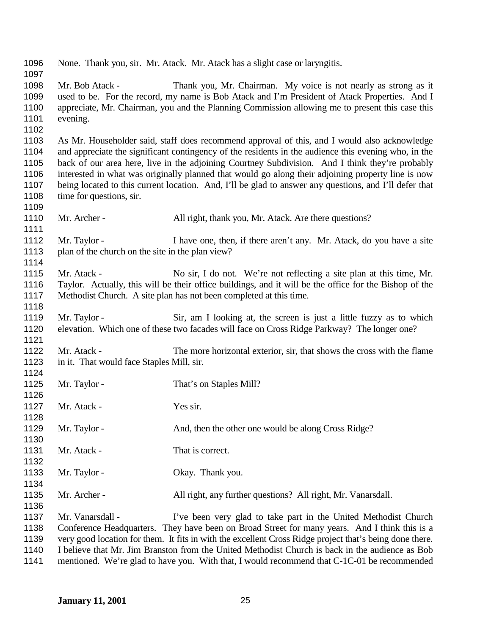None. Thank you, sir. Mr. Atack. Mr. Atack has a slight case or laryngitis. Mr. Bob Atack - Thank you, Mr. Chairman. My voice is not nearly as strong as it used to be. For the record, my name is Bob Atack and I'm President of Atack Properties. And I appreciate, Mr. Chairman, you and the Planning Commission allowing me to present this case this evening. As Mr. Householder said, staff does recommend approval of this, and I would also acknowledge and appreciate the significant contingency of the residents in the audience this evening who, in the back of our area here, live in the adjoining Courtney Subdivision. And I think they're probably interested in what was originally planned that would go along their adjoining property line is now being located to this current location. And, I'll be glad to answer any questions, and I'll defer that 1108 time for questions, sir. 1110 Mr. Archer - All right, thank you, Mr. Atack. Are there questions? 1112 Mr. Taylor - I have one, then, if there aren't any. Mr. Atack, do you have a site plan of the church on the site in the plan view? 1115 Mr. Atack - No sir, I do not. We're not reflecting a site plan at this time, Mr. Taylor. Actually, this will be their office buildings, and it will be the office for the Bishop of the Methodist Church. A site plan has not been completed at this time. 1119 Mr. Taylor - Sir, am I looking at, the screen is just a little fuzzy as to which elevation. Which one of these two facades will face on Cross Ridge Parkway? The longer one? Mr. Atack - The more horizontal exterior, sir, that shows the cross with the flame in it. That would face Staples Mill, sir. 1125 Mr. Taylor - That's on Staples Mill? 1127 Mr. Atack - Yes sir. 1129 Mr. Taylor - And, then the other one would be along Cross Ridge? 1131 Mr. Atack - That is correct. 1133 Mr. Taylor - Okay. Thank you. Mr. Archer - All right, any further questions? All right, Mr. Vanarsdall. Mr. Vanarsdall - I've been very glad to take part in the United Methodist Church Conference Headquarters. They have been on Broad Street for many years. And I think this is a very good location for them. It fits in with the excellent Cross Ridge project that's being done there. I believe that Mr. Jim Branston from the United Methodist Church is back in the audience as Bob mentioned. We're glad to have you. With that, I would recommend that C-1C-01 be recommended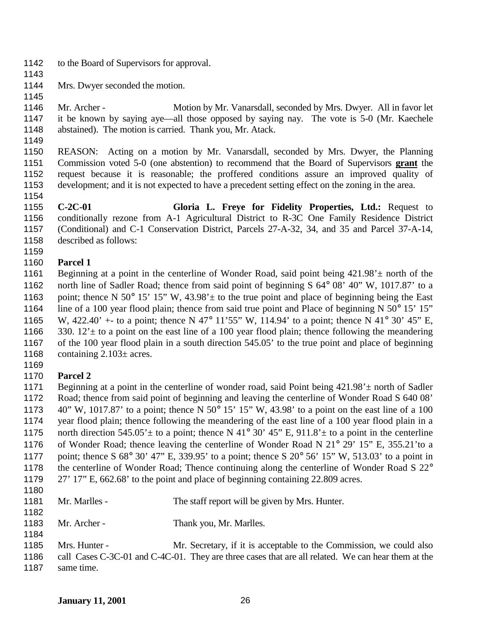- to the Board of Supervisors for approval.
- 

- Mrs. Dwyer seconded the motion.
- Mr. Archer Motion by Mr. Vanarsdall, seconded by Mrs. Dwyer. All in favor let it be known by saying aye—all those opposed by saying nay. The vote is 5-0 (Mr. Kaechele abstained). The motion is carried. Thank you, Mr. Atack.
- 

 REASON: Acting on a motion by Mr. Vanarsdall, seconded by Mrs. Dwyer, the Planning Commission voted 5-0 (one abstention) to recommend that the Board of Supervisors **grant** the request because it is reasonable; the proffered conditions assure an improved quality of development; and it is not expected to have a precedent setting effect on the zoning in the area. 

 **C-2C-01 Gloria L. Freye for Fidelity Properties, Ltd.:** Request to conditionally rezone from A-1 Agricultural District to R-3C One Family Residence District (Conditional) and C-1 Conservation District, Parcels 27-A-32, 34, and 35 and Parcel 37-A-14, described as follows:

### **Parcel 1**

1161 Beginning at a point in the centerline of Wonder Road, said point being  $421.98' \pm$  north of the north line of Sadler Road; thence from said point of beginning S 64° 08' 40" W, 1017.87' to a 1163 point; thence N 50° 15' 15" W, 43.98'  $\pm$  to the true point and place of beginning being the East 1164 line of a 100 year flood plain; thence from said true point and Place of beginning N 50° 15' 15" W, 422.40' +- to a point; thence N 47° 11'55" W, 114.94' to a point; thence N 41° 30' 45" E, 1166 330.  $12^{\circ}$  to a point on the east line of a 100 year flood plain; thence following the meandering of the 100 year flood plain in a south direction 545.05' to the true point and place of beginning 1168 containing  $2.103\pm$  acres.

### **Parcel 2**

1171 Beginning at a point in the centerline of wonder road, said Point being  $421.98' \pm$  north of Sadler Road; thence from said point of beginning and leaving the centerline of Wonder Road S 640 08' 40" W, 1017.87' to a point; thence N 50° 15' 15" W, 43.98' to a point on the east line of a 100 year flood plain; thence following the meandering of the east line of a 100 year flood plain in a 1175 north direction  $545.05' \pm$  to a point; thence N 41° 30' 45" E, 911.8'  $\pm$  to a point in the centerline 1176 of Wonder Road; thence leaving the centerline of Wonder Road N 21° 29' 15" E, 355.21'to a point; thence S 68° 30' 47" E, 339.95' to a point; thence S 20° 56' 15" W, 513.03' to a point in 1178 the centerline of Wonder Road; Thence continuing along the centerline of Wonder Road S 22° 27' 17" E, 662.68' to the point and place of beginning containing 22.809 acres. 

- 1181 Mr. Marlles The staff report will be given by Mrs. Hunter.
- 1183 Mr. Archer Thank you, Mr. Marlles.
- Mrs. Hunter Mr. Secretary, if it is acceptable to the Commission, we could also call Cases C-3C-01 and C-4C-01. They are three cases that are all related. We can hear them at the same time.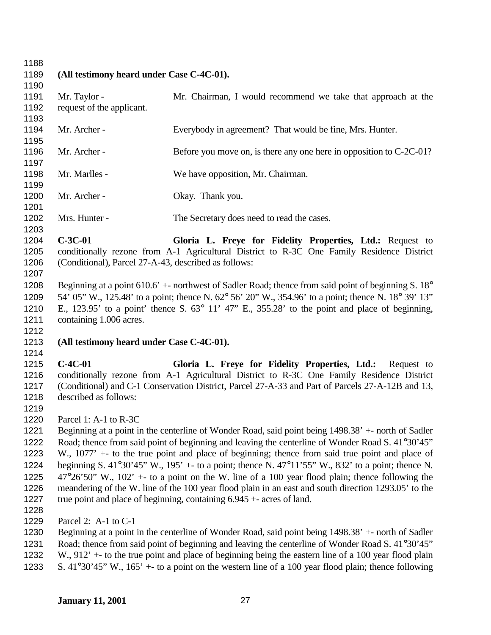**(All testimony heard under Case C-4C-01).** Mr. Taylor - Mr. Chairman, I would recommend we take that approach at the request of the applicant. 1194 Mr. Archer - Everybody in agreement? That would be fine, Mrs. Hunter. 1196 Mr. Archer - Before you move on, is there any one here in opposition to C-2C-01? Mr. Marlles - We have opposition, Mr. Chairman. 1200 Mr. Archer - Okay. Thank you. 1202 Mrs. Hunter - The Secretary does need to read the cases. **C-3C-01 Gloria L. Freye for Fidelity Properties, Ltd.:** Request to conditionally rezone from A-1 Agricultural District to R-3C One Family Residence District (Conditional), Parcel 27-A-43, described as follows: Beginning at a point 610.6' +- northwest of Sadler Road; thence from said point of beginning S. 18° 54' 05" W., 125.48' to a point; thence N. 62° 56' 20" W., 354.96' to a point; thence N. 18° 39' 13" E., 123.95' to a point' thence S. 63° 11' 47" E., 355.28' to the point and place of beginning, 1211 containing 1.006 acres. **(All testimony heard under Case C-4C-01). C-4C-01 Gloria L. Freye for Fidelity Properties, Ltd.:** Request to conditionally rezone from A-1 Agricultural District to R-3C One Family Residence District (Conditional) and C-1 Conservation District, Parcel 27-A-33 and Part of Parcels 27-A-12B and 13, described as follows: Parcel 1: A-1 to R-3C Beginning at a point in the centerline of Wonder Road, said point being 1498.38' +- north of Sadler Road; thence from said point of beginning and leaving the centerline of Wonder Road S. 41°30'45" W., 1077' +- to the true point and place of beginning; thence from said true point and place of beginning S. 41°30'45" W., 195' +- to a point; thence N. 47°11'55" W., 832' to a point; thence N. 1225  $47^{\circ}26'50''$  W.,  $102' +$ - to a point on the W. line of a 100 year flood plain; thence following the meandering of the W. line of the 100 year flood plain in an east and south direction 1293.05' to the true point and place of beginning, containing 6.945 +- acres of land. Parcel 2: A-1 to C-1 Beginning at a point in the centerline of Wonder Road, said point being 1498.38' +- north of Sadler 1231 Road; thence from said point of beginning and leaving the centerline of Wonder Road S, 41°30'45"

 W., 912' +- to the true point and place of beginning being the eastern line of a 100 year flood plain S. 41°30'45" W., 165' +- to a point on the western line of a 100 year flood plain; thence following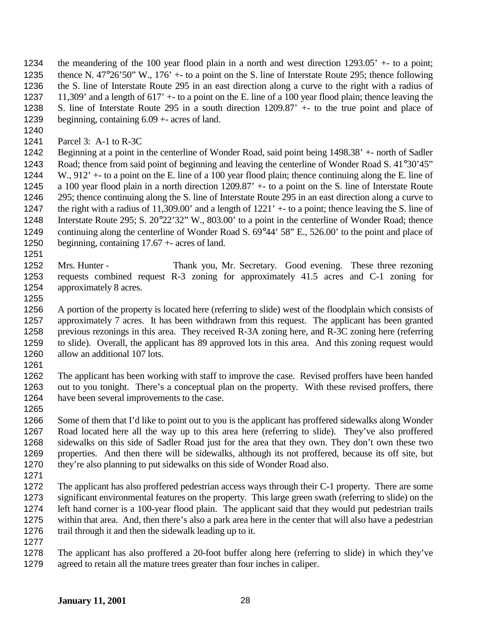the meandering of the 100 year flood plain in a north and west direction 1293.05' +- to a point; thence N. 47°26'50" W., 176' +- to a point on the S. line of Interstate Route 295; thence following the S. line of Interstate Route 295 in an east direction along a curve to the right with a radius of 11,309' and a length of 617' +- to a point on the E. line of a 100 year flood plain; thence leaving the S. line of Interstate Route 295 in a south direction 1209.87' +- to the true point and place of beginning, containing 6.09 +- acres of land.

Parcel 3: A-1 to R-3C

 Beginning at a point in the centerline of Wonder Road, said point being 1498.38' +- north of Sadler Road; thence from said point of beginning and leaving the centerline of Wonder Road S. 41°30'45" W., 912' +- to a point on the E. line of a 100 year flood plain; thence continuing along the E. line of a 100 year flood plain in a north direction 1209.87' +- to a point on the S. line of Interstate Route 295; thence continuing along the S. line of Interstate Route 295 in an east direction along a curve to the right with a radius of 11,309.00' and a length of 1221' +- to a point; thence leaving the S. line of Interstate Route 295; S. 20°22'32" W., 803.00' to a point in the centerline of Wonder Road; thence continuing along the centerline of Wonder Road S. 69°44' 58" E., 526.00' to the point and place of beginning, containing 17.67 +- acres of land.

 Mrs. Hunter - Thank you, Mr. Secretary. Good evening. These three rezoning requests combined request R-3 zoning for approximately 41.5 acres and C-1 zoning for approximately 8 acres.

 A portion of the property is located here (referring to slide) west of the floodplain which consists of approximately 7 acres. It has been withdrawn from this request. The applicant has been granted 1258 previous rezonings in this area. They received R-3A zoning here, and R-3C zoning here (referring to slide). Overall, the applicant has 89 approved lots in this area. And this zoning request would allow an additional 107 lots.

 The applicant has been working with staff to improve the case. Revised proffers have been handed out to you tonight. There's a conceptual plan on the property. With these revised proffers, there have been several improvements to the case.

 Some of them that I'd like to point out to you is the applicant has proffered sidewalks along Wonder Road located here all the way up to this area here (referring to slide). They've also proffered sidewalks on this side of Sadler Road just for the area that they own. They don't own these two properties. And then there will be sidewalks, although its not proffered, because its off site, but they're also planning to put sidewalks on this side of Wonder Road also.

 The applicant has also proffered pedestrian access ways through their C-1 property. There are some significant environmental features on the property. This large green swath (referring to slide) on the left hand corner is a 100-year flood plain. The applicant said that they would put pedestrian trails within that area. And, then there's also a park area here in the center that will also have a pedestrian trail through it and then the sidewalk leading up to it. 

 The applicant has also proffered a 20-foot buffer along here (referring to slide) in which they've agreed to retain all the mature trees greater than four inches in caliper.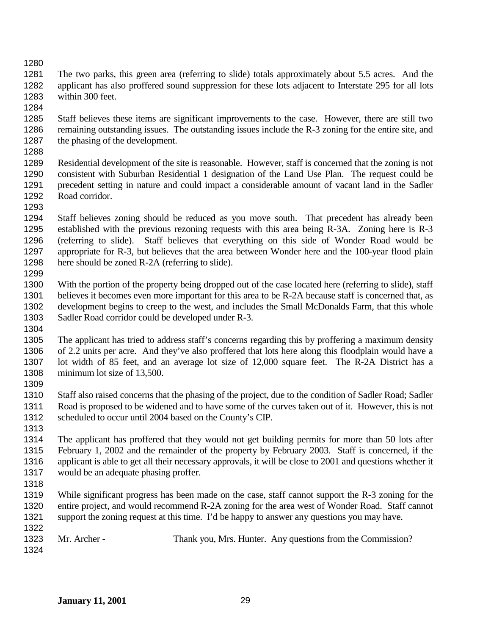The two parks, this green area (referring to slide) totals approximately about 5.5 acres. And the applicant has also proffered sound suppression for these lots adjacent to Interstate 295 for all lots within 300 feet.

 Staff believes these items are significant improvements to the case. However, there are still two remaining outstanding issues. The outstanding issues include the R-3 zoning for the entire site, and the phasing of the development.

 Residential development of the site is reasonable. However, staff is concerned that the zoning is not consistent with Suburban Residential 1 designation of the Land Use Plan. The request could be precedent setting in nature and could impact a considerable amount of vacant land in the Sadler Road corridor.

 Staff believes zoning should be reduced as you move south. That precedent has already been established with the previous rezoning requests with this area being R-3A. Zoning here is R-3 (referring to slide). Staff believes that everything on this side of Wonder Road would be appropriate for R-3, but believes that the area between Wonder here and the 100-year flood plain here should be zoned R-2A (referring to slide). 

 With the portion of the property being dropped out of the case located here (referring to slide), staff 1301 believes it becomes even more important for this area to be R-2A because staff is concerned that, as development begins to creep to the west, and includes the Small McDonalds Farm, that this whole Sadler Road corridor could be developed under R-3.

- The applicant has tried to address staff's concerns regarding this by proffering a maximum density of 2.2 units per acre. And they've also proffered that lots here along this floodplain would have a lot width of 85 feet, and an average lot size of 12,000 square feet. The R-2A District has a 1308 minimum lot size of 13,500.
- 

 Staff also raised concerns that the phasing of the project, due to the condition of Sadler Road; Sadler Road is proposed to be widened and to have some of the curves taken out of it. However, this is not scheduled to occur until 2004 based on the County's CIP.

 The applicant has proffered that they would not get building permits for more than 50 lots after February 1, 2002 and the remainder of the property by February 2003. Staff is concerned, if the applicant is able to get all their necessary approvals, it will be close to 2001 and questions whether it would be an adequate phasing proffer.

 While significant progress has been made on the case, staff cannot support the R-3 zoning for the entire project, and would recommend R-2A zoning for the area west of Wonder Road. Staff cannot support the zoning request at this time. I'd be happy to answer any questions you may have.

|      | 1323 Mr. Archer - | Thank you, Mrs. Hunter. Any questions from the Commission? |
|------|-------------------|------------------------------------------------------------|
| 1324 |                   |                                                            |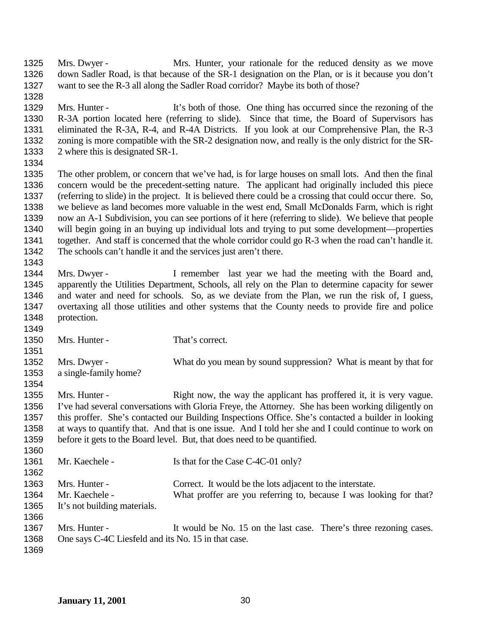Mrs. Dwyer - Mrs. Hunter, your rationale for the reduced density as we move down Sadler Road, is that because of the SR-1 designation on the Plan, or is it because you don't want to see the R-3 all along the Sadler Road corridor? Maybe its both of those?

 Mrs. Hunter - It's both of those. One thing has occurred since the rezoning of the R-3A portion located here (referring to slide). Since that time, the Board of Supervisors has eliminated the R-3A, R-4, and R-4A Districts. If you look at our Comprehensive Plan, the R-3 zoning is more compatible with the SR-2 designation now, and really is the only district for the SR-2 where this is designated SR-1.

 The other problem, or concern that we've had, is for large houses on small lots. And then the final concern would be the precedent-setting nature. The applicant had originally included this piece (referring to slide) in the project. It is believed there could be a crossing that could occur there. So, we believe as land becomes more valuable in the west end, Small McDonalds Farm, which is right now an A-1 Subdivision, you can see portions of it here (referring to slide). We believe that people will begin going in an buying up individual lots and trying to put some development—properties together. And staff is concerned that the whole corridor could go R-3 when the road can't handle it. The schools can't handle it and the services just aren't there.

1344 Mrs. Dwyer - I remember last year we had the meeting with the Board and, apparently the Utilities Department, Schools, all rely on the Plan to determine capacity for sewer and water and need for schools. So, as we deviate from the Plan, we run the risk of, I guess, overtaxing all those utilities and other systems that the County needs to provide fire and police protection.

 1350 Mrs. Hunter - That's correct. Mrs. Dwyer - What do you mean by sound suppression? What is meant by that for a single-family home? 1355 Mrs. Hunter - Right now, the way the applicant has proffered it, it is very vague. I've had several conversations with Gloria Freye, the Attorney. She has been working diligently on this proffer. She's contacted our Building Inspections Office. She's contacted a builder in looking at ways to quantify that. And that is one issue. And I told her she and I could continue to work on before it gets to the Board level. But, that does need to be quantified. 1361 Mr. Kaechele - Is that for the Case C-4C-01 only? 

| 130Z |                              |                                                                    |
|------|------------------------------|--------------------------------------------------------------------|
| 1363 | Mrs. Hunter -                | Correct. It would be the lots adjacent to the interstate.          |
| 1364 | Mr. Kaechele -               | What proffer are you referring to, because I was looking for that? |
| 1365 | It's not building materials. |                                                                    |
| 1366 |                              |                                                                    |

1367 Mrs. Hunter - It would be No. 15 on the last case. There's three rezoning cases. One says C-4C Liesfeld and its No. 15 in that case.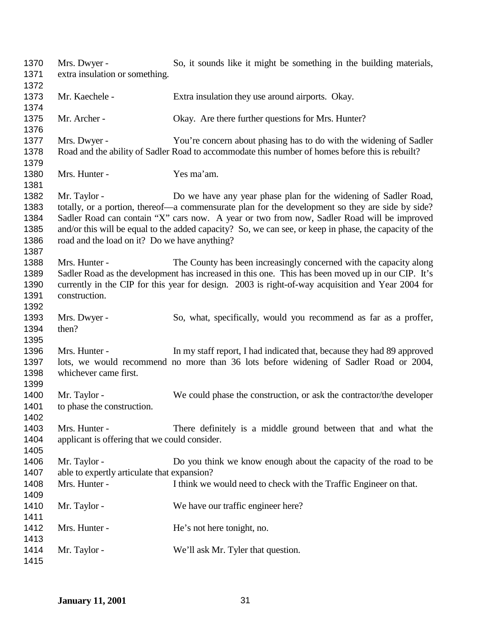| 1370<br>1371                                 | Mrs. Dwyer -<br>extra insulation or something.                               | So, it sounds like it might be something in the building materials,                                                                                                                                                                                                                                                                                                         |
|----------------------------------------------|------------------------------------------------------------------------------|-----------------------------------------------------------------------------------------------------------------------------------------------------------------------------------------------------------------------------------------------------------------------------------------------------------------------------------------------------------------------------|
| 1372<br>1373<br>1374                         | Mr. Kaechele -                                                               | Extra insulation they use around airports. Okay.                                                                                                                                                                                                                                                                                                                            |
| 1375<br>1376                                 | Mr. Archer -                                                                 | Okay. Are there further questions for Mrs. Hunter?                                                                                                                                                                                                                                                                                                                          |
| 1377<br>1378                                 | Mrs. Dwyer -                                                                 | You're concern about phasing has to do with the widening of Sadler<br>Road and the ability of Sadler Road to accommodate this number of homes before this is rebuilt?                                                                                                                                                                                                       |
| 1379<br>1380<br>1381                         | Mrs. Hunter -                                                                | Yes ma'am.                                                                                                                                                                                                                                                                                                                                                                  |
| 1382<br>1383<br>1384<br>1385<br>1386<br>1387 | Mr. Taylor -<br>road and the load on it? Do we have anything?                | Do we have any year phase plan for the widening of Sadler Road,<br>totally, or a portion, thereof—a commensurate plan for the development so they are side by side?<br>Sadler Road can contain "X" cars now. A year or two from now, Sadler Road will be improved<br>and/or this will be equal to the added capacity? So, we can see, or keep in phase, the capacity of the |
| 1388<br>1389<br>1390<br>1391<br>1392         | Mrs. Hunter -<br>construction.                                               | The County has been increasingly concerned with the capacity along<br>Sadler Road as the development has increased in this one. This has been moved up in our CIP. It's<br>currently in the CIP for this year for design. 2003 is right-of-way acquisition and Year 2004 for                                                                                                |
| 1393<br>1394<br>1395                         | Mrs. Dwyer -<br>then?                                                        | So, what, specifically, would you recommend as far as a proffer,                                                                                                                                                                                                                                                                                                            |
| 1396<br>1397<br>1398<br>1399                 | Mrs. Hunter -<br>whichever came first.                                       | In my staff report, I had indicated that, because they had 89 approved<br>lots, we would recommend no more than 36 lots before widening of Sadler Road or 2004,                                                                                                                                                                                                             |
| 1400<br>1401<br>1402                         | Mr. Taylor -<br>to phase the construction.                                   | We could phase the construction, or ask the contractor/the developer                                                                                                                                                                                                                                                                                                        |
| 1403<br>1404<br>1405                         | Mrs. Hunter -<br>applicant is offering that we could consider.               | There definitely is a middle ground between that and what the                                                                                                                                                                                                                                                                                                               |
| 1406<br>1407<br>1408                         | Mr. Taylor -<br>able to expertly articulate that expansion?<br>Mrs. Hunter - | Do you think we know enough about the capacity of the road to be<br>I think we would need to check with the Traffic Engineer on that.                                                                                                                                                                                                                                       |
| 1409<br>1410<br>1411                         | Mr. Taylor -                                                                 | We have our traffic engineer here?                                                                                                                                                                                                                                                                                                                                          |
| 1412<br>1413                                 | Mrs. Hunter -                                                                | He's not here tonight, no.                                                                                                                                                                                                                                                                                                                                                  |
| 1414<br>1415                                 | Mr. Taylor -                                                                 | We'll ask Mr. Tyler that question.                                                                                                                                                                                                                                                                                                                                          |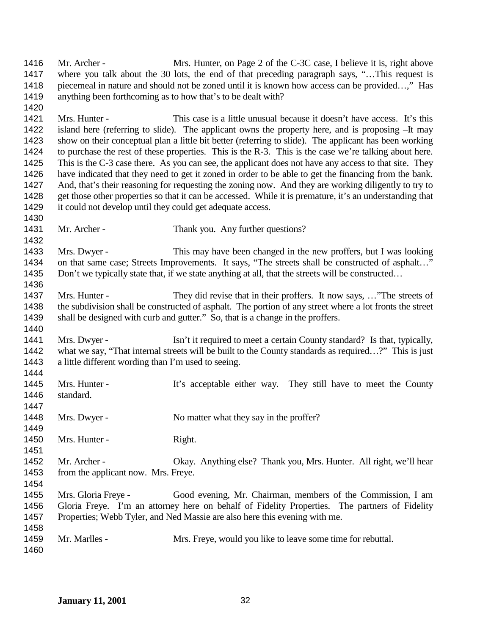1416 Mr. Archer - Mrs. Hunter, on Page 2 of the C-3C case, I believe it is, right above 1417 where you talk about the 30 lots, the end of that preceding paragraph says, "...This request is 1418 piecemeal in nature and should not be zoned until it is known how access can be provided…," Has anything been forthcoming as to how that's to be dealt with? Mrs. Hunter - This case is a little unusual because it doesn't have access. It's this island here (referring to slide). The applicant owns the property here, and is proposing –It may show on their conceptual plan a little bit better (referring to slide). The applicant has been working to purchase the rest of these properties. This is the R-3. This is the case we're talking about here. This is the C-3 case there. As you can see, the applicant does not have any access to that site. They have indicated that they need to get it zoned in order to be able to get the financing from the bank. And, that's their reasoning for requesting the zoning now. And they are working diligently to try to get those other properties so that it can be accessed. While it is premature, it's an understanding that it could not develop until they could get adequate access. 1431 Mr. Archer - Thank you. Any further questions? Mrs. Dwyer - This may have been changed in the new proffers, but I was looking 1434 on that same case; Streets Improvements. It says, "The streets shall be constructed of asphalt..." 1435 Don't we typically state that, if we state anything at all, that the streets will be constructed... 1437 Mrs. Hunter - They did revise that in their proffers. It now says, ... "The streets of the subdivision shall be constructed of asphalt. The portion of any street where a lot fronts the street shall be designed with curb and gutter." So, that is a change in the proffers. Mrs. Dwyer - Isn't it required to meet a certain County standard? Is that, typically, 1442 what we say, "That internal streets will be built to the County standards as required...?" This is just a little different wording than I'm used to seeing. 1445 Mrs. Hunter - It's acceptable either way. They still have to meet the County standard. 1448 Mrs. Dwyer - No matter what they say in the proffer? 1450 Mrs. Hunter - Right. Mr. Archer - Okay. Anything else? Thank you, Mrs. Hunter. All right, we'll hear 1453 from the applicant now. Mrs. Freye. Mrs. Gloria Freye - Good evening, Mr. Chairman, members of the Commission, I am Gloria Freye. I'm an attorney here on behalf of Fidelity Properties. The partners of Fidelity Properties; Webb Tyler, and Ned Massie are also here this evening with me. Mr. Marlles - Mrs. Freye, would you like to leave some time for rebuttal.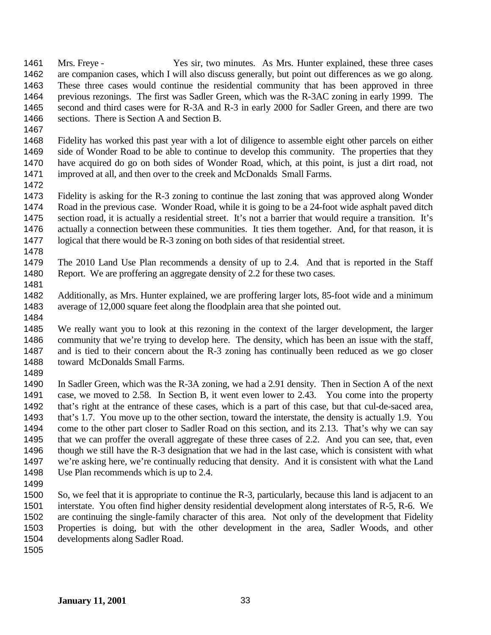Mrs. Freye - Yes sir, two minutes. As Mrs. Hunter explained, these three cases are companion cases, which I will also discuss generally, but point out differences as we go along. These three cases would continue the residential community that has been approved in three previous rezonings. The first was Sadler Green, which was the R-3AC zoning in early 1999. The second and third cases were for R-3A and R-3 in early 2000 for Sadler Green, and there are two sections. There is Section A and Section B.

 Fidelity has worked this past year with a lot of diligence to assemble eight other parcels on either side of Wonder Road to be able to continue to develop this community. The properties that they have acquired do go on both sides of Wonder Road, which, at this point, is just a dirt road, not improved at all, and then over to the creek and McDonalds Small Farms.

 Fidelity is asking for the R-3 zoning to continue the last zoning that was approved along Wonder Road in the previous case. Wonder Road, while it is going to be a 24-foot wide asphalt paved ditch section road, it is actually a residential street. It's not a barrier that would require a transition. It's 1476 actually a connection between these communities. It ties them together. And, for that reason, it is logical that there would be R-3 zoning on both sides of that residential street.

 The 2010 Land Use Plan recommends a density of up to 2.4. And that is reported in the Staff Report. We are proffering an aggregate density of 2.2 for these two cases. 

 Additionally, as Mrs. Hunter explained, we are proffering larger lots, 85-foot wide and a minimum average of 12,000 square feet along the floodplain area that she pointed out.

 We really want you to look at this rezoning in the context of the larger development, the larger community that we're trying to develop here. The density, which has been an issue with the staff, and is tied to their concern about the R-3 zoning has continually been reduced as we go closer toward McDonalds Small Farms.

 In Sadler Green, which was the R-3A zoning, we had a 2.91 density. Then in Section A of the next case, we moved to 2.58. In Section B, it went even lower to 2.43. You come into the property that's right at the entrance of these cases, which is a part of this case, but that cul-de-saced area, that's 1.7. You move up to the other section, toward the interstate, the density is actually 1.9. You come to the other part closer to Sadler Road on this section, and its 2.13. That's why we can say that we can proffer the overall aggregate of these three cases of 2.2. And you can see, that, even though we still have the R-3 designation that we had in the last case, which is consistent with what we're asking here, we're continually reducing that density. And it is consistent with what the Land Use Plan recommends which is up to 2.4.

 So, we feel that it is appropriate to continue the R-3, particularly, because this land is adjacent to an interstate. You often find higher density residential development along interstates of R-5, R-6. We are continuing the single-family character of this area. Not only of the development that Fidelity Properties is doing, but with the other development in the area, Sadler Woods, and other developments along Sadler Road.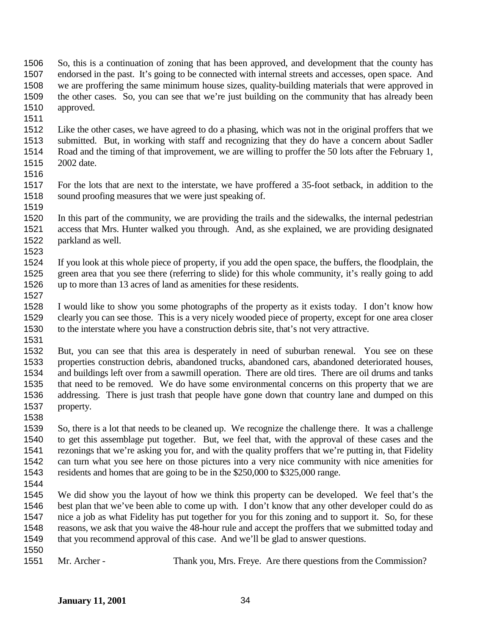- So, this is a continuation of zoning that has been approved, and development that the county has endorsed in the past. It's going to be connected with internal streets and accesses, open space. And we are proffering the same minimum house sizes, quality-building materials that were approved in the other cases. So, you can see that we're just building on the community that has already been approved.
- 
- Like the other cases, we have agreed to do a phasing, which was not in the original proffers that we submitted. But, in working with staff and recognizing that they do have a concern about Sadler Road and the timing of that improvement, we are willing to proffer the 50 lots after the February 1, 2002 date.
- 
- For the lots that are next to the interstate, we have proffered a 35-foot setback, in addition to the sound proofing measures that we were just speaking of.
- In this part of the community, we are providing the trails and the sidewalks, the internal pedestrian access that Mrs. Hunter walked you through. And, as she explained, we are providing designated parkland as well.
- If you look at this whole piece of property, if you add the open space, the buffers, the floodplain, the green area that you see there (referring to slide) for this whole community, it's really going to add up to more than 13 acres of land as amenities for these residents.
- 
- I would like to show you some photographs of the property as it exists today. I don't know how clearly you can see those. This is a very nicely wooded piece of property, except for one area closer to the interstate where you have a construction debris site, that's not very attractive.
- 
- But, you can see that this area is desperately in need of suburban renewal. You see on these properties construction debris, abandoned trucks, abandoned cars, abandoned deteriorated houses, and buildings left over from a sawmill operation. There are old tires. There are oil drums and tanks that need to be removed. We do have some environmental concerns on this property that we are addressing. There is just trash that people have gone down that country lane and dumped on this property.
- 

 So, there is a lot that needs to be cleaned up. We recognize the challenge there. It was a challenge to get this assemblage put together. But, we feel that, with the approval of these cases and the rezonings that we're asking you for, and with the quality proffers that we're putting in, that Fidelity can turn what you see here on those pictures into a very nice community with nice amenities for residents and homes that are going to be in the \$250,000 to \$325,000 range.

 We did show you the layout of how we think this property can be developed. We feel that's the best plan that we've been able to come up with. I don't know that any other developer could do as nice a job as what Fidelity has put together for you for this zoning and to support it. So, for these reasons, we ask that you waive the 48-hour rule and accept the proffers that we submitted today and that you recommend approval of this case. And we'll be glad to answer questions.

Mr. Archer - Thank you, Mrs. Freye. Are there questions from the Commission?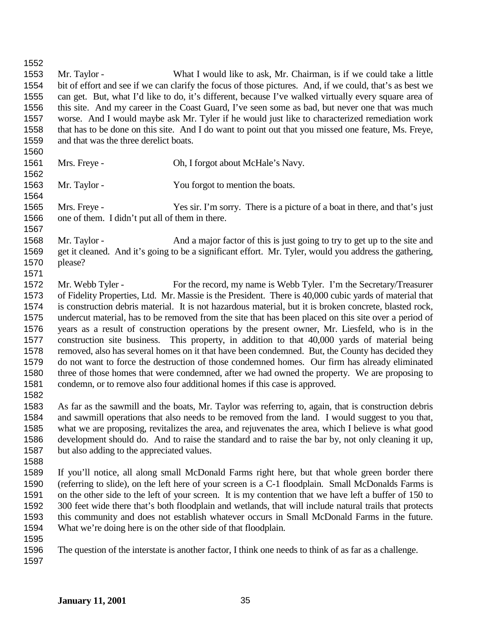Mr. Taylor - What I would like to ask, Mr. Chairman, is if we could take a little bit of effort and see if we can clarify the focus of those pictures. And, if we could, that's as best we can get. But, what I'd like to do, it's different, because I've walked virtually every square area of this site. And my career in the Coast Guard, I've seen some as bad, but never one that was much worse. And I would maybe ask Mr. Tyler if he would just like to characterized remediation work that has to be done on this site. And I do want to point out that you missed one feature, Ms. Freye, and that was the three derelict boats. Mrs. Freye - Oh, I forgot about McHale's Navy. 1563 Mr. Taylor - You forgot to mention the boats. Mrs. Freye - Yes sir. I'm sorry. There is a picture of a boat in there, and that's just one of them. I didn't put all of them in there. Mr. Taylor - And a major factor of this is just going to try to get up to the site and get it cleaned. And it's going to be a significant effort. Mr. Tyler, would you address the gathering, please? Mr. Webb Tyler - For the record, my name is Webb Tyler. I'm the Secretary/Treasurer of Fidelity Properties, Ltd. Mr. Massie is the President. There is 40,000 cubic yards of material that is construction debris material. It is not hazardous material, but it is broken concrete, blasted rock, undercut material, has to be removed from the site that has been placed on this site over a period of years as a result of construction operations by the present owner, Mr. Liesfeld, who is in the construction site business. This property, in addition to that 40,000 yards of material being removed, also has several homes on it that have been condemned. But, the County has decided they do not want to force the destruction of those condemned homes. Our firm has already eliminated three of those homes that were condemned, after we had owned the property. We are proposing to condemn, or to remove also four additional homes if this case is approved. As far as the sawmill and the boats, Mr. Taylor was referring to, again, that is construction debris and sawmill operations that also needs to be removed from the land. I would suggest to you that, what we are proposing, revitalizes the area, and rejuvenates the area, which I believe is what good development should do. And to raise the standard and to raise the bar by, not only cleaning it up, but also adding to the appreciated values. If you'll notice, all along small McDonald Farms right here, but that whole green border there (referring to slide), on the left here of your screen is a C-1 floodplain. Small McDonalds Farms is on the other side to the left of your screen. It is my contention that we have left a buffer of 150 to 300 feet wide there that's both floodplain and wetlands, that will include natural trails that protects this community and does not establish whatever occurs in Small McDonald Farms in the future. What we're doing here is on the other side of that floodplain. The question of the interstate is another factor, I think one needs to think of as far as a challenge.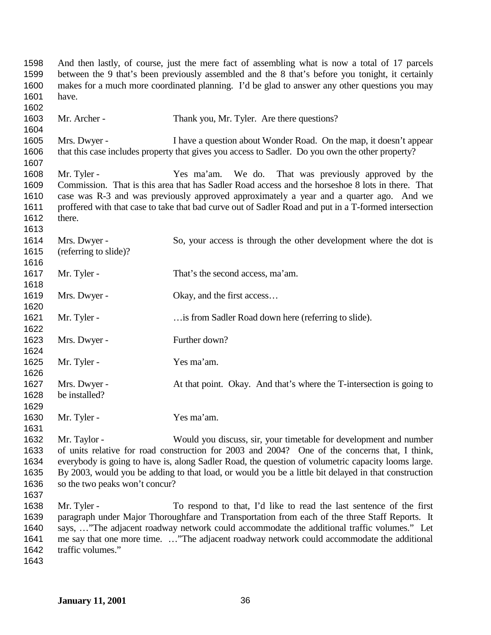And then lastly, of course, just the mere fact of assembling what is now a total of 17 parcels between the 9 that's been previously assembled and the 8 that's before you tonight, it certainly makes for a much more coordinated planning. I'd be glad to answer any other questions you may have. 1603 Mr. Archer - Thank you, Mr. Tyler. Are there questions? Mrs. Dwyer - I have a question about Wonder Road. On the map, it doesn't appear that this case includes property that gives you access to Sadler. Do you own the other property? Mr. Tyler - Yes ma'am. We do. That was previously approved by the Commission. That is this area that has Sadler Road access and the horseshoe 8 lots in there. That case was R-3 and was previously approved approximately a year and a quarter ago. And we proffered with that case to take that bad curve out of Sadler Road and put in a T-formed intersection there. Mrs. Dwyer - So, your access is through the other development where the dot is (referring to slide)? 1617 Mr. Tyler - That's the second access, ma'am. 1619 Mrs. Dwyer - Okay, and the first access... 1621 Mr. Tyler - …is from Sadler Road down here (referring to slide). Mrs. Dwyer - Further down? Mr. Tyler - Yes ma'am. Mrs. Dwyer - At that point. Okay. And that's where the T-intersection is going to be installed? 1630 Mr. Tyler - Yes ma'am. Mr. Taylor - Would you discuss, sir, your timetable for development and number of units relative for road construction for 2003 and 2004? One of the concerns that, I think, everybody is going to have is, along Sadler Road, the question of volumetric capacity looms large. By 2003, would you be adding to that load, or would you be a little bit delayed in that construction so the two peaks won't concur? Mr. Tyler - To respond to that, I'd like to read the last sentence of the first paragraph under Major Thoroughfare and Transportation from each of the three Staff Reports. It says, …"The adjacent roadway network could accommodate the additional traffic volumes." Let me say that one more time. …"The adjacent roadway network could accommodate the additional traffic volumes."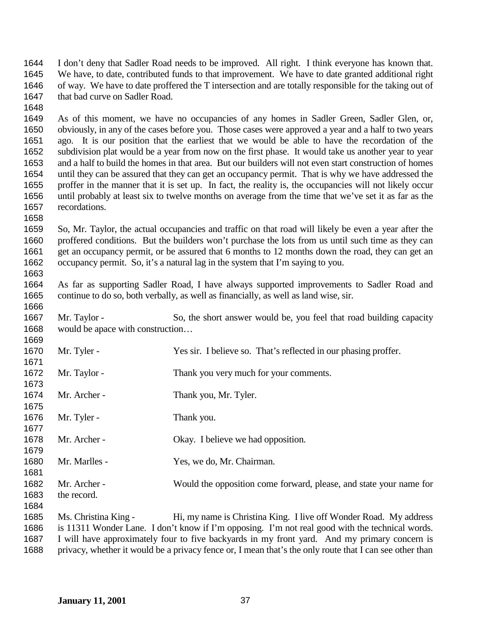I don't deny that Sadler Road needs to be improved. All right. I think everyone has known that. We have, to date, contributed funds to that improvement. We have to date granted additional right of way. We have to date proffered the T intersection and are totally responsible for the taking out of 1647 that bad curve on Sadler Road.

 As of this moment, we have no occupancies of any homes in Sadler Green, Sadler Glen, or, obviously, in any of the cases before you. Those cases were approved a year and a half to two years ago. It is our position that the earliest that we would be able to have the recordation of the subdivision plat would be a year from now on the first phase. It would take us another year to year 1653 and a half to build the homes in that area. But our builders will not even start construction of homes<br>1654 until they can be assured that they can get an occupancy permit. That is why we have addressed the until they can be assured that they can get an occupancy permit. That is why we have addressed the proffer in the manner that it is set up. In fact, the reality is, the occupancies will not likely occur until probably at least six to twelve months on average from the time that we've set it as far as the recordations.

 So, Mr. Taylor, the actual occupancies and traffic on that road will likely be even a year after the proffered conditions. But the builders won't purchase the lots from us until such time as they can get an occupancy permit, or be assured that 6 months to 12 months down the road, they can get an occupancy permit. So, it's a natural lag in the system that I'm saying to you. 

 As far as supporting Sadler Road, I have always supported improvements to Sadler Road and continue to do so, both verbally, as well as financially, as well as land wise, sir. 

1667 Mr. Taylor - So, the short answer would be, you feel that road building capacity would be apace with construction… 

| 1670 | Mr. Tyler -          | Yes sir. I believe so. That's reflected in our phasing proffer.    |
|------|----------------------|--------------------------------------------------------------------|
| 1671 |                      |                                                                    |
| 1672 | Mr. Taylor -         | Thank you very much for your comments.                             |
| 1673 |                      |                                                                    |
| 1674 | Mr. Archer -         | Thank you, Mr. Tyler.                                              |
| 1675 |                      |                                                                    |
| 1676 | Mr. Tyler -          | Thank you.                                                         |
| 1677 |                      |                                                                    |
| 1678 | Mr. Archer -         | Okay. I believe we had opposition.                                 |
| 1679 |                      |                                                                    |
| 1680 | Mr. Marlles -        | Yes, we do, Mr. Chairman.                                          |
| 1681 |                      |                                                                    |
| 1682 | Mr. Archer -         | Would the opposition come forward, please, and state your name for |
| 1683 | the record.          |                                                                    |
| 1684 |                      |                                                                    |
| 1685 | Ms. Christina King - | Hi, my name is Christina King. I live off Wonder Road. My address  |
|      |                      |                                                                    |

 is 11311 Wonder Lane. I don't know if I'm opposing. I'm not real good with the technical words. I will have approximately four to five backyards in my front yard. And my primary concern is privacy, whether it would be a privacy fence or, I mean that's the only route that I can see other than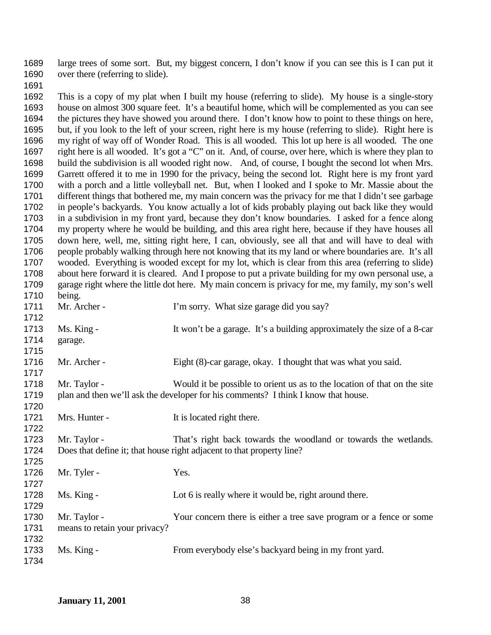large trees of some sort. But, my biggest concern, I don't know if you can see this is I can put it over there (referring to slide).

 This is a copy of my plat when I built my house (referring to slide). My house is a single-story house on almost 300 square feet. It's a beautiful home, which will be complemented as you can see the pictures they have showed you around there. I don't know how to point to these things on here, but, if you look to the left of your screen, right here is my house (referring to slide). Right here is my right of way off of Wonder Road. This is all wooded. This lot up here is all wooded. The one right here is all wooded. It's got a "C" on it. And, of course, over here, which is where they plan to build the subdivision is all wooded right now. And, of course, I bought the second lot when Mrs. Garrett offered it to me in 1990 for the privacy, being the second lot. Right here is my front yard with a porch and a little volleyball net. But, when I looked and I spoke to Mr. Massie about the different things that bothered me, my main concern was the privacy for me that I didn't see garbage in people's backyards. You know actually a lot of kids probably playing out back like they would in a subdivision in my front yard, because they don't know boundaries. I asked for a fence along my property where he would be building, and this area right here, because if they have houses all down here, well, me, sitting right here, I can, obviously, see all that and will have to deal with people probably walking through here not knowing that its my land or where boundaries are. It's all wooded. Everything is wooded except for my lot, which is clear from this area (referring to slide) about here forward it is cleared. And I propose to put a private building for my own personal use, a garage right where the little dot here. My main concern is privacy for me, my family, my son's well 1710 being.<br>1711 Mr. Archer -1711 Mr. Archer - I'm sorry. What size garage did you say? 1713 Ms. King - It won't be a garage. It's a building approximately the size of a 8-car garage. Mr. Archer - Eight (8)-car garage, okay. I thought that was what you said. 1718 Mr. Taylor - Would it be possible to orient us as to the location of that on the site plan and then we'll ask the developer for his comments? I think I know that house. 1721 Mrs. Hunter - It is located right there. Mr. Taylor - That's right back towards the woodland or towards the wetlands. Does that define it; that house right adjacent to that property line? 1726 Mr. Tyler - Yes. 1728 Ms. King - Lot 6 is really where it would be, right around there. Mr. Taylor - Your concern there is either a tree save program or a fence or some means to retain your privacy? Ms. King - From everybody else's backyard being in my front yard.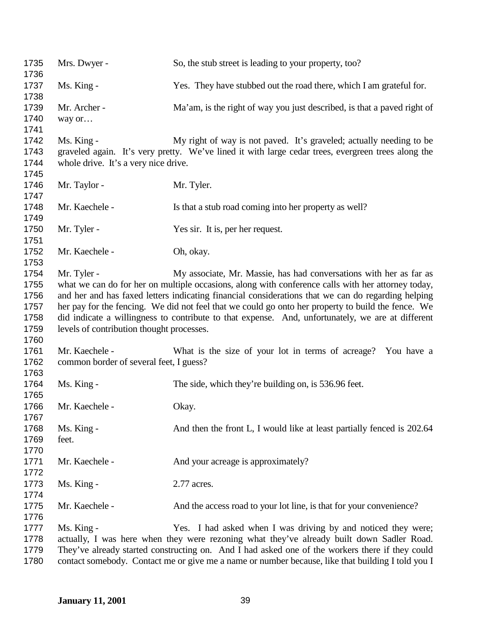| 1735<br>1736 | Mrs. Dwyer -                              | So, the stub street is leading to your property, too?                                              |
|--------------|-------------------------------------------|----------------------------------------------------------------------------------------------------|
| 1737<br>1738 | Ms. King -                                | Yes. They have stubbed out the road there, which I am grateful for.                                |
| 1739         | Mr. Archer -                              | Ma'am, is the right of way you just described, is that a paved right of                            |
| 1740         | way or                                    |                                                                                                    |
| 1741         |                                           |                                                                                                    |
| 1742         | Ms. King -                                | My right of way is not paved. It's graveled; actually needing to be                                |
| 1743         |                                           | graveled again. It's very pretty. We've lined it with large cedar trees, evergreen trees along the |
| 1744         | whole drive. It's a very nice drive.      |                                                                                                    |
| 1745         |                                           |                                                                                                    |
| 1746         | Mr. Taylor -                              | Mr. Tyler.                                                                                         |
| 1747         |                                           |                                                                                                    |
| 1748         | Mr. Kaechele -                            | Is that a stub road coming into her property as well?                                              |
| 1749         |                                           |                                                                                                    |
| 1750         | Mr. Tyler -                               | Yes sir. It is, per her request.                                                                   |
| 1751         |                                           |                                                                                                    |
| 1752         | Mr. Kaechele -                            | Oh, okay.                                                                                          |
| 1753         |                                           |                                                                                                    |
| 1754         | Mr. Tyler -                               | My associate, Mr. Massie, has had conversations with her as far as                                 |
| 1755         |                                           | what we can do for her on multiple occasions, along with conference calls with her attorney today, |
| 1756         |                                           | and her and has faxed letters indicating financial considerations that we can do regarding helping |
| 1757         |                                           | her pay for the fencing. We did not feel that we could go onto her property to build the fence. We |
| 1758         |                                           | did indicate a willingness to contribute to that expense. And, unfortunately, we are at different  |
| 1759         | levels of contribution thought processes. |                                                                                                    |
| 1760         |                                           |                                                                                                    |
| 1761         | Mr. Kaechele -                            | What is the size of your lot in terms of acreage? You have a                                       |
| 1762         | common border of several feet, I guess?   |                                                                                                    |
| 1763         |                                           |                                                                                                    |
| 1764         | Ms. King -                                | The side, which they're building on, is 536.96 feet.                                               |
| 1765         |                                           |                                                                                                    |
| 1766         | Mr. Kaechele -                            | Okay.                                                                                              |
| 1767         |                                           |                                                                                                    |
| 1768         | Ms. King -                                | And then the front L, I would like at least partially fenced is 202.64                             |
| 1769         | feet.                                     |                                                                                                    |
| 1770         |                                           |                                                                                                    |
| 1771         | Mr. Kaechele -                            | And your acreage is approximately?                                                                 |
| 1772         |                                           |                                                                                                    |
| 1773         | Ms. King -                                | 2.77 acres.                                                                                        |
| 1774         |                                           |                                                                                                    |
| 1775         | Mr. Kaechele -                            | And the access road to your lot line, is that for your convenience?                                |
| 1776         |                                           |                                                                                                    |
|              |                                           |                                                                                                    |
| 1777         | Ms. King -                                | Yes. I had asked when I was driving by and noticed they were;                                      |
| 1778         |                                           | actually, I was here when they were rezoning what they've already built down Sadler Road.          |
| 1779         |                                           | They've already started constructing on. And I had asked one of the workers there if they could    |
| 1780         |                                           | contact somebody. Contact me or give me a name or number because, like that building I told you I  |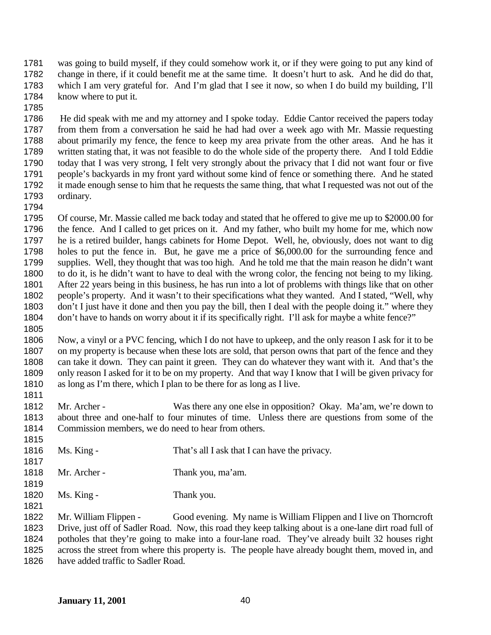was going to build myself, if they could somehow work it, or if they were going to put any kind of change in there, if it could benefit me at the same time. It doesn't hurt to ask. And he did do that, which I am very grateful for. And I'm glad that I see it now, so when I do build my building, I'll 1784 know where to put it.

 He did speak with me and my attorney and I spoke today. Eddie Cantor received the papers today from them from a conversation he said he had had over a week ago with Mr. Massie requesting about primarily my fence, the fence to keep my area private from the other areas. And he has it written stating that, it was not feasible to do the whole side of the property there. And I told Eddie today that I was very strong, I felt very strongly about the privacy that I did not want four or five people's backyards in my front yard without some kind of fence or something there. And he stated it made enough sense to him that he requests the same thing, that what I requested was not out of the ordinary.

 Of course, Mr. Massie called me back today and stated that he offered to give me up to \$2000.00 for the fence. And I called to get prices on it. And my father, who built my home for me, which now he is a retired builder, hangs cabinets for Home Depot. Well, he, obviously, does not want to dig holes to put the fence in. But, he gave me a price of \$6,000.00 for the surrounding fence and supplies. Well, they thought that was too high. And he told me that the main reason he didn't want to do it, is he didn't want to have to deal with the wrong color, the fencing not being to my liking. After 22 years being in this business, he has run into a lot of problems with things like that on other people's property. And it wasn't to their specifications what they wanted. And I stated, "Well, why don't I just have it done and then you pay the bill, then I deal with the people doing it." where they don't have to hands on worry about it if its specifically right. I'll ask for maybe a white fence?" 

 Now, a vinyl or a PVC fencing, which I do not have to upkeep, and the only reason I ask for it to be on my property is because when these lots are sold, that person owns that part of the fence and they can take it down. They can paint it green. They can do whatever they want with it. And that's the only reason I asked for it to be on my property. And that way I know that I will be given privacy for as long as I'm there, which I plan to be there for as long as I live.

 Mr. Archer - Was there any one else in opposition? Okay. Ma'am, we're down to about three and one-half to four minutes of time. Unless there are questions from some of the Commission members, we do need to hear from others.

| 1816<br>1817 | Ms. King -   | That's all I ask that I can have the privacy. |
|--------------|--------------|-----------------------------------------------|
| 1818<br>1819 | Mr. Archer - | Thank you, ma'am.                             |
| 1820<br>1821 | Ms. King -   | Thank you.                                    |

 Mr. William Flippen - Good evening. My name is William Flippen and I live on Thorncroft Drive, just off of Sadler Road. Now, this road they keep talking about is a one-lane dirt road full of potholes that they're going to make into a four-lane road. They've already built 32 houses right across the street from where this property is. The people have already bought them, moved in, and 1826 have added traffic to Sadler Road.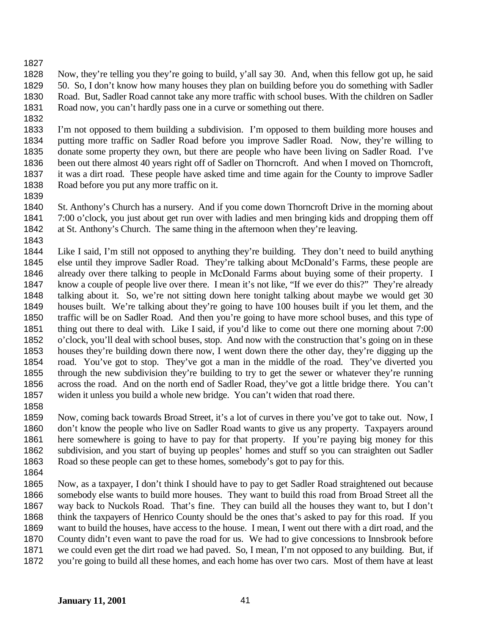Now, they're telling you they're going to build, y'all say 30. And, when this fellow got up, he said 50. So, I don't know how many houses they plan on building before you do something with Sadler Road. But, Sadler Road cannot take any more traffic with school buses. With the children on Sadler Road now, you can't hardly pass one in a curve or something out there.

 I'm not opposed to them building a subdivision. I'm opposed to them building more houses and putting more traffic on Sadler Road before you improve Sadler Road. Now, they're willing to donate some property they own, but there are people who have been living on Sadler Road. I've been out there almost 40 years right off of Sadler on Thorncroft. And when I moved on Thorncroft, it was a dirt road. These people have asked time and time again for the County to improve Sadler Road before you put any more traffic on it.

 St. Anthony's Church has a nursery. And if you come down Thorncroft Drive in the morning about 7:00 o'clock, you just about get run over with ladies and men bringing kids and dropping them off at St. Anthony's Church. The same thing in the afternoon when they're leaving.

 Like I said, I'm still not opposed to anything they're building. They don't need to build anything else until they improve Sadler Road. They're talking about McDonald's Farms, these people are already over there talking to people in McDonald Farms about buying some of their property. I know a couple of people live over there. I mean it's not like, "If we ever do this?" They're already talking about it. So, we're not sitting down here tonight talking about maybe we would get 30 houses built. We're talking about they're going to have 100 houses built if you let them, and the traffic will be on Sadler Road. And then you're going to have more school buses, and this type of thing out there to deal with. Like I said, if you'd like to come out there one morning about 7:00 o'clock, you'll deal with school buses, stop. And now with the construction that's going on in these houses they're building down there now, I went down there the other day, they're digging up the road. You've got to stop. They've got a man in the middle of the road. They've diverted you through the new subdivision they're building to try to get the sewer or whatever they're running across the road. And on the north end of Sadler Road, they've got a little bridge there. You can't widen it unless you build a whole new bridge. You can't widen that road there.

 Now, coming back towards Broad Street, it's a lot of curves in there you've got to take out. Now, I don't know the people who live on Sadler Road wants to give us any property. Taxpayers around here somewhere is going to have to pay for that property. If you're paying big money for this subdivision, and you start of buying up peoples' homes and stuff so you can straighten out Sadler Road so these people can get to these homes, somebody's got to pay for this.

 Now, as a taxpayer, I don't think I should have to pay to get Sadler Road straightened out because somebody else wants to build more houses. They want to build this road from Broad Street all the way back to Nuckols Road. That's fine. They can build all the houses they want to, but I don't think the taxpayers of Henrico County should be the ones that's asked to pay for this road. If you want to build the houses, have access to the house. I mean, I went out there with a dirt road, and the County didn't even want to pave the road for us. We had to give concessions to Innsbrook before we could even get the dirt road we had paved. So, I mean, I'm not opposed to any building. But, if you're going to build all these homes, and each home has over two cars. Most of them have at least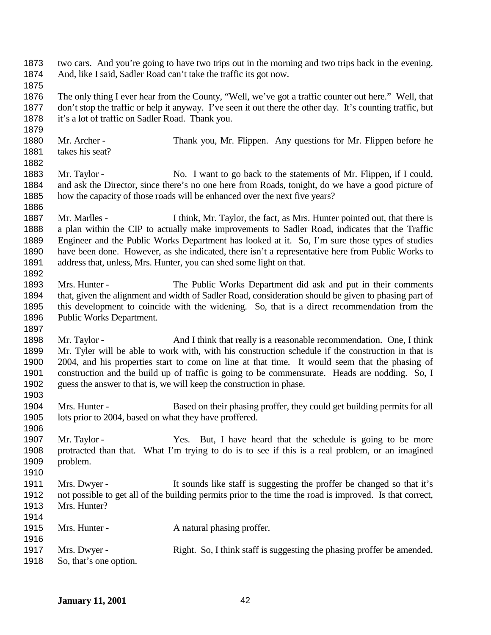| 1873<br>1874 |                                                        | two cars. And you're going to have two trips out in the morning and two trips back in the evening.<br>And, like I said, Sadler Road can't take the traffic its got now. |
|--------------|--------------------------------------------------------|-------------------------------------------------------------------------------------------------------------------------------------------------------------------------|
| 1875         |                                                        |                                                                                                                                                                         |
| 1876         |                                                        | The only thing I ever hear from the County, "Well, we've got a traffic counter out here." Well, that                                                                    |
| 1877         |                                                        | don't stop the traffic or help it anyway. I've seen it out there the other day. It's counting traffic, but                                                              |
| 1878         | it's a lot of traffic on Sadler Road. Thank you.       |                                                                                                                                                                         |
| 1879         |                                                        |                                                                                                                                                                         |
| 1880         | Mr. Archer -                                           | Thank you, Mr. Flippen. Any questions for Mr. Flippen before he                                                                                                         |
| 1881         | takes his seat?                                        |                                                                                                                                                                         |
| 1882         |                                                        |                                                                                                                                                                         |
| 1883         | Mr. Taylor -                                           | No. I want to go back to the statements of Mr. Flippen, if I could,                                                                                                     |
| 1884         |                                                        | and ask the Director, since there's no one here from Roads, tonight, do we have a good picture of                                                                       |
| 1885         |                                                        | how the capacity of those roads will be enhanced over the next five years?                                                                                              |
| 1886         |                                                        |                                                                                                                                                                         |
| 1887         | Mr. Marlles -                                          | I think, Mr. Taylor, the fact, as Mrs. Hunter pointed out, that there is                                                                                                |
| 1888         |                                                        | a plan within the CIP to actually make improvements to Sadler Road, indicates that the Traffic                                                                          |
| 1889         |                                                        | Engineer and the Public Works Department has looked at it. So, I'm sure those types of studies                                                                          |
| 1890         |                                                        | have been done. However, as she indicated, there isn't a representative here from Public Works to                                                                       |
| 1891         |                                                        | address that, unless, Mrs. Hunter, you can shed some light on that.                                                                                                     |
| 1892         |                                                        |                                                                                                                                                                         |
| 1893         | Mrs. Hunter -                                          | The Public Works Department did ask and put in their comments                                                                                                           |
| 1894         |                                                        | that, given the alignment and width of Sadler Road, consideration should be given to phasing part of                                                                    |
| 1895         |                                                        | this development to coincide with the widening. So, that is a direct recommendation from the                                                                            |
| 1896         | Public Works Department.                               |                                                                                                                                                                         |
| 1897         |                                                        |                                                                                                                                                                         |
| 1898         | Mr. Taylor -                                           | And I think that really is a reasonable recommendation. One, I think                                                                                                    |
| 1899         |                                                        | Mr. Tyler will be able to work with, with his construction schedule if the construction in that is                                                                      |
| 1900         |                                                        | 2004, and his properties start to come on line at that time. It would seem that the phasing of                                                                          |
| 1901         |                                                        | construction and the build up of traffic is going to be commensurate. Heads are nodding. So, I                                                                          |
| 1902         |                                                        | guess the answer to that is, we will keep the construction in phase.                                                                                                    |
| 1903         |                                                        |                                                                                                                                                                         |
| 1904         | Mrs. Hunter -                                          | Based on their phasing proffer, they could get building permits for all                                                                                                 |
| 1905         | lots prior to 2004, based on what they have proffered. |                                                                                                                                                                         |
| 1906         |                                                        |                                                                                                                                                                         |
| 1907         | Mr. Taylor -                                           | Yes. But, I have heard that the schedule is going to be more                                                                                                            |
| 1908         |                                                        | protracted than that. What I'm trying to do is to see if this is a real problem, or an imagined                                                                         |
| 1909         | problem.                                               |                                                                                                                                                                         |
| 1910         |                                                        |                                                                                                                                                                         |
| 1911         | Mrs. Dwyer -                                           | It sounds like staff is suggesting the proffer be changed so that it's                                                                                                  |
| 1912         |                                                        | not possible to get all of the building permits prior to the time the road is improved. Is that correct,                                                                |
| 1913         | Mrs. Hunter?                                           |                                                                                                                                                                         |
| 1914         |                                                        |                                                                                                                                                                         |
| 1915         | Mrs. Hunter -                                          |                                                                                                                                                                         |
| 1916         |                                                        | A natural phasing proffer.                                                                                                                                              |
| 1917         | Mrs. Dwyer -                                           | Right. So, I think staff is suggesting the phasing proffer be amended.                                                                                                  |
| 1918         | So, that's one option.                                 |                                                                                                                                                                         |
|              |                                                        |                                                                                                                                                                         |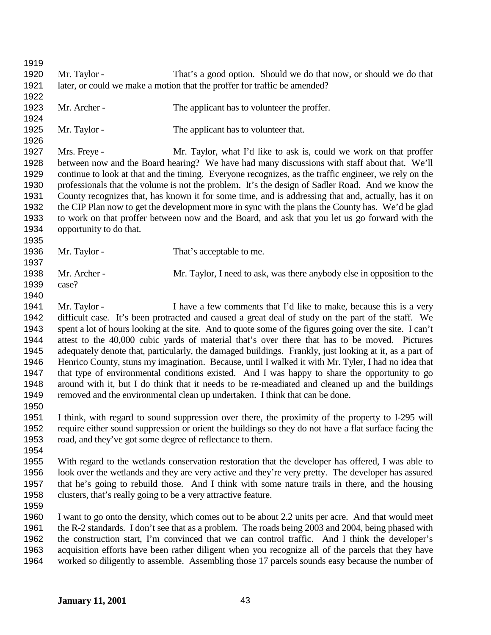Mr. Taylor - That's a good option. Should we do that now, or should we do that later, or could we make a motion that the proffer for traffic be amended? 1923 Mr. Archer - The applicant has to volunteer the proffer. 1925 Mr. Taylor - The applicant has to volunteer that. Mrs. Freye - Mr. Taylor, what I'd like to ask is, could we work on that proffer between now and the Board hearing? We have had many discussions with staff about that. We'll continue to look at that and the timing. Everyone recognizes, as the traffic engineer, we rely on the professionals that the volume is not the problem. It's the design of Sadler Road. And we know the County recognizes that, has known it for some time, and is addressing that and, actually, has it on the CIP Plan now to get the development more in sync with the plans the County has. We'd be glad to work on that proffer between now and the Board, and ask that you let us go forward with the opportunity to do that. 1936 Mr. Taylor - That's acceptable to me. Mr. Archer - Mr. Taylor, I need to ask, was there anybody else in opposition to the case? 1941 Mr. Taylor - I have a few comments that I'd like to make, because this is a very difficult case. It's been protracted and caused a great deal of study on the part of the staff. We spent a lot of hours looking at the site. And to quote some of the figures going over the site. I can't attest to the 40,000 cubic yards of material that's over there that has to be moved. Pictures adequately denote that, particularly, the damaged buildings. Frankly, just looking at it, as a part of Henrico County, stuns my imagination. Because, until I walked it with Mr. Tyler, I had no idea that that type of environmental conditions existed. And I was happy to share the opportunity to go around with it, but I do think that it needs to be re-meadiated and cleaned up and the buildings removed and the environmental clean up undertaken. I think that can be done. I think, with regard to sound suppression over there, the proximity of the property to I-295 will require either sound suppression or orient the buildings so they do not have a flat surface facing the road, and they've got some degree of reflectance to them. With regard to the wetlands conservation restoration that the developer has offered, I was able to look over the wetlands and they are very active and they're very pretty. The developer has assured that he's going to rebuild those. And I think with some nature trails in there, and the housing clusters, that's really going to be a very attractive feature. I want to go onto the density, which comes out to be about 2.2 units per acre. And that would meet the R-2 standards. I don't see that as a problem. The roads being 2003 and 2004, being phased with the construction start, I'm convinced that we can control traffic. And I think the developer's acquisition efforts have been rather diligent when you recognize all of the parcels that they have worked so diligently to assemble. Assembling those 17 parcels sounds easy because the number of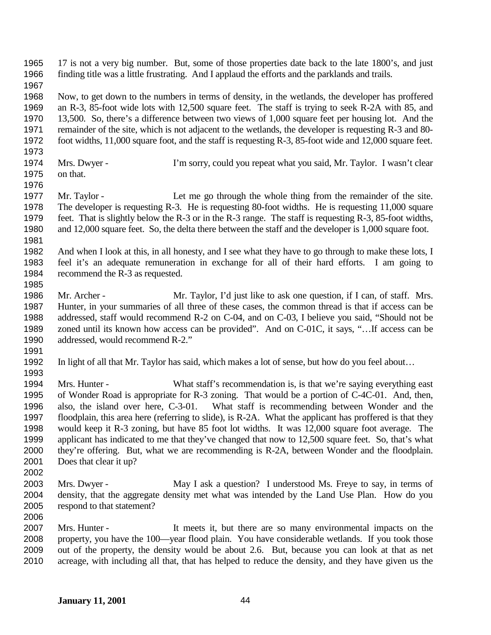17 is not a very big number. But, some of those properties date back to the late 1800's, and just finding title was a little frustrating. And I applaud the efforts and the parklands and trails. Now, to get down to the numbers in terms of density, in the wetlands, the developer has proffered an R-3, 85-foot wide lots with 12,500 square feet. The staff is trying to seek R-2A with 85, and 13,500. So, there's a difference between two views of 1,000 square feet per housing lot. And the remainder of the site, which is not adjacent to the wetlands, the developer is requesting R-3 and 80- foot widths, 11,000 square foot, and the staff is requesting R-3, 85-foot wide and 12,000 square feet. Mrs. Dwyer - I'm sorry, could you repeat what you said, Mr. Taylor. I wasn't clear on that. 1977 Mr. Taylor - Let me go through the whole thing from the remainder of the site. The developer is requesting R-3. He is requesting 80-foot widths. He is requesting 11,000 square feet. That is slightly below the R-3 or in the R-3 range. The staff is requesting R-3, 85-foot widths, and 12,000 square feet. So, the delta there between the staff and the developer is 1,000 square foot. And when I look at this, in all honesty, and I see what they have to go through to make these lots, I feel it's an adequate remuneration in exchange for all of their hard efforts. I am going to 1984 recommend the R-3 as requested. Mr. Archer - Mr. Taylor, I'd just like to ask one question, if I can, of staff. Mrs. Hunter, in your summaries of all three of these cases, the common thread is that if access can be addressed, staff would recommend R-2 on C-04, and on C-03, I believe you said, "Should not be zoned until its known how access can be provided". And on C-01C, it says, "…If access can be addressed, would recommend R-2." In light of all that Mr. Taylor has said, which makes a lot of sense, but how do you feel about… Mrs. Hunter - What staff's recommendation is, is that we're saying everything east of Wonder Road is appropriate for R-3 zoning. That would be a portion of C-4C-01. And, then, also, the island over here, C-3-01. What staff is recommending between Wonder and the floodplain, this area here (referring to slide), is R-2A. What the applicant has proffered is that they would keep it R-3 zoning, but have 85 foot lot widths. It was 12,000 square foot average. The applicant has indicated to me that they've changed that now to 12,500 square feet. So, that's what they're offering. But, what we are recommending is R-2A, between Wonder and the floodplain. Does that clear it up? Mrs. Dwyer - May I ask a question? I understood Ms. Freye to say, in terms of density, that the aggregate density met what was intended by the Land Use Plan. How do you respond to that statement? Mrs. Hunter - It meets it, but there are so many environmental impacts on the property, you have the 100—year flood plain. You have considerable wetlands. If you took those out of the property, the density would be about 2.6. But, because you can look at that as net acreage, with including all that, that has helped to reduce the density, and they have given us the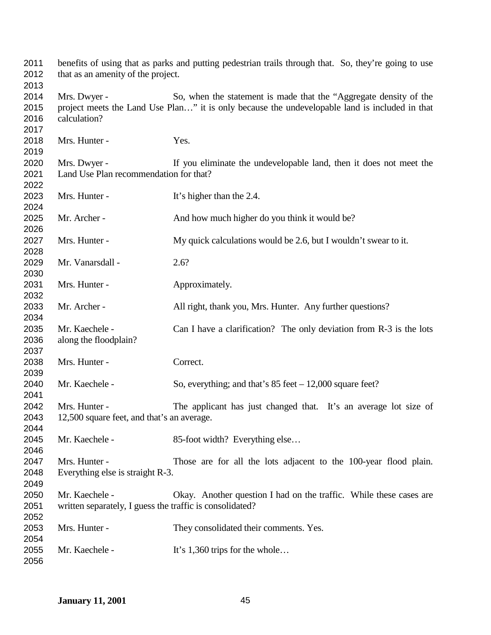| 2011<br>2012 | benefits of using that as parks and putting pedestrian trails through that. So, they're going to use<br>that as an amenity of the project. |                                                                                                |
|--------------|--------------------------------------------------------------------------------------------------------------------------------------------|------------------------------------------------------------------------------------------------|
| 2013         |                                                                                                                                            |                                                                                                |
| 2014         | Mrs. Dwyer -                                                                                                                               | So, when the statement is made that the "Aggregate density of the                              |
| 2015         |                                                                                                                                            | project meets the Land Use Plan" it is only because the undevelopable land is included in that |
| 2016         | calculation?                                                                                                                               |                                                                                                |
| 2017         |                                                                                                                                            |                                                                                                |
| 2018         | Mrs. Hunter -                                                                                                                              | Yes.                                                                                           |
| 2019         |                                                                                                                                            |                                                                                                |
| 2020         | Mrs. Dwyer -                                                                                                                               | If you eliminate the undevelopable land, then it does not meet the                             |
| 2021         | Land Use Plan recommendation for that?                                                                                                     |                                                                                                |
| 2022         |                                                                                                                                            |                                                                                                |
| 2023         | Mrs. Hunter -                                                                                                                              | It's higher than the 2.4.                                                                      |
| 2024         |                                                                                                                                            |                                                                                                |
| 2025<br>2026 | Mr. Archer -                                                                                                                               | And how much higher do you think it would be?                                                  |
| 2027         | Mrs. Hunter -                                                                                                                              | My quick calculations would be 2.6, but I wouldn't swear to it.                                |
| 2028         |                                                                                                                                            |                                                                                                |
| 2029         | Mr. Vanarsdall -                                                                                                                           | 2.6?                                                                                           |
| 2030         |                                                                                                                                            |                                                                                                |
|              | Mrs. Hunter -                                                                                                                              |                                                                                                |
| 2031         |                                                                                                                                            | Approximately.                                                                                 |
| 2032         |                                                                                                                                            |                                                                                                |
| 2033         | Mr. Archer -                                                                                                                               | All right, thank you, Mrs. Hunter. Any further questions?                                      |
| 2034         |                                                                                                                                            |                                                                                                |
| 2035         | Mr. Kaechele -                                                                                                                             | Can I have a clarification? The only deviation from R-3 is the lots                            |
| 2036         | along the floodplain?                                                                                                                      |                                                                                                |
| 2037         |                                                                                                                                            |                                                                                                |
| 2038         | Mrs. Hunter -                                                                                                                              | Correct.                                                                                       |
| 2039         |                                                                                                                                            |                                                                                                |
| 2040         | Mr. Kaechele -                                                                                                                             | So, everything; and that's $85$ feet $-12,000$ square feet?                                    |
| 2041         |                                                                                                                                            |                                                                                                |
| 2042         | Mrs. Hunter -                                                                                                                              | The applicant has just changed that. It's an average lot size of                               |
| 2043         | 12,500 square feet, and that's an average.                                                                                                 |                                                                                                |
| 2044         |                                                                                                                                            |                                                                                                |
| 2045         | Mr. Kaechele -                                                                                                                             | 85-foot width? Everything else                                                                 |
| 2046         |                                                                                                                                            |                                                                                                |
| 2047         | Mrs. Hunter -                                                                                                                              | Those are for all the lots adjacent to the 100-year flood plain.                               |
| 2048         | Everything else is straight R-3.                                                                                                           |                                                                                                |
| 2049         |                                                                                                                                            |                                                                                                |
| 2050         | Mr. Kaechele -                                                                                                                             | Okay. Another question I had on the traffic. While these cases are                             |
| 2051         | written separately, I guess the traffic is consolidated?                                                                                   |                                                                                                |
| 2052         |                                                                                                                                            |                                                                                                |
| 2053         | Mrs. Hunter -                                                                                                                              | They consolidated their comments. Yes.                                                         |
| 2054         |                                                                                                                                            |                                                                                                |
| 2055         | Mr. Kaechele -                                                                                                                             | It's $1,360$ trips for the whole                                                               |
| 2056         |                                                                                                                                            |                                                                                                |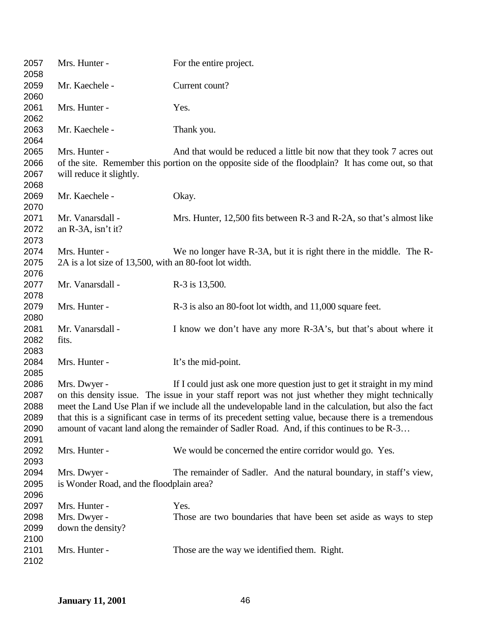| 2057<br>2058                                 | Mrs. Hunter -                                                           | For the entire project.                                                                                                                                                                                                                                                                                                                                                                                                                                                                        |
|----------------------------------------------|-------------------------------------------------------------------------|------------------------------------------------------------------------------------------------------------------------------------------------------------------------------------------------------------------------------------------------------------------------------------------------------------------------------------------------------------------------------------------------------------------------------------------------------------------------------------------------|
| 2059<br>2060                                 | Mr. Kaechele -                                                          | Current count?                                                                                                                                                                                                                                                                                                                                                                                                                                                                                 |
| 2061<br>2062                                 | Mrs. Hunter -                                                           | Yes.                                                                                                                                                                                                                                                                                                                                                                                                                                                                                           |
| 2063<br>2064                                 | Mr. Kaechele -                                                          | Thank you.                                                                                                                                                                                                                                                                                                                                                                                                                                                                                     |
| 2065<br>2066<br>2067<br>2068                 | Mrs. Hunter -<br>will reduce it slightly.                               | And that would be reduced a little bit now that they took 7 acres out<br>of the site. Remember this portion on the opposite side of the floodplain? It has come out, so that                                                                                                                                                                                                                                                                                                                   |
| 2069<br>2070                                 | Mr. Kaechele -                                                          | Okay.                                                                                                                                                                                                                                                                                                                                                                                                                                                                                          |
| 2071<br>2072<br>2073                         | Mr. Vanarsdall -<br>an R-3A, isn't it?                                  | Mrs. Hunter, 12,500 fits between R-3 and R-2A, so that's almost like                                                                                                                                                                                                                                                                                                                                                                                                                           |
| 2074<br>2075<br>2076                         | Mrs. Hunter -<br>2A is a lot size of 13,500, with an 80-foot lot width. | We no longer have R-3A, but it is right there in the middle. The R-                                                                                                                                                                                                                                                                                                                                                                                                                            |
| 2077<br>2078                                 | Mr. Vanarsdall -                                                        | R-3 is 13,500.                                                                                                                                                                                                                                                                                                                                                                                                                                                                                 |
| 2079<br>2080                                 | Mrs. Hunter -                                                           | R-3 is also an 80-foot lot width, and 11,000 square feet.                                                                                                                                                                                                                                                                                                                                                                                                                                      |
| 2081<br>2082<br>2083                         | Mr. Vanarsdall -<br>fits.                                               | I know we don't have any more R-3A's, but that's about where it                                                                                                                                                                                                                                                                                                                                                                                                                                |
| 2084<br>2085                                 | Mrs. Hunter -                                                           | It's the mid-point.                                                                                                                                                                                                                                                                                                                                                                                                                                                                            |
| 2086<br>2087<br>2088<br>2089<br>2090<br>2091 | Mrs. Dwyer -                                                            | If I could just ask one more question just to get it straight in my mind<br>on this density issue. The issue in your staff report was not just whether they might technically<br>meet the Land Use Plan if we include all the undevelopable land in the calculation, but also the fact<br>that this is a significant case in terms of its precedent setting value, because there is a tremendous<br>amount of vacant land along the remainder of Sadler Road. And, if this continues to be R-3 |
| 2092<br>2093                                 | Mrs. Hunter -                                                           | We would be concerned the entire corridor would go. Yes.                                                                                                                                                                                                                                                                                                                                                                                                                                       |
| 2094<br>2095<br>2096                         | Mrs. Dwyer -<br>is Wonder Road, and the floodplain area?                | The remainder of Sadler. And the natural boundary, in staff's view,                                                                                                                                                                                                                                                                                                                                                                                                                            |
| 2097<br>2098<br>2099<br>2100                 | Mrs. Hunter -<br>Mrs. Dwyer -<br>down the density?                      | Yes.<br>Those are two boundaries that have been set aside as ways to step                                                                                                                                                                                                                                                                                                                                                                                                                      |
| 2101<br>2102                                 | Mrs. Hunter -                                                           | Those are the way we identified them. Right.                                                                                                                                                                                                                                                                                                                                                                                                                                                   |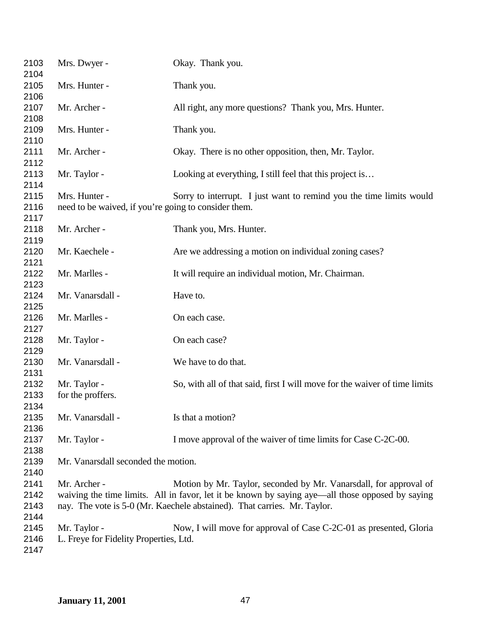| 2103<br>2104                 | Mrs. Dwyer -                                                          | Okay. Thank you.                                                                                                                                                                                                                                  |
|------------------------------|-----------------------------------------------------------------------|---------------------------------------------------------------------------------------------------------------------------------------------------------------------------------------------------------------------------------------------------|
| 2105<br>2106                 | Mrs. Hunter -                                                         | Thank you.                                                                                                                                                                                                                                        |
| 2107<br>2108                 | Mr. Archer -                                                          | All right, any more questions? Thank you, Mrs. Hunter.                                                                                                                                                                                            |
| 2109<br>2110                 | Mrs. Hunter -                                                         | Thank you.                                                                                                                                                                                                                                        |
| 2111<br>2112                 | Mr. Archer -                                                          | Okay. There is no other opposition, then, Mr. Taylor.                                                                                                                                                                                             |
| 2113<br>2114                 | Mr. Taylor -                                                          | Looking at everything, I still feel that this project is                                                                                                                                                                                          |
| 2115<br>2116                 | Mrs. Hunter -<br>need to be waived, if you're going to consider them. | Sorry to interrupt. I just want to remind you the time limits would                                                                                                                                                                               |
| 2117<br>2118                 | Mr. Archer -                                                          | Thank you, Mrs. Hunter.                                                                                                                                                                                                                           |
| 2119<br>2120<br>2121         | Mr. Kaechele -                                                        | Are we addressing a motion on individual zoning cases?                                                                                                                                                                                            |
| 2122<br>2123                 | Mr. Marlles -                                                         | It will require an individual motion, Mr. Chairman.                                                                                                                                                                                               |
| 2124<br>2125                 | Mr. Vanarsdall -                                                      | Have to.                                                                                                                                                                                                                                          |
| 2126<br>2127                 | Mr. Marlles -                                                         | On each case.                                                                                                                                                                                                                                     |
| 2128<br>2129                 | Mr. Taylor -                                                          | On each case?                                                                                                                                                                                                                                     |
| 2130<br>2131                 | Mr. Vanarsdall -                                                      | We have to do that.                                                                                                                                                                                                                               |
| 2132<br>2133<br>2134         | Mr. Taylor -<br>for the proffers.                                     | So, with all of that said, first I will move for the waiver of time limits                                                                                                                                                                        |
| 2135<br>2136                 | Mr. Vanarsdall -                                                      | Is that a motion?                                                                                                                                                                                                                                 |
| 2137<br>2138                 | Mr. Taylor -                                                          | I move approval of the waiver of time limits for Case C-2C-00.                                                                                                                                                                                    |
| 2139<br>2140                 | Mr. Vanarsdall seconded the motion.                                   |                                                                                                                                                                                                                                                   |
| 2141<br>2142<br>2143<br>2144 | Mr. Archer -                                                          | Motion by Mr. Taylor, seconded by Mr. Vanarsdall, for approval of<br>waiving the time limits. All in favor, let it be known by saying aye—all those opposed by saying<br>nay. The vote is 5-0 (Mr. Kaechele abstained). That carries. Mr. Taylor. |
| 2145<br>2146<br>2147         | Mr. Taylor -<br>L. Freye for Fidelity Properties, Ltd.                | Now, I will move for approval of Case C-2C-01 as presented, Gloria                                                                                                                                                                                |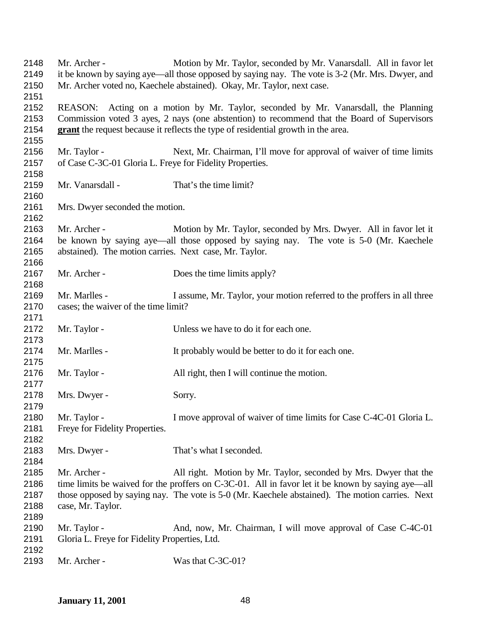| 2148 | Mr. Archer -                                             | Motion by Mr. Taylor, seconded by Mr. Vanarsdall. All in favor let                                |
|------|----------------------------------------------------------|---------------------------------------------------------------------------------------------------|
| 2149 |                                                          | it be known by saying aye—all those opposed by saying nay. The vote is 3-2 (Mr. Mrs. Dwyer, and   |
| 2150 |                                                          | Mr. Archer voted no, Kaechele abstained). Okay, Mr. Taylor, next case.                            |
| 2151 |                                                          |                                                                                                   |
| 2152 |                                                          | REASON: Acting on a motion by Mr. Taylor, seconded by Mr. Vanarsdall, the Planning                |
| 2153 |                                                          | Commission voted 3 ayes, 2 nays (one abstention) to recommend that the Board of Supervisors       |
| 2154 |                                                          | grant the request because it reflects the type of residential growth in the area.                 |
| 2155 |                                                          |                                                                                                   |
| 2156 | Mr. Taylor -                                             | Next, Mr. Chairman, I'll move for approval of waiver of time limits                               |
| 2157 | of Case C-3C-01 Gloria L. Freye for Fidelity Properties. |                                                                                                   |
| 2158 |                                                          |                                                                                                   |
| 2159 | Mr. Vanarsdall -                                         | That's the time limit?                                                                            |
| 2160 |                                                          |                                                                                                   |
| 2161 | Mrs. Dwyer seconded the motion.                          |                                                                                                   |
| 2162 |                                                          |                                                                                                   |
| 2163 | Mr. Archer -                                             | Motion by Mr. Taylor, seconded by Mrs. Dwyer. All in favor let it                                 |
| 2164 |                                                          | be known by saying aye—all those opposed by saying nay. The vote is 5-0 (Mr. Kaechele             |
| 2165 | abstained). The motion carries. Next case, Mr. Taylor.   |                                                                                                   |
| 2166 |                                                          |                                                                                                   |
| 2167 | Mr. Archer -                                             | Does the time limits apply?                                                                       |
| 2168 |                                                          |                                                                                                   |
| 2169 | Mr. Marlles -                                            | I assume, Mr. Taylor, your motion referred to the proffers in all three                           |
| 2170 | cases; the waiver of the time limit?                     |                                                                                                   |
| 2171 |                                                          |                                                                                                   |
| 2172 |                                                          | Unless we have to do it for each one.                                                             |
| 2173 | Mr. Taylor -                                             |                                                                                                   |
| 2174 | Mr. Marlles -                                            |                                                                                                   |
| 2175 |                                                          | It probably would be better to do it for each one.                                                |
|      |                                                          |                                                                                                   |
| 2176 | Mr. Taylor -                                             | All right, then I will continue the motion.                                                       |
| 2177 |                                                          |                                                                                                   |
| 2178 | Mrs. Dwyer -                                             | Sorry.                                                                                            |
| 2179 |                                                          |                                                                                                   |
| 2180 | Mr. Taylor -                                             | I move approval of waiver of time limits for Case C-4C-01 Gloria L.                               |
| 2181 | Freye for Fidelity Properties.                           |                                                                                                   |
| 2182 |                                                          |                                                                                                   |
| 2183 | Mrs. Dwyer -                                             | That's what I seconded.                                                                           |
| 2184 |                                                          |                                                                                                   |
| 2185 | Mr. Archer -                                             | All right. Motion by Mr. Taylor, seconded by Mrs. Dwyer that the                                  |
| 2186 |                                                          | time limits be waived for the proffers on C-3C-01. All in favor let it be known by saying aye—all |
| 2187 |                                                          | those opposed by saying nay. The vote is 5-0 (Mr. Kaechele abstained). The motion carries. Next   |
| 2188 | case, Mr. Taylor.                                        |                                                                                                   |
| 2189 |                                                          |                                                                                                   |
| 2190 | Mr. Taylor -                                             | And, now, Mr. Chairman, I will move approval of Case C-4C-01                                      |
| 2191 | Gloria L. Freye for Fidelity Properties, Ltd.            |                                                                                                   |
| 2192 |                                                          |                                                                                                   |
| 2193 | Mr. Archer -                                             | Was that C-3C-01?                                                                                 |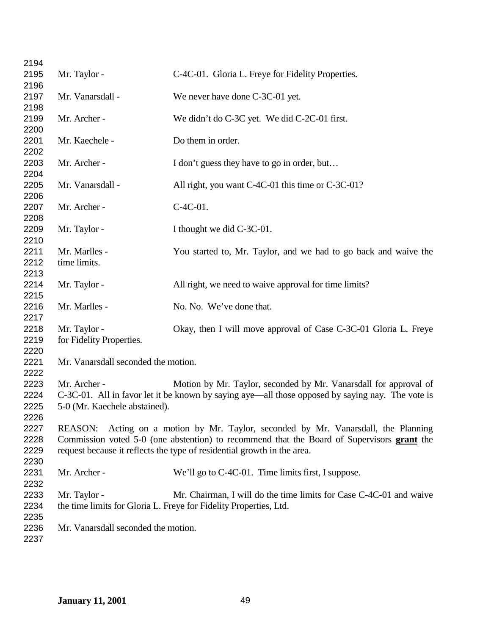| 2194 |                                     |                                                                                                  |
|------|-------------------------------------|--------------------------------------------------------------------------------------------------|
| 2195 | Mr. Taylor -                        | C-4C-01. Gloria L. Freye for Fidelity Properties.                                                |
| 2196 |                                     |                                                                                                  |
| 2197 | Mr. Vanarsdall -                    | We never have done C-3C-01 yet.                                                                  |
| 2198 |                                     |                                                                                                  |
| 2199 | Mr. Archer -                        | We didn't do C-3C yet. We did C-2C-01 first.                                                     |
| 2200 |                                     |                                                                                                  |
| 2201 | Mr. Kaechele -                      | Do them in order.                                                                                |
| 2202 |                                     |                                                                                                  |
| 2203 | Mr. Archer -                        | I don't guess they have to go in order, but                                                      |
| 2204 |                                     |                                                                                                  |
| 2205 | Mr. Vanarsdall -                    | All right, you want C-4C-01 this time or C-3C-01?                                                |
| 2206 |                                     |                                                                                                  |
| 2207 | Mr. Archer -                        | $C-4C-01$ .                                                                                      |
| 2208 |                                     |                                                                                                  |
| 2209 | Mr. Taylor -                        | I thought we did C-3C-01.                                                                        |
| 2210 |                                     |                                                                                                  |
| 2211 | Mr. Marlles -                       | You started to, Mr. Taylor, and we had to go back and waive the                                  |
| 2212 | time limits.                        |                                                                                                  |
| 2213 |                                     |                                                                                                  |
| 2214 | Mr. Taylor -                        | All right, we need to waive approval for time limits?                                            |
| 2215 |                                     |                                                                                                  |
| 2216 | Mr. Marlles -                       | No. No. We've done that.                                                                         |
| 2217 |                                     |                                                                                                  |
| 2218 | Mr. Taylor -                        | Okay, then I will move approval of Case C-3C-01 Gloria L. Freye                                  |
| 2219 | for Fidelity Properties.            |                                                                                                  |
| 2220 |                                     |                                                                                                  |
| 2221 | Mr. Vanarsdall seconded the motion. |                                                                                                  |
| 2222 |                                     |                                                                                                  |
| 2223 | Mr. Archer -                        | Motion by Mr. Taylor, seconded by Mr. Vanarsdall for approval of                                 |
| 2224 |                                     | C-3C-01. All in favor let it be known by saying aye—all those opposed by saying nay. The vote is |
| 2225 | 5-0 (Mr. Kaechele abstained).       |                                                                                                  |
| 2226 |                                     |                                                                                                  |
| 2227 | <b>REASON:</b>                      | Acting on a motion by Mr. Taylor, seconded by Mr. Vanarsdall, the Planning                       |
| 2228 |                                     | Commission voted 5-0 (one abstention) to recommend that the Board of Supervisors grant the       |
| 2229 |                                     | request because it reflects the type of residential growth in the area.                          |
| 2230 |                                     |                                                                                                  |
| 2231 | Mr. Archer -                        | We'll go to C-4C-01. Time limits first, I suppose.                                               |
| 2232 |                                     |                                                                                                  |
| 2233 | Mr. Taylor -                        | Mr. Chairman, I will do the time limits for Case C-4C-01 and waive                               |
| 2234 |                                     | the time limits for Gloria L. Freye for Fidelity Properties, Ltd.                                |
| 2235 |                                     |                                                                                                  |
| 2236 | Mr. Vanarsdall seconded the motion. |                                                                                                  |
| 2237 |                                     |                                                                                                  |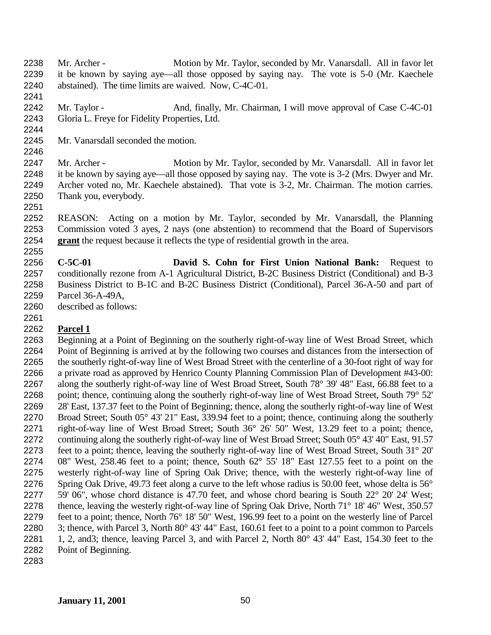Mr. Archer - Motion by Mr. Taylor, seconded by Mr. Vanarsdall. All in favor let it be known by saying aye—all those opposed by saying nay. The vote is 5-0 (Mr. Kaechele abstained). The time limits are waived. Now, C-4C-01.

2242 Mr. Taylor - And, finally, Mr. Chairman, I will move approval of Case C-4C-01 Gloria L. Freye for Fidelity Properties, Ltd.

- Mr. Vanarsdall seconded the motion.
- 

 Mr. Archer - Motion by Mr. Taylor, seconded by Mr. Vanarsdall. All in favor let it be known by saying aye—all those opposed by saying nay. The vote is 3-2 (Mrs. Dwyer and Mr. Archer voted no, Mr. Kaechele abstained). That vote is 3-2, Mr. Chairman. The motion carries. Thank you, everybody.

 REASON: Acting on a motion by Mr. Taylor, seconded by Mr. Vanarsdall, the Planning Commission voted 3 ayes, 2 nays (one abstention) to recommend that the Board of Supervisors **grant** the request because it reflects the type of residential growth in the area. 

 **C-5C-01 David S. Cohn for First Union National Bank:** Request to conditionally rezone from A-1 Agricultural District, B-2C Business District (Conditional) and B-3 Business District to B-1C and B-2C Business District (Conditional), Parcel 36-A-50 and part of Parcel 36-A-49A,

described as follows:

## **Parcel 1**

 Beginning at a Point of Beginning on the southerly right-of-way line of West Broad Street, which Point of Beginning is arrived at by the following two courses and distances from the intersection of the southerly right-of-way line of West Broad Street with the centerline of a 30-foot right of way for a private road as approved by Henrico County Planning Commission Plan of Development #43-00: along the southerly right-of-way line of West Broad Street, South 78° 39' 48" East, 66.88 feet to a 2268 point; thence, continuing along the southerly right-of-way line of West Broad Street, South 79° 52' 28' East, 137.37 feet to the Point of Beginning; thence, along the southerly right-of-way line of West Broad Street; South 05° 43' 21" East, 339.94 feet to a point; thence, continuing along the southerly 2271 right-of-way line of West Broad Street; South 36° 26' 50" West, 13.29 feet to a point; thence, continuing along the southerly right-of-way line of West Broad Street; South 05° 43' 40" East, 91.57 feet to a point; thence, leaving the southerly right-of-way line of West Broad Street, South 31° 20' 08" West, 258.46 feet to a point; thence, South 62° 55' 18" East 127.55 feet to a point on the westerly right-of-way line of Spring Oak Drive; thence, with the westerly right-of-way line of Spring Oak Drive, 49.73 feet along a curve to the left whose radius is 50.00 feet, whose delta is 56° 59' 06", whose chord distance is 47.70 feet, and whose chord bearing is South 22° 20' 24' West; 2278 thence, leaving the westerly right-of-way line of Spring Oak Drive, North 71° 18' 46" West, 350.57 feet to a point; thence, North 76° 18' 50" West, 196.99 feet to a point on the westerly line of Parcel 3; thence, with Parcel 3, North 80° 43' 44" East, 160.61 feet to a point to a point common to Parcels 1, 2, and3; thence, leaving Parcel 3, and with Parcel 2, North 80° 43' 44" East, 154.30 feet to the Point of Beginning.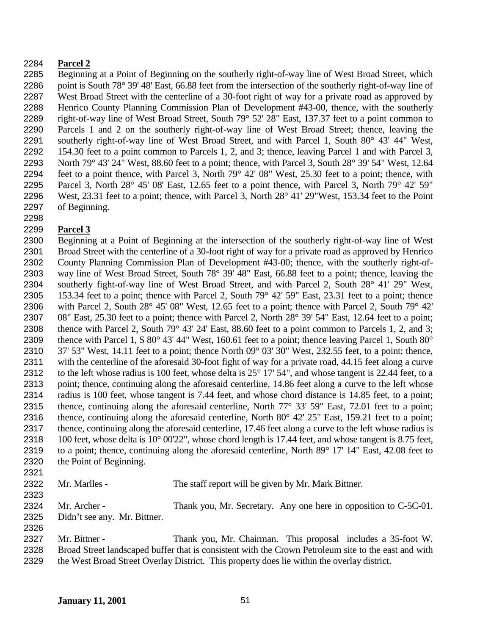## **Parcel 2**

 Beginning at a Point of Beginning on the southerly right-of-way line of West Broad Street, which 2286 point is South 78° 39' 48' East, 66.88 feet from the intersection of the southerly right-of-way line of West Broad Street with the centerline of a 30-foot right of way for a private road as approved by Henrico County Planning Commission Plan of Development #43-00, thence, with the southerly right-of-way line of West Broad Street, South 79° 52' 28" East, 137.37 feet to a point common to Parcels 1 and 2 on the southerly right-of-way line of West Broad Street; thence, leaving the southerly right-of-way line of West Broad Street, and with Parcel 1, South 80° 43' 44" West, 154.30 feet to a point common to Parcels 1, 2, and 3; thence, leaving Parcel 1 and with Parcel 3, North 79° 43' 24" West, 88.60 feet to a point; thence, with Parcel 3, South 28° 39' 54" West, 12.64 feet to a point thence, with Parcel 3, North 79° 42' 08" West, 25.30 feet to a point; thence, with Parcel 3, North 28° 45' 08' East, 12.65 feet to a point thence, with Parcel 3, North 79° 42' 59" West, 23.31 feet to a point; thence, with Parcel 3, North 28° 41' 29"West, 153.34 feet to the Point of Beginning.

## **Parcel 3**

 Beginning at a Point of Beginning at the intersection of the southerly right-of-way line of West Broad Street with the centerline of a 30-foot right of way for a private road as approved by Henrico County Planning Commission Plan of Development #43-00; thence, with the southerly right-of- way line of West Broad Street, South 78° 39' 48" East, 66.88 feet to a point; thence, leaving the southerly fight-of-way line of West Broad Street, and with Parcel 2, South 28° 41' 29" West, 153.34 feet to a point; thence with Parcel 2, South 79° 42' 59" East, 23.31 feet to a point; thence with Parcel 2, South 28° 45' 08" West, 12.65 feet to a point; thence with Parcel 2, South 79° 42' 08" East, 25.30 feet to a point; thence with Parcel 2, North 28° 39' 54" East, 12.64 feet to a point; thence with Parcel 2, South 79° 43' 24' East, 88.60 feet to a point common to Parcels 1, 2, and 3; thence with Parcel 1, S 80° 43' 44" West, 160.61 feet to a point; thence leaving Parcel 1, South 80°  $37'$  53" West, 14.11 feet to a point; thence North 09 $^{\circ}$  03' 30" West, 232.55 feet, to a point; thence, with the centerline of the aforesaid 30-foot fight of way for a private road, 44.15 feet along a curve to the left whose radius is 100 feet, whose delta is 25° 17' 54", and whose tangent is 22.44 feet, to a point; thence, continuing along the aforesaid centerline, 14.86 feet along a curve to the left whose radius is 100 feet, whose tangent is 7.44 feet, and whose chord distance is 14.85 feet, to a point; thence, continuing along the aforesaid centerline, North 77° 33' 59" East, 72.01 feet to a point; thence, continuing along the aforesaid centerline, North 80° 42' 25" East, 159.21 feet to a point; thence, continuing along the aforesaid centerline, 17.46 feet along a curve to the left whose radius is 2318 100 feet, whose delta is 10° 00'22", whose chord length is 17.44 feet, and whose tangent is 8.75 feet, to a point; thence, continuing along the aforesaid centerline, North 89° 17' 14" East, 42.08 feet to the Point of Beginning. 

Mr. Marlles - The staff report will be given by Mr. Mark Bittner.

 Mr. Archer - Thank you, Mr. Secretary. Any one here in opposition to C-5C-01. Didn't see any. Mr. Bittner.

 Mr. Bittner - Thank you, Mr. Chairman. This proposal includes a 35-foot W. Broad Street landscaped buffer that is consistent with the Crown Petroleum site to the east and with the West Broad Street Overlay District. This property does lie within the overlay district.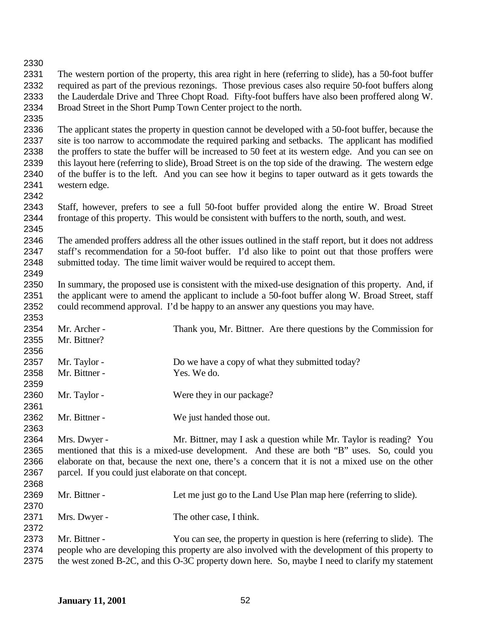The western portion of the property, this area right in here (referring to slide), has a 50-foot buffer required as part of the previous rezonings. Those previous cases also require 50-foot buffers along the Lauderdale Drive and Three Chopt Road. Fifty-foot buffers have also been proffered along W. Broad Street in the Short Pump Town Center project to the north. The applicant states the property in question cannot be developed with a 50-foot buffer, because the site is too narrow to accommodate the required parking and setbacks. The applicant has modified the proffers to state the buffer will be increased to 50 feet at its western edge. And you can see on this layout here (referring to slide), Broad Street is on the top side of the drawing. The western edge of the buffer is to the left. And you can see how it begins to taper outward as it gets towards the western edge. Staff, however, prefers to see a full 50-foot buffer provided along the entire W. Broad Street frontage of this property. This would be consistent with buffers to the north, south, and west. The amended proffers address all the other issues outlined in the staff report, but it does not address staff's recommendation for a 50-foot buffer. I'd also like to point out that those proffers were submitted today. The time limit waiver would be required to accept them. In summary, the proposed use is consistent with the mixed-use designation of this property. And, if 2351 the applicant were to amend the applicant to include a 50-foot buffer along W. Broad Street, staff could recommend approval. I'd be happy to an answer any questions you may have. Mr. Archer - Thank you, Mr. Bittner. Are there questions by the Commission for Mr. Bittner? 2357 Mr. Taylor - Do we have a copy of what they submitted today?<br>2358 Mr. Bittner - Yes. We do. Mr. Bittner - Yes. We do. 2360 Mr. Taylor - Were they in our package? Mr. Bittner - We just handed those out. Mrs. Dwyer - Mr. Bittner, may I ask a question while Mr. Taylor is reading? You mentioned that this is a mixed-use development. And these are both "B" uses. So, could you elaborate on that, because the next one, there's a concern that it is not a mixed use on the other parcel. If you could just elaborate on that concept. Mr. Bittner - Let me just go to the Land Use Plan map here (referring to slide). 2371 Mrs. Dwyer - The other case, I think. Mr. Bittner - You can see, the property in question is here (referring to slide). The people who are developing this property are also involved with the development of this property to 2375 the west zoned B-2C, and this O-3C property down here. So, maybe I need to clarify my statement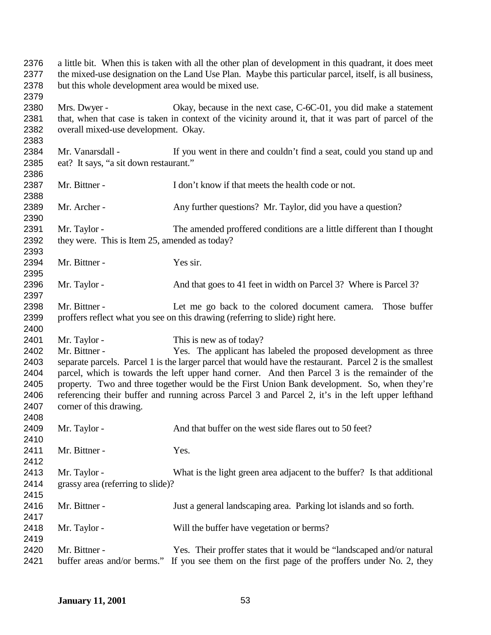| 2376<br>2377                                                 | a little bit. When this is taken with all the other plan of development in this quadrant, it does meet<br>the mixed-use designation on the Land Use Plan. Maybe this particular parcel, itself, is all business,                                                                                                                                                                                                                                                                                                                                                             |                                                                                                                                                                            |
|--------------------------------------------------------------|------------------------------------------------------------------------------------------------------------------------------------------------------------------------------------------------------------------------------------------------------------------------------------------------------------------------------------------------------------------------------------------------------------------------------------------------------------------------------------------------------------------------------------------------------------------------------|----------------------------------------------------------------------------------------------------------------------------------------------------------------------------|
| 2378<br>2379                                                 | but this whole development area would be mixed use.                                                                                                                                                                                                                                                                                                                                                                                                                                                                                                                          |                                                                                                                                                                            |
| 2380<br>2381<br>2382<br>2383                                 | Mrs. Dwyer -<br>overall mixed-use development. Okay.                                                                                                                                                                                                                                                                                                                                                                                                                                                                                                                         | Okay, because in the next case, C-6C-01, you did make a statement<br>that, when that case is taken in context of the vicinity around it, that it was part of parcel of the |
| 2384<br>2385<br>2386                                         | Mr. Vanarsdall -<br>eat? It says, "a sit down restaurant."                                                                                                                                                                                                                                                                                                                                                                                                                                                                                                                   | If you went in there and couldn't find a seat, could you stand up and                                                                                                      |
| 2387<br>2388                                                 | Mr. Bittner -                                                                                                                                                                                                                                                                                                                                                                                                                                                                                                                                                                | I don't know if that meets the health code or not.                                                                                                                         |
| 2389<br>2390                                                 | Mr. Archer -                                                                                                                                                                                                                                                                                                                                                                                                                                                                                                                                                                 | Any further questions? Mr. Taylor, did you have a question?                                                                                                                |
| 2391<br>2392<br>2393                                         | Mr. Taylor -<br>they were. This is Item 25, amended as today?                                                                                                                                                                                                                                                                                                                                                                                                                                                                                                                | The amended proffered conditions are a little different than I thought                                                                                                     |
| 2394<br>2395                                                 | Mr. Bittner -                                                                                                                                                                                                                                                                                                                                                                                                                                                                                                                                                                | Yes sir.                                                                                                                                                                   |
| 2396<br>2397                                                 | Mr. Taylor -                                                                                                                                                                                                                                                                                                                                                                                                                                                                                                                                                                 | And that goes to 41 feet in width on Parcel 3? Where is Parcel 3?                                                                                                          |
| 2398<br>2399<br>2400                                         | Mr. Bittner -                                                                                                                                                                                                                                                                                                                                                                                                                                                                                                                                                                | Let me go back to the colored document camera.<br>Those buffer<br>proffers reflect what you see on this drawing (referring to slide) right here.                           |
| 2401<br>2402<br>2403<br>2404<br>2405<br>2406<br>2407<br>2408 | This is new as of today?<br>Mr. Taylor -<br>Mr. Bittner -<br>Yes. The applicant has labeled the proposed development as three<br>separate parcels. Parcel 1 is the larger parcel that would have the restaurant. Parcel 2 is the smallest<br>parcel, which is towards the left upper hand corner. And then Parcel 3 is the remainder of the<br>property. Two and three together would be the First Union Bank development. So, when they're<br>referencing their buffer and running across Parcel 3 and Parcel 2, it's in the left upper lefthand<br>corner of this drawing. |                                                                                                                                                                            |
| 2409<br>2410                                                 | Mr. Taylor -                                                                                                                                                                                                                                                                                                                                                                                                                                                                                                                                                                 | And that buffer on the west side flares out to 50 feet?                                                                                                                    |
| 2411<br>2412                                                 | Mr. Bittner -                                                                                                                                                                                                                                                                                                                                                                                                                                                                                                                                                                | Yes.                                                                                                                                                                       |
| 2413<br>2414<br>2415                                         | Mr. Taylor -<br>grassy area (referring to slide)?                                                                                                                                                                                                                                                                                                                                                                                                                                                                                                                            | What is the light green area adjacent to the buffer? Is that additional                                                                                                    |
| 2416<br>2417                                                 | Mr. Bittner -                                                                                                                                                                                                                                                                                                                                                                                                                                                                                                                                                                | Just a general landscaping area. Parking lot islands and so forth.                                                                                                         |
| 2418<br>2419                                                 | Mr. Taylor -                                                                                                                                                                                                                                                                                                                                                                                                                                                                                                                                                                 | Will the buffer have vegetation or berms?                                                                                                                                  |
| 2420<br>2421                                                 | Mr. Bittner -<br>buffer areas and/or berms."                                                                                                                                                                                                                                                                                                                                                                                                                                                                                                                                 | Yes. Their proffer states that it would be "landscaped and/or natural<br>If you see them on the first page of the proffers under No. 2, they                               |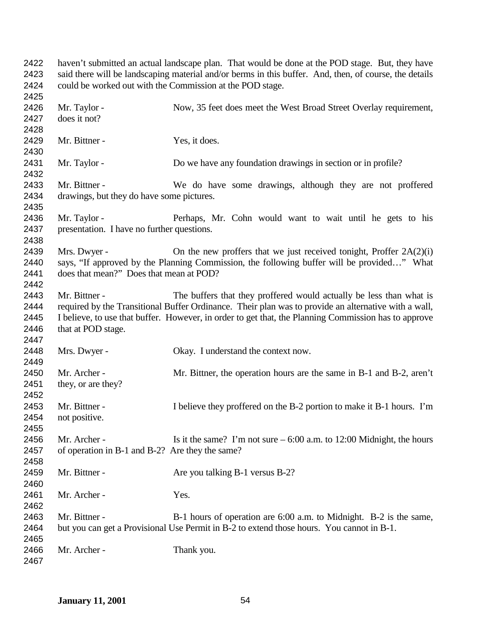| 2422<br>2423<br>2424 | haven't submitted an actual landscape plan. That would be done at the POD stage. But, they have<br>said there will be landscaping material and/or berms in this buffer. And, then, of course, the details<br>could be worked out with the Commission at the POD stage. |                                                                                                      |
|----------------------|------------------------------------------------------------------------------------------------------------------------------------------------------------------------------------------------------------------------------------------------------------------------|------------------------------------------------------------------------------------------------------|
| 2425<br>2426         |                                                                                                                                                                                                                                                                        | Now, 35 feet does meet the West Broad Street Overlay requirement,                                    |
| 2427                 | Mr. Taylor -<br>does it not?                                                                                                                                                                                                                                           |                                                                                                      |
|                      |                                                                                                                                                                                                                                                                        |                                                                                                      |
| 2428<br>2429         | Mr. Bittner -                                                                                                                                                                                                                                                          |                                                                                                      |
|                      |                                                                                                                                                                                                                                                                        | Yes, it does.                                                                                        |
| 2430<br>2431         |                                                                                                                                                                                                                                                                        |                                                                                                      |
| 2432                 | Mr. Taylor -                                                                                                                                                                                                                                                           | Do we have any foundation drawings in section or in profile?                                         |
| 2433                 | Mr. Bittner -                                                                                                                                                                                                                                                          |                                                                                                      |
| 2434                 | drawings, but they do have some pictures.                                                                                                                                                                                                                              | We do have some drawings, although they are not proffered                                            |
| 2435                 |                                                                                                                                                                                                                                                                        |                                                                                                      |
| 2436                 | Mr. Taylor -                                                                                                                                                                                                                                                           | Perhaps, Mr. Cohn would want to wait until he gets to his                                            |
| 2437                 | presentation. I have no further questions.                                                                                                                                                                                                                             |                                                                                                      |
| 2438                 |                                                                                                                                                                                                                                                                        |                                                                                                      |
| 2439                 | Mrs. Dwyer -                                                                                                                                                                                                                                                           | On the new proffers that we just received tonight, Proffer $2A(2)(i)$                                |
| 2440                 |                                                                                                                                                                                                                                                                        | says, "If approved by the Planning Commission, the following buffer will be provided" What           |
| 2441                 | does that mean?" Does that mean at POD?                                                                                                                                                                                                                                |                                                                                                      |
| 2442                 |                                                                                                                                                                                                                                                                        |                                                                                                      |
| 2443                 | Mr. Bittner -                                                                                                                                                                                                                                                          | The buffers that they proffered would actually be less than what is                                  |
| 2444                 |                                                                                                                                                                                                                                                                        | required by the Transitional Buffer Ordinance. Their plan was to provide an alternative with a wall, |
| 2445                 |                                                                                                                                                                                                                                                                        | I believe, to use that buffer. However, in order to get that, the Planning Commission has to approve |
| 2446                 | that at POD stage.                                                                                                                                                                                                                                                     |                                                                                                      |
| 2447                 |                                                                                                                                                                                                                                                                        |                                                                                                      |
| 2448                 | Mrs. Dwyer -                                                                                                                                                                                                                                                           | Okay. I understand the context now.                                                                  |
| 2449                 |                                                                                                                                                                                                                                                                        |                                                                                                      |
| 2450                 | Mr. Archer -                                                                                                                                                                                                                                                           | Mr. Bittner, the operation hours are the same in B-1 and B-2, aren't                                 |
| 2451                 | they, or are they?                                                                                                                                                                                                                                                     |                                                                                                      |
| 2452                 |                                                                                                                                                                                                                                                                        |                                                                                                      |
| 2453                 | Mr. Bittner -                                                                                                                                                                                                                                                          | I believe they proffered on the B-2 portion to make it B-1 hours. I'm                                |
| 2454                 | not positive.                                                                                                                                                                                                                                                          |                                                                                                      |
| 2455                 |                                                                                                                                                                                                                                                                        |                                                                                                      |
| 2456                 | Mr. Archer -                                                                                                                                                                                                                                                           | Is it the same? I'm not sure $-6:00$ a.m. to 12:00 Midnight, the hours                               |
| 2457                 | of operation in B-1 and B-2? Are they the same?                                                                                                                                                                                                                        |                                                                                                      |
| 2458                 |                                                                                                                                                                                                                                                                        |                                                                                                      |
| 2459                 | Mr. Bittner -                                                                                                                                                                                                                                                          | Are you talking B-1 versus B-2?                                                                      |
| 2460                 |                                                                                                                                                                                                                                                                        |                                                                                                      |
| 2461                 | Mr. Archer -                                                                                                                                                                                                                                                           | Yes.                                                                                                 |
| 2462                 |                                                                                                                                                                                                                                                                        |                                                                                                      |
| 2463                 | Mr. Bittner -                                                                                                                                                                                                                                                          | B-1 hours of operation are 6:00 a.m. to Midnight. B-2 is the same,                                   |
| 2464                 |                                                                                                                                                                                                                                                                        | but you can get a Provisional Use Permit in B-2 to extend those hours. You cannot in B-1.            |
| 2465                 |                                                                                                                                                                                                                                                                        |                                                                                                      |
| 2466                 | Mr. Archer -                                                                                                                                                                                                                                                           | Thank you.                                                                                           |
| 2467                 |                                                                                                                                                                                                                                                                        |                                                                                                      |
|                      |                                                                                                                                                                                                                                                                        |                                                                                                      |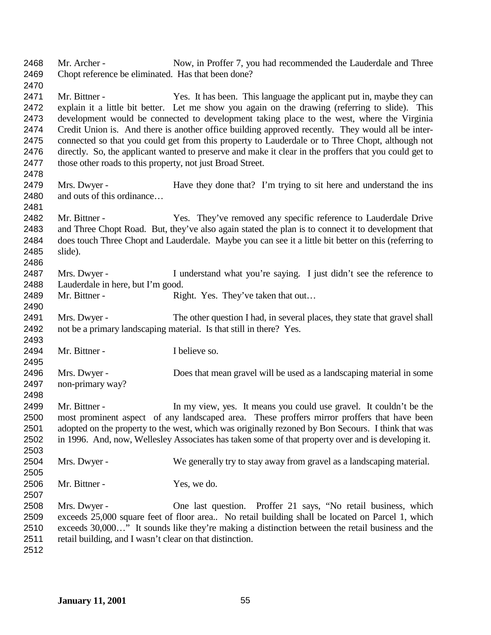| 2468<br>2469 | Mr. Archer -<br>Chopt reference be eliminated. Has that been done? | Now, in Proffer 7, you had recommended the Lauderdale and Three                                                                                                                               |
|--------------|--------------------------------------------------------------------|-----------------------------------------------------------------------------------------------------------------------------------------------------------------------------------------------|
| 2470         |                                                                    |                                                                                                                                                                                               |
| 2471         | Mr. Bittner -                                                      | Yes. It has been. This language the applicant put in, maybe they can                                                                                                                          |
| 2472<br>2473 |                                                                    | explain it a little bit better. Let me show you again on the drawing (referring to slide). This<br>development would be connected to development taking place to the west, where the Virginia |
| 2474         |                                                                    | Credit Union is. And there is another office building approved recently. They would all be inter-                                                                                             |
| 2475         |                                                                    | connected so that you could get from this property to Lauderdale or to Three Chopt, although not                                                                                              |
| 2476         |                                                                    | directly. So, the applicant wanted to preserve and make it clear in the proffers that you could get to                                                                                        |
| 2477         | those other roads to this property, not just Broad Street.         |                                                                                                                                                                                               |
| 2478         |                                                                    |                                                                                                                                                                                               |
| 2479         | Mrs. Dwyer -                                                       | Have they done that? I'm trying to sit here and understand the ins                                                                                                                            |
| 2480         | and outs of this ordinance                                         |                                                                                                                                                                                               |
| 2481         |                                                                    |                                                                                                                                                                                               |
| 2482         | Mr. Bittner -                                                      | Yes. They've removed any specific reference to Lauderdale Drive                                                                                                                               |
| 2483         |                                                                    | and Three Chopt Road. But, they've also again stated the plan is to connect it to development that                                                                                            |
| 2484         |                                                                    | does touch Three Chopt and Lauderdale. Maybe you can see it a little bit better on this (referring to                                                                                         |
| 2485         | slide).                                                            |                                                                                                                                                                                               |
| 2486         |                                                                    |                                                                                                                                                                                               |
| 2487         | Mrs. Dwyer -                                                       | I understand what you're saying. I just didn't see the reference to                                                                                                                           |
| 2488         | Lauderdale in here, but I'm good.                                  |                                                                                                                                                                                               |
| 2489         | Mr. Bittner -                                                      | Right. Yes. They've taken that out                                                                                                                                                            |
| 2490         |                                                                    |                                                                                                                                                                                               |
| 2491         | Mrs. Dwyer -                                                       | The other question I had, in several places, they state that gravel shall                                                                                                                     |
| 2492         |                                                                    | not be a primary landscaping material. Is that still in there? Yes.                                                                                                                           |
| 2493         |                                                                    |                                                                                                                                                                                               |
| 2494         | Mr. Bittner -                                                      | I believe so.                                                                                                                                                                                 |
| 2495         |                                                                    |                                                                                                                                                                                               |
| 2496         | Mrs. Dwyer -                                                       | Does that mean gravel will be used as a landscaping material in some                                                                                                                          |
| 2497         | non-primary way?                                                   |                                                                                                                                                                                               |
| 2498         |                                                                    |                                                                                                                                                                                               |
| 2499         | Mr. Bittner -                                                      | In my view, yes. It means you could use gravel. It couldn't be the                                                                                                                            |
| 2500         |                                                                    | most prominent aspect of any landscaped area. These proffers mirror proffers that have been                                                                                                   |
| 2501         |                                                                    | adopted on the property to the west, which was originally rezoned by Bon Secours. I think that was                                                                                            |
| 2502         |                                                                    | in 1996. And, now, Wellesley Associates has taken some of that property over and is developing it.                                                                                            |
| 2503         |                                                                    |                                                                                                                                                                                               |
| 2504         | Mrs. Dwyer -                                                       | We generally try to stay away from gravel as a landscaping material.                                                                                                                          |
| 2505         |                                                                    |                                                                                                                                                                                               |
| 2506         | Mr. Bittner -                                                      | Yes, we do.                                                                                                                                                                                   |
| 2507         |                                                                    |                                                                                                                                                                                               |
| 2508         | Mrs. Dwyer -                                                       | One last question. Proffer 21 says, "No retail business, which                                                                                                                                |
| 2509         |                                                                    | exceeds 25,000 square feet of floor area No retail building shall be located on Parcel 1, which                                                                                               |
| 2510         |                                                                    | exceeds 30,000" It sounds like they're making a distinction between the retail business and the                                                                                               |
| 2511         | retail building, and I wasn't clear on that distinction.           |                                                                                                                                                                                               |
| 2512         |                                                                    |                                                                                                                                                                                               |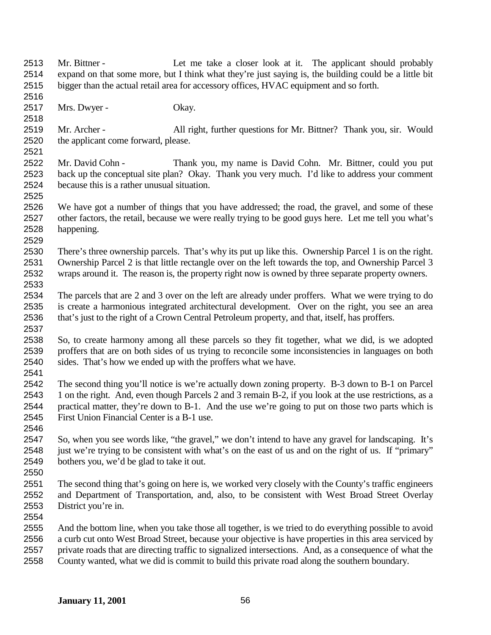Mr. Bittner - Let me take a closer look at it. The applicant should probably expand on that some more, but I think what they're just saying is, the building could be a little bit bigger than the actual retail area for accessory offices, HVAC equipment and so forth. Mrs. Dwyer - Okay. Mr. Archer - All right, further questions for Mr. Bittner? Thank you, sir. Would the applicant come forward, please. Mr. David Cohn - Thank you, my name is David Cohn. Mr. Bittner, could you put back up the conceptual site plan? Okay. Thank you very much. I'd like to address your comment because this is a rather unusual situation. We have got a number of things that you have addressed; the road, the gravel, and some of these other factors, the retail, because we were really trying to be good guys here. Let me tell you what's happening. There's three ownership parcels. That's why its put up like this. Ownership Parcel 1 is on the right. Ownership Parcel 2 is that little rectangle over on the left towards the top, and Ownership Parcel 3 wraps around it. The reason is, the property right now is owned by three separate property owners. The parcels that are 2 and 3 over on the left are already under proffers. What we were trying to do is create a harmonious integrated architectural development. Over on the right, you see an area that's just to the right of a Crown Central Petroleum property, and that, itself, has proffers. So, to create harmony among all these parcels so they fit together, what we did, is we adopted proffers that are on both sides of us trying to reconcile some inconsistencies in languages on both sides. That's how we ended up with the proffers what we have. The second thing you'll notice is we're actually down zoning property. B-3 down to B-1 on Parcel 1 on the right. And, even though Parcels 2 and 3 remain B-2, if you look at the use restrictions, as a practical matter, they're down to B-1. And the use we're going to put on those two parts which is First Union Financial Center is a B-1 use. So, when you see words like, "the gravel," we don't intend to have any gravel for landscaping. It's 2548 just we're trying to be consistent with what's on the east of us and on the right of us. If "primary" bothers you, we'd be glad to take it out. The second thing that's going on here is, we worked very closely with the County's traffic engineers and Department of Transportation, and, also, to be consistent with West Broad Street Overlay District you're in. And the bottom line, when you take those all together, is we tried to do everything possible to avoid a curb cut onto West Broad Street, because your objective is have properties in this area serviced by private roads that are directing traffic to signalized intersections. And, as a consequence of what the County wanted, what we did is commit to build this private road along the southern boundary.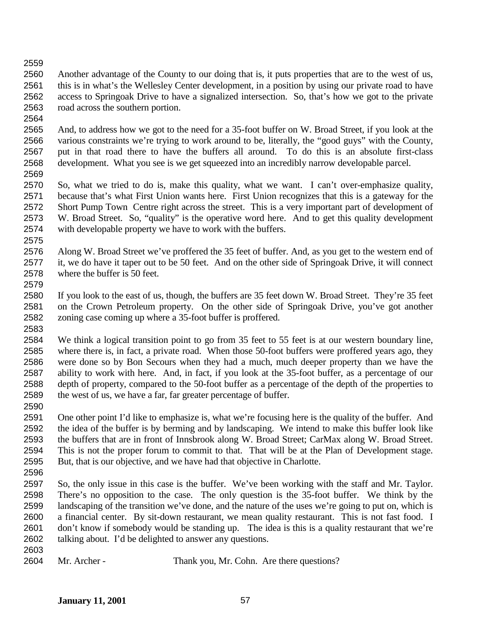Another advantage of the County to our doing that is, it puts properties that are to the west of us, this is in what's the Wellesley Center development, in a position by using our private road to have access to Springoak Drive to have a signalized intersection. So, that's how we got to the private road across the southern portion.

 And, to address how we got to the need for a 35-foot buffer on W. Broad Street, if you look at the various constraints we're trying to work around to be, literally, the "good guys" with the County, put in that road there to have the buffers all around. To do this is an absolute first-class development. What you see is we get squeezed into an incredibly narrow developable parcel. 

 So, what we tried to do is, make this quality, what we want. I can't over-emphasize quality, because that's what First Union wants here. First Union recognizes that this is a gateway for the Short Pump Town Centre right across the street. This is a very important part of development of W. Broad Street. So, "quality" is the operative word here. And to get this quality development with developable property we have to work with the buffers.

 Along W. Broad Street we've proffered the 35 feet of buffer. And, as you get to the western end of it, we do have it taper out to be 50 feet. And on the other side of Springoak Drive, it will connect where the buffer is 50 feet. 

 If you look to the east of us, though, the buffers are 35 feet down W. Broad Street. They're 35 feet on the Crown Petroleum property. On the other side of Springoak Drive, you've got another zoning case coming up where a 35-foot buffer is proffered. 

 We think a logical transition point to go from 35 feet to 55 feet is at our western boundary line, where there is, in fact, a private road. When those 50-foot buffers were proffered years ago, they were done so by Bon Secours when they had a much, much deeper property than we have the ability to work with here. And, in fact, if you look at the 35-foot buffer, as a percentage of our depth of property, compared to the 50-foot buffer as a percentage of the depth of the properties to the west of us, we have a far, far greater percentage of buffer.

 One other point I'd like to emphasize is, what we're focusing here is the quality of the buffer. And the idea of the buffer is by berming and by landscaping. We intend to make this buffer look like the buffers that are in front of Innsbrook along W. Broad Street; CarMax along W. Broad Street. This is not the proper forum to commit to that. That will be at the Plan of Development stage. But, that is our objective, and we have had that objective in Charlotte.

 So, the only issue in this case is the buffer. We've been working with the staff and Mr. Taylor. There's no opposition to the case. The only question is the 35-foot buffer. We think by the landscaping of the transition we've done, and the nature of the uses we're going to put on, which is a financial center. By sit-down restaurant, we mean quality restaurant. This is not fast food. I don't know if somebody would be standing up. The idea is this is a quality restaurant that we're talking about. I'd be delighted to answer any questions.

Mr. Archer - Thank you, Mr. Cohn. Are there questions?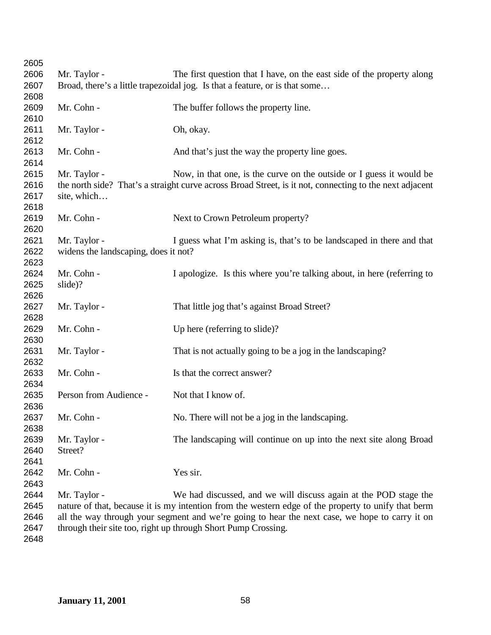| 2605         |                                                                                                         |                                                                                                     |  |
|--------------|---------------------------------------------------------------------------------------------------------|-----------------------------------------------------------------------------------------------------|--|
| 2606         | Mr. Taylor -                                                                                            | The first question that I have, on the east side of the property along                              |  |
| 2607         | Broad, there's a little trapezoidal jog. Is that a feature, or is that some                             |                                                                                                     |  |
| 2608         |                                                                                                         |                                                                                                     |  |
| 2609         | Mr. Cohn -                                                                                              | The buffer follows the property line.                                                               |  |
| 2610         |                                                                                                         |                                                                                                     |  |
| 2611         | Mr. Taylor -                                                                                            | Oh, okay.                                                                                           |  |
| 2612         |                                                                                                         |                                                                                                     |  |
| 2613         | Mr. Cohn -                                                                                              | And that's just the way the property line goes.                                                     |  |
| 2614         |                                                                                                         |                                                                                                     |  |
| 2615         | Mr. Taylor -                                                                                            | Now, in that one, is the curve on the outside or I guess it would be                                |  |
| 2616         | the north side? That's a straight curve across Broad Street, is it not, connecting to the next adjacent |                                                                                                     |  |
| 2617         | site, which                                                                                             |                                                                                                     |  |
| 2618         |                                                                                                         |                                                                                                     |  |
| 2619         | Mr. Cohn -                                                                                              | Next to Crown Petroleum property?                                                                   |  |
| 2620         |                                                                                                         |                                                                                                     |  |
| 2621         | Mr. Taylor -                                                                                            | I guess what I'm asking is, that's to be landscaped in there and that                               |  |
| 2622         | widens the landscaping, does it not?                                                                    |                                                                                                     |  |
| 2623         |                                                                                                         |                                                                                                     |  |
| 2624         | Mr. Cohn -                                                                                              | I apologize. Is this where you're talking about, in here (referring to                              |  |
| 2625         | slide)?                                                                                                 |                                                                                                     |  |
| 2626         |                                                                                                         |                                                                                                     |  |
| 2627         | Mr. Taylor -                                                                                            | That little jog that's against Broad Street?                                                        |  |
| 2628         |                                                                                                         |                                                                                                     |  |
| 2629         | Mr. Cohn -                                                                                              | Up here (referring to slide)?                                                                       |  |
| 2630         |                                                                                                         |                                                                                                     |  |
| 2631         | Mr. Taylor -                                                                                            | That is not actually going to be a jog in the landscaping?                                          |  |
| 2632         |                                                                                                         |                                                                                                     |  |
| 2633         | Mr. Cohn -                                                                                              | Is that the correct answer?                                                                         |  |
| 2634<br>2635 | Person from Audience -                                                                                  | Not that I know of.                                                                                 |  |
| 2636         |                                                                                                         |                                                                                                     |  |
| 2637         | Mr. Cohn -                                                                                              | No. There will not be a jog in the landscaping.                                                     |  |
| 2638         |                                                                                                         |                                                                                                     |  |
| 2639         | Mr. Taylor -                                                                                            | The landscaping will continue on up into the next site along Broad                                  |  |
| 2640         | Street?                                                                                                 |                                                                                                     |  |
| 2641         |                                                                                                         |                                                                                                     |  |
| 2642         | Mr. Cohn -                                                                                              | Yes sir.                                                                                            |  |
| 2643         |                                                                                                         |                                                                                                     |  |
| 2644         | Mr. Taylor -                                                                                            | We had discussed, and we will discuss again at the POD stage the                                    |  |
| 2645         |                                                                                                         | nature of that, because it is my intention from the western edge of the property to unify that berm |  |
| 2646         | all the way through your segment and we're going to hear the next case, we hope to carry it on          |                                                                                                     |  |
| 2647         | through their site too, right up through Short Pump Crossing.                                           |                                                                                                     |  |
| 2648         |                                                                                                         |                                                                                                     |  |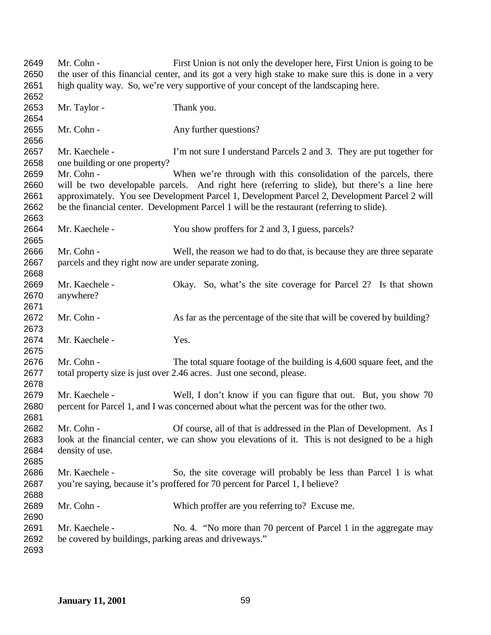Mr. Cohn - First Union is not only the developer here, First Union is going to be the user of this financial center, and its got a very high stake to make sure this is done in a very high quality way. So, we're very supportive of your concept of the landscaping here. 2653 Mr. Taylor - Thank you. 2655 Mr. Cohn - Any further questions? Mr. Kaechele - I'm not sure I understand Parcels 2 and 3. They are put together for one building or one property? 2659 Mr. Cohn - When we're through with this consolidation of the parcels, there will be two developable parcels. And right here (referring to slide), but there's a line here approximately. You see Development Parcel 1, Development Parcel 2, Development Parcel 2 will be the financial center. Development Parcel 1 will be the restaurant (referring to slide). 2664 Mr. Kaechele - You show proffers for 2 and 3, I guess, parcels? Mr. Cohn - Well, the reason we had to do that, is because they are three separate parcels and they right now are under separate zoning. Mr. Kaechele - Okay. So, what's the site coverage for Parcel 2? Is that shown anywhere? 2672 Mr. Cohn - As far as the percentage of the site that will be covered by building? 2674 Mr. Kaechele - Yes. Mr. Cohn - The total square footage of the building is 4,600 square feet, and the total property size is just over 2.46 acres. Just one second, please. Mr. Kaechele - Well, I don't know if you can figure that out. But, you show 70 percent for Parcel 1, and I was concerned about what the percent was for the other two. Mr. Cohn - Of course, all of that is addressed in the Plan of Development. As I look at the financial center, we can show you elevations of it. This is not designed to be a high density of use. Mr. Kaechele - So, the site coverage will probably be less than Parcel 1 is what you're saying, because it's proffered for 70 percent for Parcel 1, I believe? Mr. Cohn - Which proffer are you referring to? Excuse me. 2691 Mr. Kaechele - No. 4. "No more than 70 percent of Parcel 1 in the aggregate may be covered by buildings, parking areas and driveways."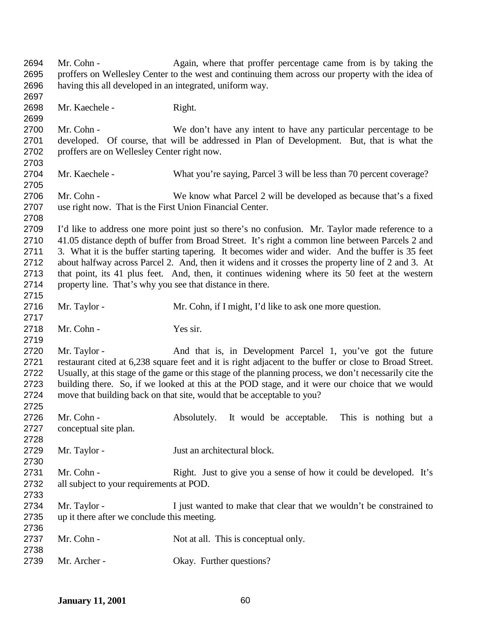Mr. Cohn - Again, where that proffer percentage came from is by taking the proffers on Wellesley Center to the west and continuing them across our property with the idea of having this all developed in an integrated, uniform way. 2698 Mr. Kaechele - Right. Mr. Cohn - We don't have any intent to have any particular percentage to be developed. Of course, that will be addressed in Plan of Development. But, that is what the proffers are on Wellesley Center right now. Mr. Kaechele - What you're saying, Parcel 3 will be less than 70 percent coverage? Mr. Cohn - We know what Parcel 2 will be developed as because that's a fixed use right now. That is the First Union Financial Center. I'd like to address one more point just so there's no confusion. Mr. Taylor made reference to a 41.05 distance depth of buffer from Broad Street. It's right a common line between Parcels 2 and 3. What it is the buffer starting tapering. It becomes wider and wider. And the buffer is 35 feet about halfway across Parcel 2. And, then it widens and it crosses the property line of 2 and 3. At that point, its 41 plus feet. And, then, it continues widening where its 50 feet at the western property line. That's why you see that distance in there. 2716 Mr. Taylor - Mr. Cohn, if I might, I'd like to ask one more question. 2718 Mr. Cohn - Yes sir. Mr. Taylor - And that is, in Development Parcel 1, you've got the future restaurant cited at 6,238 square feet and it is right adjacent to the buffer or close to Broad Street. Usually, at this stage of the game or this stage of the planning process, we don't necessarily cite the building there. So, if we looked at this at the POD stage, and it were our choice that we would move that building back on that site, would that be acceptable to you? 2726 Mr. Cohn - Absolutely. It would be acceptable. This is nothing but a conceptual site plan. Mr. Taylor - Just an architectural block. Mr. Cohn - Right. Just to give you a sense of how it could be developed. It's all subject to your requirements at POD. Mr. Taylor - I just wanted to make that clear that we wouldn't be constrained to up it there after we conclude this meeting. 2737 Mr. Cohn - Not at all. This is conceptual only. 2739 Mr. Archer - Okay. Further questions?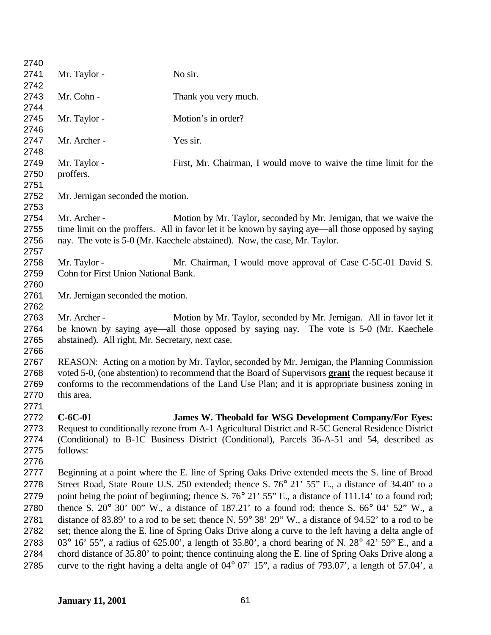| 2740<br>2741<br>No sir.<br>Mr. Taylor -<br>2742<br>2743<br>Mr. Cohn -<br>Thank you very much.<br>2744<br>2745<br>Motion's in order?<br>Mr. Taylor -<br>2746<br>2747<br>Mr. Archer -<br>Yes sir.<br>2748<br>2749<br>Mr. Taylor -<br>First, Mr. Chairman, I would move to waive the time limit for the<br>2750<br>proffers.<br>2751<br>2752<br>Mr. Jernigan seconded the motion.<br>2753<br>2754<br>Motion by Mr. Taylor, seconded by Mr. Jernigan, that we waive the<br>Mr. Archer -<br>time limit on the proffers. All in favor let it be known by saying aye—all those opposed by saying<br>2755<br>2756<br>nay. The vote is 5-0 (Mr. Kaechele abstained). Now, the case, Mr. Taylor.<br>2757<br>2758<br>Mr. Taylor -<br>Mr. Chairman, I would move approval of Case C-5C-01 David S.<br>2759<br>Cohn for First Union National Bank.<br>2760<br>2761<br>Mr. Jernigan seconded the motion.<br>2762<br>2763<br>Mr. Archer -<br>Motion by Mr. Taylor, seconded by Mr. Jernigan. All in favor let it<br>be known by saying aye—all those opposed by saying nay. The vote is 5-0 (Mr. Kaechele<br>2764<br>2765<br>abstained). All right, Mr. Secretary, next case.<br>2766<br>2767<br>REASON: Acting on a motion by Mr. Taylor, seconded by Mr. Jernigan, the Planning Commission<br>2768<br>voted 5-0, (one abstention) to recommend that the Board of Supervisors grant the request because it<br>2769<br>conforms to the recommendations of the Land Use Plan; and it is appropriate business zoning in<br>2770<br>this area.<br>2771<br>$C-6C-01$<br><b>James W. Theobald for WSG Development Company/For Eves:</b><br>2772<br>Request to conditionally rezone from A-1 Agricultural District and R-5C General Residence District<br>2773 |  |  |
|-------------------------------------------------------------------------------------------------------------------------------------------------------------------------------------------------------------------------------------------------------------------------------------------------------------------------------------------------------------------------------------------------------------------------------------------------------------------------------------------------------------------------------------------------------------------------------------------------------------------------------------------------------------------------------------------------------------------------------------------------------------------------------------------------------------------------------------------------------------------------------------------------------------------------------------------------------------------------------------------------------------------------------------------------------------------------------------------------------------------------------------------------------------------------------------------------------------------------------------------------------------------------------------------------------------------------------------------------------------------------------------------------------------------------------------------------------------------------------------------------------------------------------------------------------------------------------------------------------------------------------------------------------------------------------------------------------------------------------------------|--|--|
|                                                                                                                                                                                                                                                                                                                                                                                                                                                                                                                                                                                                                                                                                                                                                                                                                                                                                                                                                                                                                                                                                                                                                                                                                                                                                                                                                                                                                                                                                                                                                                                                                                                                                                                                           |  |  |
|                                                                                                                                                                                                                                                                                                                                                                                                                                                                                                                                                                                                                                                                                                                                                                                                                                                                                                                                                                                                                                                                                                                                                                                                                                                                                                                                                                                                                                                                                                                                                                                                                                                                                                                                           |  |  |
|                                                                                                                                                                                                                                                                                                                                                                                                                                                                                                                                                                                                                                                                                                                                                                                                                                                                                                                                                                                                                                                                                                                                                                                                                                                                                                                                                                                                                                                                                                                                                                                                                                                                                                                                           |  |  |
|                                                                                                                                                                                                                                                                                                                                                                                                                                                                                                                                                                                                                                                                                                                                                                                                                                                                                                                                                                                                                                                                                                                                                                                                                                                                                                                                                                                                                                                                                                                                                                                                                                                                                                                                           |  |  |
|                                                                                                                                                                                                                                                                                                                                                                                                                                                                                                                                                                                                                                                                                                                                                                                                                                                                                                                                                                                                                                                                                                                                                                                                                                                                                                                                                                                                                                                                                                                                                                                                                                                                                                                                           |  |  |
|                                                                                                                                                                                                                                                                                                                                                                                                                                                                                                                                                                                                                                                                                                                                                                                                                                                                                                                                                                                                                                                                                                                                                                                                                                                                                                                                                                                                                                                                                                                                                                                                                                                                                                                                           |  |  |
|                                                                                                                                                                                                                                                                                                                                                                                                                                                                                                                                                                                                                                                                                                                                                                                                                                                                                                                                                                                                                                                                                                                                                                                                                                                                                                                                                                                                                                                                                                                                                                                                                                                                                                                                           |  |  |
|                                                                                                                                                                                                                                                                                                                                                                                                                                                                                                                                                                                                                                                                                                                                                                                                                                                                                                                                                                                                                                                                                                                                                                                                                                                                                                                                                                                                                                                                                                                                                                                                                                                                                                                                           |  |  |
|                                                                                                                                                                                                                                                                                                                                                                                                                                                                                                                                                                                                                                                                                                                                                                                                                                                                                                                                                                                                                                                                                                                                                                                                                                                                                                                                                                                                                                                                                                                                                                                                                                                                                                                                           |  |  |
|                                                                                                                                                                                                                                                                                                                                                                                                                                                                                                                                                                                                                                                                                                                                                                                                                                                                                                                                                                                                                                                                                                                                                                                                                                                                                                                                                                                                                                                                                                                                                                                                                                                                                                                                           |  |  |
|                                                                                                                                                                                                                                                                                                                                                                                                                                                                                                                                                                                                                                                                                                                                                                                                                                                                                                                                                                                                                                                                                                                                                                                                                                                                                                                                                                                                                                                                                                                                                                                                                                                                                                                                           |  |  |
|                                                                                                                                                                                                                                                                                                                                                                                                                                                                                                                                                                                                                                                                                                                                                                                                                                                                                                                                                                                                                                                                                                                                                                                                                                                                                                                                                                                                                                                                                                                                                                                                                                                                                                                                           |  |  |
|                                                                                                                                                                                                                                                                                                                                                                                                                                                                                                                                                                                                                                                                                                                                                                                                                                                                                                                                                                                                                                                                                                                                                                                                                                                                                                                                                                                                                                                                                                                                                                                                                                                                                                                                           |  |  |
|                                                                                                                                                                                                                                                                                                                                                                                                                                                                                                                                                                                                                                                                                                                                                                                                                                                                                                                                                                                                                                                                                                                                                                                                                                                                                                                                                                                                                                                                                                                                                                                                                                                                                                                                           |  |  |
|                                                                                                                                                                                                                                                                                                                                                                                                                                                                                                                                                                                                                                                                                                                                                                                                                                                                                                                                                                                                                                                                                                                                                                                                                                                                                                                                                                                                                                                                                                                                                                                                                                                                                                                                           |  |  |
|                                                                                                                                                                                                                                                                                                                                                                                                                                                                                                                                                                                                                                                                                                                                                                                                                                                                                                                                                                                                                                                                                                                                                                                                                                                                                                                                                                                                                                                                                                                                                                                                                                                                                                                                           |  |  |
|                                                                                                                                                                                                                                                                                                                                                                                                                                                                                                                                                                                                                                                                                                                                                                                                                                                                                                                                                                                                                                                                                                                                                                                                                                                                                                                                                                                                                                                                                                                                                                                                                                                                                                                                           |  |  |
|                                                                                                                                                                                                                                                                                                                                                                                                                                                                                                                                                                                                                                                                                                                                                                                                                                                                                                                                                                                                                                                                                                                                                                                                                                                                                                                                                                                                                                                                                                                                                                                                                                                                                                                                           |  |  |
|                                                                                                                                                                                                                                                                                                                                                                                                                                                                                                                                                                                                                                                                                                                                                                                                                                                                                                                                                                                                                                                                                                                                                                                                                                                                                                                                                                                                                                                                                                                                                                                                                                                                                                                                           |  |  |
|                                                                                                                                                                                                                                                                                                                                                                                                                                                                                                                                                                                                                                                                                                                                                                                                                                                                                                                                                                                                                                                                                                                                                                                                                                                                                                                                                                                                                                                                                                                                                                                                                                                                                                                                           |  |  |
|                                                                                                                                                                                                                                                                                                                                                                                                                                                                                                                                                                                                                                                                                                                                                                                                                                                                                                                                                                                                                                                                                                                                                                                                                                                                                                                                                                                                                                                                                                                                                                                                                                                                                                                                           |  |  |
|                                                                                                                                                                                                                                                                                                                                                                                                                                                                                                                                                                                                                                                                                                                                                                                                                                                                                                                                                                                                                                                                                                                                                                                                                                                                                                                                                                                                                                                                                                                                                                                                                                                                                                                                           |  |  |
|                                                                                                                                                                                                                                                                                                                                                                                                                                                                                                                                                                                                                                                                                                                                                                                                                                                                                                                                                                                                                                                                                                                                                                                                                                                                                                                                                                                                                                                                                                                                                                                                                                                                                                                                           |  |  |
|                                                                                                                                                                                                                                                                                                                                                                                                                                                                                                                                                                                                                                                                                                                                                                                                                                                                                                                                                                                                                                                                                                                                                                                                                                                                                                                                                                                                                                                                                                                                                                                                                                                                                                                                           |  |  |
|                                                                                                                                                                                                                                                                                                                                                                                                                                                                                                                                                                                                                                                                                                                                                                                                                                                                                                                                                                                                                                                                                                                                                                                                                                                                                                                                                                                                                                                                                                                                                                                                                                                                                                                                           |  |  |
|                                                                                                                                                                                                                                                                                                                                                                                                                                                                                                                                                                                                                                                                                                                                                                                                                                                                                                                                                                                                                                                                                                                                                                                                                                                                                                                                                                                                                                                                                                                                                                                                                                                                                                                                           |  |  |
|                                                                                                                                                                                                                                                                                                                                                                                                                                                                                                                                                                                                                                                                                                                                                                                                                                                                                                                                                                                                                                                                                                                                                                                                                                                                                                                                                                                                                                                                                                                                                                                                                                                                                                                                           |  |  |
|                                                                                                                                                                                                                                                                                                                                                                                                                                                                                                                                                                                                                                                                                                                                                                                                                                                                                                                                                                                                                                                                                                                                                                                                                                                                                                                                                                                                                                                                                                                                                                                                                                                                                                                                           |  |  |
|                                                                                                                                                                                                                                                                                                                                                                                                                                                                                                                                                                                                                                                                                                                                                                                                                                                                                                                                                                                                                                                                                                                                                                                                                                                                                                                                                                                                                                                                                                                                                                                                                                                                                                                                           |  |  |
|                                                                                                                                                                                                                                                                                                                                                                                                                                                                                                                                                                                                                                                                                                                                                                                                                                                                                                                                                                                                                                                                                                                                                                                                                                                                                                                                                                                                                                                                                                                                                                                                                                                                                                                                           |  |  |
|                                                                                                                                                                                                                                                                                                                                                                                                                                                                                                                                                                                                                                                                                                                                                                                                                                                                                                                                                                                                                                                                                                                                                                                                                                                                                                                                                                                                                                                                                                                                                                                                                                                                                                                                           |  |  |
|                                                                                                                                                                                                                                                                                                                                                                                                                                                                                                                                                                                                                                                                                                                                                                                                                                                                                                                                                                                                                                                                                                                                                                                                                                                                                                                                                                                                                                                                                                                                                                                                                                                                                                                                           |  |  |
| (Conditional) to B-1C Business District (Conditional), Parcels 36-A-51 and 54, described as<br>2774                                                                                                                                                                                                                                                                                                                                                                                                                                                                                                                                                                                                                                                                                                                                                                                                                                                                                                                                                                                                                                                                                                                                                                                                                                                                                                                                                                                                                                                                                                                                                                                                                                       |  |  |
| follows:<br>2775                                                                                                                                                                                                                                                                                                                                                                                                                                                                                                                                                                                                                                                                                                                                                                                                                                                                                                                                                                                                                                                                                                                                                                                                                                                                                                                                                                                                                                                                                                                                                                                                                                                                                                                          |  |  |
| 2776                                                                                                                                                                                                                                                                                                                                                                                                                                                                                                                                                                                                                                                                                                                                                                                                                                                                                                                                                                                                                                                                                                                                                                                                                                                                                                                                                                                                                                                                                                                                                                                                                                                                                                                                      |  |  |
| 2777<br>Beginning at a point where the E. line of Spring Oaks Drive extended meets the S. line of Broad                                                                                                                                                                                                                                                                                                                                                                                                                                                                                                                                                                                                                                                                                                                                                                                                                                                                                                                                                                                                                                                                                                                                                                                                                                                                                                                                                                                                                                                                                                                                                                                                                                   |  |  |
| Street Road, State Route U.S. 250 extended; thence S. 76° 21' 55" E., a distance of 34.40' to a<br>2778                                                                                                                                                                                                                                                                                                                                                                                                                                                                                                                                                                                                                                                                                                                                                                                                                                                                                                                                                                                                                                                                                                                                                                                                                                                                                                                                                                                                                                                                                                                                                                                                                                   |  |  |
| point being the point of beginning; thence S. 76° 21' 55" E., a distance of 111.14' to a found rod;                                                                                                                                                                                                                                                                                                                                                                                                                                                                                                                                                                                                                                                                                                                                                                                                                                                                                                                                                                                                                                                                                                                                                                                                                                                                                                                                                                                                                                                                                                                                                                                                                                       |  |  |
| 2779<br>thence S. $20^{\circ}$ 30' 00" W., a distance of 187.21' to a found rod; thence S. 66 $^{\circ}$ 04' 52" W., a<br>2780                                                                                                                                                                                                                                                                                                                                                                                                                                                                                                                                                                                                                                                                                                                                                                                                                                                                                                                                                                                                                                                                                                                                                                                                                                                                                                                                                                                                                                                                                                                                                                                                            |  |  |
| distance of 83.89' to a rod to be set; thence N. $59^{\circ}$ 38' 29" W., a distance of 94.52' to a rod to be<br>2781                                                                                                                                                                                                                                                                                                                                                                                                                                                                                                                                                                                                                                                                                                                                                                                                                                                                                                                                                                                                                                                                                                                                                                                                                                                                                                                                                                                                                                                                                                                                                                                                                     |  |  |
| set; thence along the E. line of Spring Oaks Drive along a curve to the left having a delta angle of<br>2782                                                                                                                                                                                                                                                                                                                                                                                                                                                                                                                                                                                                                                                                                                                                                                                                                                                                                                                                                                                                                                                                                                                                                                                                                                                                                                                                                                                                                                                                                                                                                                                                                              |  |  |
| 03° 16' 55", a radius of 625.00', a length of 35.80', a chord bearing of N. 28° 42' 59" E., and a<br>2783                                                                                                                                                                                                                                                                                                                                                                                                                                                                                                                                                                                                                                                                                                                                                                                                                                                                                                                                                                                                                                                                                                                                                                                                                                                                                                                                                                                                                                                                                                                                                                                                                                 |  |  |
| chord distance of 35.80' to point; thence continuing along the E. line of Spring Oaks Drive along a<br>2784                                                                                                                                                                                                                                                                                                                                                                                                                                                                                                                                                                                                                                                                                                                                                                                                                                                                                                                                                                                                                                                                                                                                                                                                                                                                                                                                                                                                                                                                                                                                                                                                                               |  |  |
| curve to the right having a delta angle of $04^{\circ}$ 07' 15", a radius of 793.07', a length of 57.04', a<br>2785                                                                                                                                                                                                                                                                                                                                                                                                                                                                                                                                                                                                                                                                                                                                                                                                                                                                                                                                                                                                                                                                                                                                                                                                                                                                                                                                                                                                                                                                                                                                                                                                                       |  |  |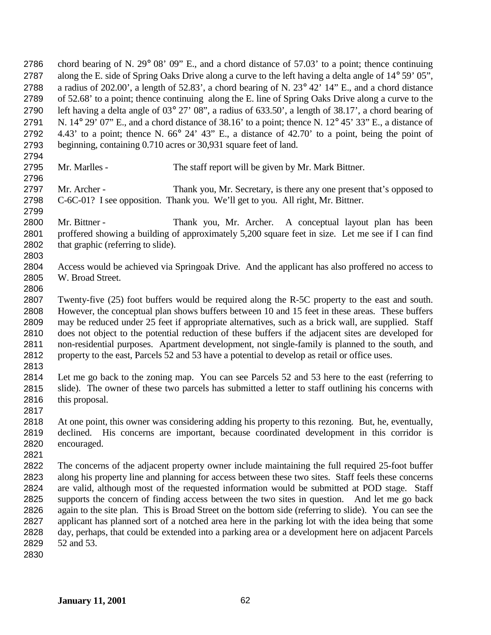chord bearing of N. 29° 08' 09" E., and a chord distance of 57.03' to a point; thence continuing 2787 along the E. side of Spring Oaks Drive along a curve to the left having a delta angle of 14° 59' 05", a radius of 202.00', a length of 52.83', a chord bearing of N. 23° 42' 14" E., and a chord distance of 52.68' to a point; thence continuing along the E. line of Spring Oaks Drive along a curve to the left having a delta angle of 03° 27' 08", a radius of 633.50', a length of 38.17', a chord bearing of 2791 N.  $14^{\circ}$  29' 07" E., and a chord distance of 38.16' to a point; thence N.  $12^{\circ}$  45' 33" E., a distance of 4.43' to a point; thence N. 66° 24' 43" E., a distance of 42.70' to a point, being the point of beginning, containing 0.710 acres or 30,931 square feet of land. 

Mr. Marlles - The staff report will be given by Mr. Mark Bittner.

 Mr. Archer - Thank you, Mr. Secretary, is there any one present that's opposed to C-6C-01? I see opposition. Thank you. We'll get to you. All right, Mr. Bittner.

 Mr. Bittner - Thank you, Mr. Archer. A conceptual layout plan has been 2801 proffered showing a building of approximately 5,200 square feet in size. Let me see if I can find 2802 that graphic (referring to slide). that graphic (referring to slide). 

 Access would be achieved via Springoak Drive. And the applicant has also proffered no access to W. Broad Street.

 Twenty-five (25) foot buffers would be required along the R-5C property to the east and south. However, the conceptual plan shows buffers between 10 and 15 feet in these areas. These buffers may be reduced under 25 feet if appropriate alternatives, such as a brick wall, are supplied. Staff does not object to the potential reduction of these buffers if the adjacent sites are developed for non-residential purposes. Apartment development, not single-family is planned to the south, and property to the east, Parcels 52 and 53 have a potential to develop as retail or office uses.

 Let me go back to the zoning map. You can see Parcels 52 and 53 here to the east (referring to slide). The owner of these two parcels has submitted a letter to staff outlining his concerns with this proposal. 

- At one point, this owner was considering adding his property to this rezoning. But, he, eventually, declined. His concerns are important, because coordinated development in this corridor is encouraged.
- 

 The concerns of the adjacent property owner include maintaining the full required 25-foot buffer along his property line and planning for access between these two sites. Staff feels these concerns are valid, although most of the requested information would be submitted at POD stage. Staff supports the concern of finding access between the two sites in question. And let me go back again to the site plan. This is Broad Street on the bottom side (referring to slide). You can see the applicant has planned sort of a notched area here in the parking lot with the idea being that some day, perhaps, that could be extended into a parking area or a development here on adjacent Parcels 52 and 53.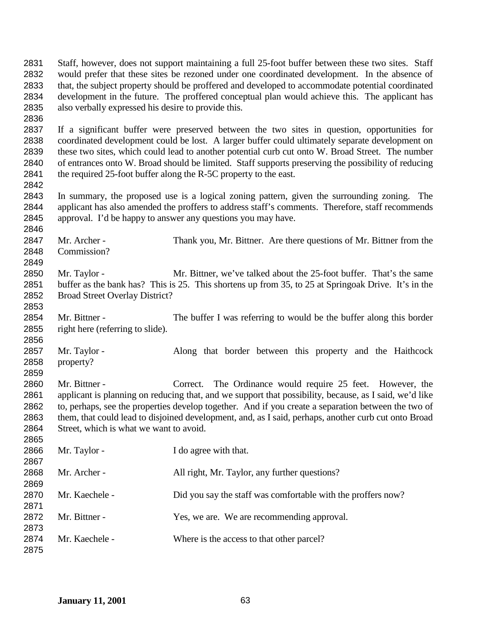Staff, however, does not support maintaining a full 25-foot buffer between these two sites. Staff would prefer that these sites be rezoned under one coordinated development. In the absence of that, the subject property should be proffered and developed to accommodate potential coordinated development in the future. The proffered conceptual plan would achieve this. The applicant has also verbally expressed his desire to provide this. If a significant buffer were preserved between the two sites in question, opportunities for coordinated development could be lost. A larger buffer could ultimately separate development on these two sites, which could lead to another potential curb cut onto W. Broad Street. The number of entrances onto W. Broad should be limited. Staff supports preserving the possibility of reducing 2841 the required 25-foot buffer along the R-5C property to the east. In summary, the proposed use is a logical zoning pattern, given the surrounding zoning. The applicant has also amended the proffers to address staff's comments. Therefore, staff recommends approval. I'd be happy to answer any questions you may have. 2847 Mr. Archer - Thank you, Mr. Bittner. Are there questions of Mr. Bittner from the Commission? Mr. Taylor - Mr. Bittner, we've talked about the 25-foot buffer. That's the same buffer as the bank has? This is 25. This shortens up from 35, to 25 at Springoak Drive. It's in the Broad Street Overlay District? Mr. Bittner - The buffer I was referring to would be the buffer along this border right here (referring to slide). 2857 Mr. Taylor - Along that border between this property and the Haithcock property? 2860 Mr. Bittner - Correct. The Ordinance would require 25 feet. However, the applicant is planning on reducing that, and we support that possibility, because, as I said, we'd like to, perhaps, see the properties develop together. And if you create a separation between the two of them, that could lead to disjoined development, and, as I said, perhaps, another curb cut onto Broad Street, which is what we want to avoid. 2866 Mr. Taylor - I do agree with that. 2868 Mr. Archer - All right, Mr. Taylor, any further questions? 2870 Mr. Kaechele - Did you say the staff was comfortable with the proffers now? 2872 Mr. Bittner - Yes, we are. We are recommending approval. 2874 Mr. Kaechele - Where is the access to that other parcel?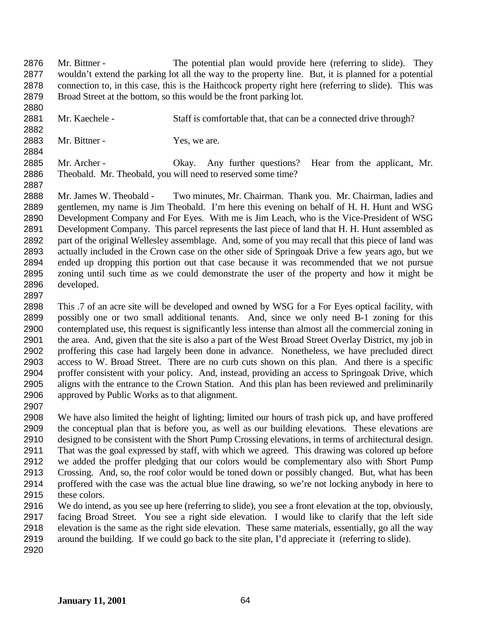Mr. Bittner - The potential plan would provide here (referring to slide). They wouldn't extend the parking lot all the way to the property line. But, it is planned for a potential connection to, in this case, this is the Haithcock property right here (referring to slide). This was Broad Street at the bottom, so this would be the front parking lot.

 Mr. Kaechele - Staff is comfortable that, that can be a connected drive through? 

2883 Mr. Bittner - Yes, we are.

2885 Mr. Archer - Okay. Any further questions? Hear from the applicant, Mr. Theobald. Mr. Theobald, you will need to reserved some time?

 Mr. James W. Theobald - Two minutes, Mr. Chairman. Thank you. Mr. Chairman, ladies and gentlemen, my name is Jim Theobald. I'm here this evening on behalf of H. H. Hunt and WSG Development Company and For Eyes. With me is Jim Leach, who is the Vice-President of WSG Development Company. This parcel represents the last piece of land that H. H. Hunt assembled as part of the original Wellesley assemblage. And, some of you may recall that this piece of land was actually included in the Crown case on the other side of Springoak Drive a few years ago, but we ended up dropping this portion out that case because it was recommended that we not pursue zoning until such time as we could demonstrate the user of the property and how it might be developed. 

 This .7 of an acre site will be developed and owned by WSG for a For Eyes optical facility, with possibly one or two small additional tenants. And, since we only need B-1 zoning for this contemplated use, this request is significantly less intense than almost all the commercial zoning in the area. And, given that the site is also a part of the West Broad Street Overlay District, my job in proffering this case had largely been done in advance. Nonetheless, we have precluded direct access to W. Broad Street. There are no curb cuts shown on this plan. And there is a specific proffer consistent with your policy. And, instead, providing an access to Springoak Drive, which aligns with the entrance to the Crown Station. And this plan has been reviewed and preliminarily approved by Public Works as to that alignment.

 We have also limited the height of lighting; limited our hours of trash pick up, and have proffered the conceptual plan that is before you, as well as our building elevations. These elevations are designed to be consistent with the Short Pump Crossing elevations, in terms of architectural design. That was the goal expressed by staff, with which we agreed. This drawing was colored up before we added the proffer pledging that our colors would be complementary also with Short Pump Crossing. And, so, the roof color would be toned down or possibly changed. But, what has been proffered with the case was the actual blue line drawing, so we're not locking anybody in here to these colors.

 We do intend, as you see up here (referring to slide), you see a front elevation at the top, obviously, facing Broad Street. You see a right side elevation. I would like to clarify that the left side elevation is the same as the right side elevation. These same materials, essentially, go all the way around the building. If we could go back to the site plan, I'd appreciate it (referring to slide).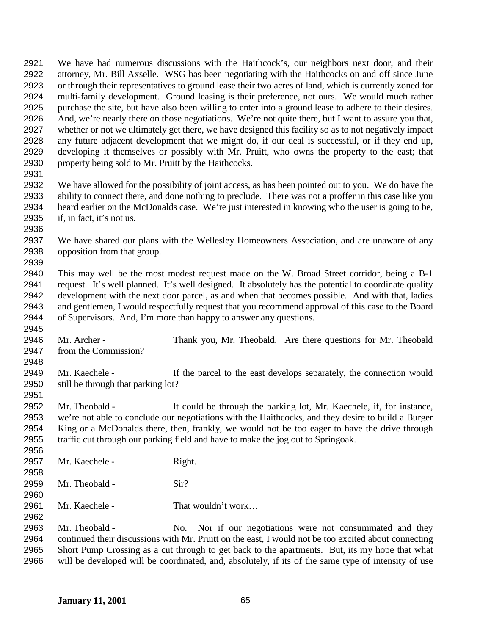attorney, Mr. Bill Axselle. WSG has been negotiating with the Haithcocks on and off since June or through their representatives to ground lease their two acres of land, which is currently zoned for multi-family development. Ground leasing is their preference, not ours. We would much rather purchase the site, but have also been willing to enter into a ground lease to adhere to their desires. And, we're nearly there on those negotiations. We're not quite there, but I want to assure you that, whether or not we ultimately get there, we have designed this facility so as to not negatively impact any future adjacent development that we might do, if our deal is successful, or if they end up, developing it themselves or possibly with Mr. Pruitt, who owns the property to the east; that property being sold to Mr. Pruitt by the Haithcocks. We have allowed for the possibility of joint access, as has been pointed out to you. We do have the ability to connect there, and done nothing to preclude. There was not a proffer in this case like you heard earlier on the McDonalds case. We're just interested in knowing who the user is going to be, if, in fact, it's not us. We have shared our plans with the Wellesley Homeowners Association, and are unaware of any opposition from that group. This may well be the most modest request made on the W. Broad Street corridor, being a B-1 request. It's well planned. It's well designed. It absolutely has the potential to coordinate quality development with the next door parcel, as and when that becomes possible. And with that, ladies and gentlemen, I would respectfully request that you recommend approval of this case to the Board of Supervisors. And, I'm more than happy to answer any questions. Mr. Archer - Thank you, Mr. Theobald. Are there questions for Mr. Theobald from the Commission? 2949 Mr. Kaechele - If the parcel to the east develops separately, the connection would still be through that parking lot? Mr. Theobald - It could be through the parking lot, Mr. Kaechele, if, for instance, we're not able to conclude our negotiations with the Haithcocks, and they desire to build a Burger King or a McDonalds there, then, frankly, we would not be too eager to have the drive through traffic cut through our parking field and have to make the jog out to Springoak. 2957 Mr. Kaechele - Right. 2959 Mr. Theobald - Sir? 2961 Mr. Kaechele - That wouldn't work... Mr. Theobald - No. Nor if our negotiations were not consummated and they continued their discussions with Mr. Pruitt on the east, I would not be too excited about connecting Short Pump Crossing as a cut through to get back to the apartments. But, its my hope that what will be developed will be coordinated, and, absolutely, if its of the same type of intensity of use

We have had numerous discussions with the Haithcock's, our neighbors next door, and their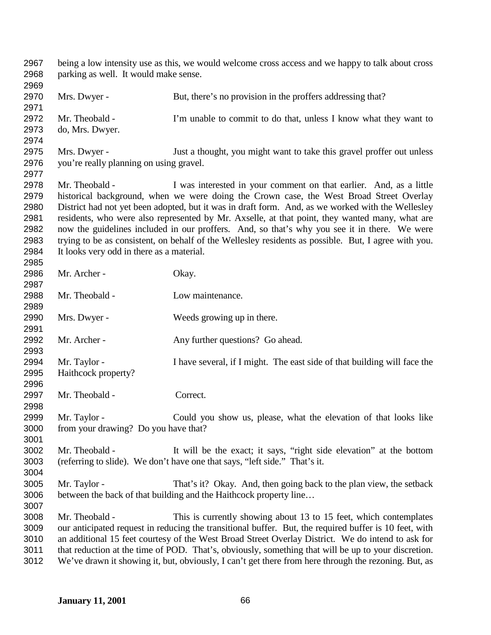| 2967<br>2968 | being a low intensity use as this, we would welcome cross access and we happy to talk about cross<br>parking as well. It would make sense. |                                                                                                                                                                                                |  |
|--------------|--------------------------------------------------------------------------------------------------------------------------------------------|------------------------------------------------------------------------------------------------------------------------------------------------------------------------------------------------|--|
| 2969         |                                                                                                                                            |                                                                                                                                                                                                |  |
| 2970         | Mrs. Dwyer -                                                                                                                               | But, there's no provision in the proffers addressing that?                                                                                                                                     |  |
| 2971         |                                                                                                                                            |                                                                                                                                                                                                |  |
| 2972         | Mr. Theobald -                                                                                                                             | I'm unable to commit to do that, unless I know what they want to                                                                                                                               |  |
| 2973<br>2974 | do, Mrs. Dwyer.                                                                                                                            |                                                                                                                                                                                                |  |
| 2975         | Mrs. Dwyer -                                                                                                                               | Just a thought, you might want to take this gravel proffer out unless                                                                                                                          |  |
| 2976<br>2977 | you're really planning on using gravel.                                                                                                    |                                                                                                                                                                                                |  |
| 2978         | Mr. Theobald -                                                                                                                             | I was interested in your comment on that earlier. And, as a little                                                                                                                             |  |
| 2979         |                                                                                                                                            | historical background, when we were doing the Crown case, the West Broad Street Overlay                                                                                                        |  |
| 2980         |                                                                                                                                            | District had not yet been adopted, but it was in draft form. And, as we worked with the Wellesley                                                                                              |  |
| 2981<br>2982 |                                                                                                                                            | residents, who were also represented by Mr. Axselle, at that point, they wanted many, what are<br>now the guidelines included in our proffers. And, so that's why you see it in there. We were |  |
| 2983         |                                                                                                                                            | trying to be as consistent, on behalf of the Wellesley residents as possible. But, I agree with you.                                                                                           |  |
| 2984         | It looks very odd in there as a material.                                                                                                  |                                                                                                                                                                                                |  |
| 2985         |                                                                                                                                            |                                                                                                                                                                                                |  |
| 2986         | Mr. Archer -                                                                                                                               | Okay.                                                                                                                                                                                          |  |
| 2987         |                                                                                                                                            |                                                                                                                                                                                                |  |
| 2988         | Mr. Theobald -                                                                                                                             | Low maintenance.                                                                                                                                                                               |  |
| 2989         |                                                                                                                                            |                                                                                                                                                                                                |  |
| 2990         | Mrs. Dwyer -                                                                                                                               | Weeds growing up in there.                                                                                                                                                                     |  |
| 2991         |                                                                                                                                            |                                                                                                                                                                                                |  |
| 2992         | Mr. Archer -                                                                                                                               | Any further questions? Go ahead.                                                                                                                                                               |  |
| 2993         |                                                                                                                                            |                                                                                                                                                                                                |  |
| 2994         | Mr. Taylor -                                                                                                                               | I have several, if I might. The east side of that building will face the                                                                                                                       |  |
| 2995         | Haithcock property?                                                                                                                        |                                                                                                                                                                                                |  |
| 2996         |                                                                                                                                            |                                                                                                                                                                                                |  |
| 2997         | Mr. Theobald -                                                                                                                             | Correct.                                                                                                                                                                                       |  |
| 2998         |                                                                                                                                            |                                                                                                                                                                                                |  |
| 2999         | Mr. Taylor -                                                                                                                               | Could you show us, please, what the elevation of that looks like                                                                                                                               |  |
| 3000         | from your drawing? Do you have that?                                                                                                       |                                                                                                                                                                                                |  |
| 3001         |                                                                                                                                            |                                                                                                                                                                                                |  |
| 3002         | Mr. Theobald -                                                                                                                             | It will be the exact; it says, "right side elevation" at the bottom                                                                                                                            |  |
| 3003         |                                                                                                                                            | (referring to slide). We don't have one that says, "left side." That's it.                                                                                                                     |  |
|              |                                                                                                                                            |                                                                                                                                                                                                |  |
| 3004         |                                                                                                                                            |                                                                                                                                                                                                |  |
| 3005         | Mr. Taylor -                                                                                                                               | That's it? Okay. And, then going back to the plan view, the setback                                                                                                                            |  |
| 3006<br>3007 |                                                                                                                                            | between the back of that building and the Haithcock property line                                                                                                                              |  |
| 3008         | Mr. Theobald -                                                                                                                             | This is currently showing about 13 to 15 feet, which contemplates                                                                                                                              |  |
| 3009         |                                                                                                                                            | our anticipated request in reducing the transitional buffer. But, the required buffer is 10 feet, with                                                                                         |  |
| 3010         | an additional 15 feet courtesy of the West Broad Street Overlay District. We do intend to ask for                                          |                                                                                                                                                                                                |  |
| 3011         | that reduction at the time of POD. That's, obviously, something that will be up to your discretion.                                        |                                                                                                                                                                                                |  |
| 3012         | We've drawn it showing it, but, obviously, I can't get there from here through the rezoning. But, as                                       |                                                                                                                                                                                                |  |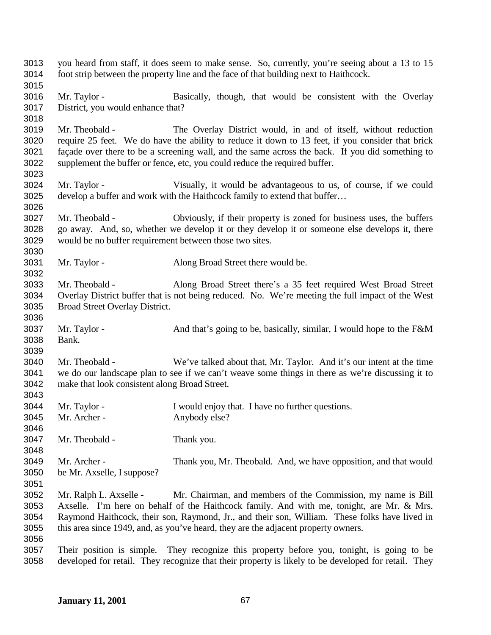| 3013<br>3014 | you heard from staff, it does seem to make sense. So, currently, you're seeing about a 13 to 15<br>foot strip between the property line and the face of that building next to Haithcock. |                                                                                                     |  |
|--------------|------------------------------------------------------------------------------------------------------------------------------------------------------------------------------------------|-----------------------------------------------------------------------------------------------------|--|
| 3015         |                                                                                                                                                                                          |                                                                                                     |  |
| 3016         | Mr. Taylor -                                                                                                                                                                             | Basically, though, that would be consistent with the Overlay                                        |  |
| 3017         | District, you would enhance that?                                                                                                                                                        |                                                                                                     |  |
| 3018         |                                                                                                                                                                                          |                                                                                                     |  |
| 3019         | Mr. Theobald -                                                                                                                                                                           | The Overlay District would, in and of itself, without reduction                                     |  |
| 3020         |                                                                                                                                                                                          | require 25 feet. We do have the ability to reduce it down to 13 feet, if you consider that brick    |  |
| 3021         |                                                                                                                                                                                          | façade over there to be a screening wall, and the same across the back. If you did something to     |  |
| 3022         |                                                                                                                                                                                          | supplement the buffer or fence, etc, you could reduce the required buffer.                          |  |
| 3023         |                                                                                                                                                                                          |                                                                                                     |  |
| 3024         | Mr. Taylor -                                                                                                                                                                             | Visually, it would be advantageous to us, of course, if we could                                    |  |
| 3025         |                                                                                                                                                                                          | develop a buffer and work with the Haithcock family to extend that buffer                           |  |
| 3026         |                                                                                                                                                                                          |                                                                                                     |  |
| 3027         | Mr. Theobald -                                                                                                                                                                           | Obviously, if their property is zoned for business uses, the buffers                                |  |
| 3028         |                                                                                                                                                                                          | go away. And, so, whether we develop it or they develop it or someone else develops it, there       |  |
| 3029         | would be no buffer requirement between those two sites.                                                                                                                                  |                                                                                                     |  |
| 3030         |                                                                                                                                                                                          |                                                                                                     |  |
| 3031         | Mr. Taylor -                                                                                                                                                                             | Along Broad Street there would be.                                                                  |  |
| 3032         |                                                                                                                                                                                          |                                                                                                     |  |
| 3033         | Mr. Theobald -                                                                                                                                                                           | Along Broad Street there's a 35 feet required West Broad Street                                     |  |
| 3034         |                                                                                                                                                                                          | Overlay District buffer that is not being reduced. No. We're meeting the full impact of the West    |  |
| 3035         | Broad Street Overlay District.                                                                                                                                                           |                                                                                                     |  |
| 3036         |                                                                                                                                                                                          |                                                                                                     |  |
| 3037         | Mr. Taylor -                                                                                                                                                                             | And that's going to be, basically, similar, I would hope to the F&M                                 |  |
| 3038         | Bank.                                                                                                                                                                                    |                                                                                                     |  |
| 3039         |                                                                                                                                                                                          |                                                                                                     |  |
| 3040         | Mr. Theobald -                                                                                                                                                                           | We've talked about that, Mr. Taylor. And it's our intent at the time                                |  |
| 3041         |                                                                                                                                                                                          | we do our landscape plan to see if we can't weave some things in there as we're discussing it to    |  |
| 3042         | make that look consistent along Broad Street.                                                                                                                                            |                                                                                                     |  |
| 3043         |                                                                                                                                                                                          |                                                                                                     |  |
| 3044         | Mr. Taylor -                                                                                                                                                                             | I would enjoy that. I have no further questions.                                                    |  |
| 3045         | Mr. Archer -                                                                                                                                                                             | Anybody else?                                                                                       |  |
| 3046         |                                                                                                                                                                                          |                                                                                                     |  |
| 3047         | Mr. Theobald -                                                                                                                                                                           | Thank you.                                                                                          |  |
| 3048         |                                                                                                                                                                                          |                                                                                                     |  |
| 3049         | Mr. Archer -                                                                                                                                                                             | Thank you, Mr. Theobald. And, we have opposition, and that would                                    |  |
| 3050         | be Mr. Axselle, I suppose?                                                                                                                                                               |                                                                                                     |  |
| 3051         |                                                                                                                                                                                          |                                                                                                     |  |
| 3052         | Mr. Ralph L. Axselle -                                                                                                                                                                   | Mr. Chairman, and members of the Commission, my name is Bill                                        |  |
| 3053         |                                                                                                                                                                                          | Axselle. I'm here on behalf of the Haithcock family. And with me, tonight, are Mr. & Mrs.           |  |
| 3054         | Raymond Haithcock, their son, Raymond, Jr., and their son, William. These folks have lived in                                                                                            |                                                                                                     |  |
| 3055         | this area since 1949, and, as you've heard, they are the adjacent property owners.                                                                                                       |                                                                                                     |  |
| 3056         |                                                                                                                                                                                          |                                                                                                     |  |
| 3057         |                                                                                                                                                                                          | Their position is simple. They recognize this property before you, tonight, is going to be          |  |
| 3058         |                                                                                                                                                                                          | developed for retail. They recognize that their property is likely to be developed for retail. They |  |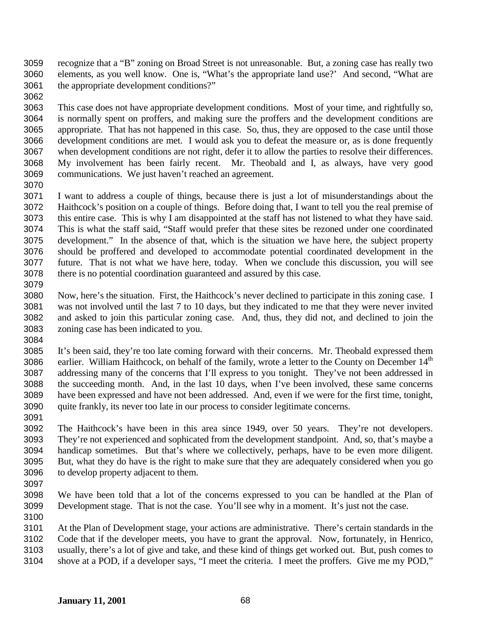recognize that a "B" zoning on Broad Street is not unreasonable. But, a zoning case has really two elements, as you well know. One is, "What's the appropriate land use?' And second, "What are the appropriate development conditions?"

 This case does not have appropriate development conditions. Most of your time, and rightfully so, is normally spent on proffers, and making sure the proffers and the development conditions are appropriate. That has not happened in this case. So, thus, they are opposed to the case until those development conditions are met. I would ask you to defeat the measure or, as is done frequently when development conditions are not right, defer it to allow the parties to resolve their differences. My involvement has been fairly recent. Mr. Theobald and I, as always, have very good communications. We just haven't reached an agreement.

 I want to address a couple of things, because there is just a lot of misunderstandings about the Haithcock's position on a couple of things. Before doing that, I want to tell you the real premise of this entire case. This is why I am disappointed at the staff has not listened to what they have said. This is what the staff said, "Staff would prefer that these sites be rezoned under one coordinated development." In the absence of that, which is the situation we have here, the subject property should be proffered and developed to accommodate potential coordinated development in the future. That is not what we have here, today. When we conclude this discussion, you will see there is no potential coordination guaranteed and assured by this case. 

- Now, here's the situation. First, the Haithcock's never declined to participate in this zoning case. I was not involved until the last 7 to 10 days, but they indicated to me that they were never invited and asked to join this particular zoning case. And, thus, they did not, and declined to join the zoning case has been indicated to you.
- It's been said, they're too late coming forward with their concerns. Mr. Theobald expressed them 3086 earlier. William Haithcock, on behalf of the family, wrote a letter to the County on December  $14<sup>th</sup>$  addressing many of the concerns that I'll express to you tonight. They've not been addressed in the succeeding month. And, in the last 10 days, when I've been involved, these same concerns have been expressed and have not been addressed. And, even if we were for the first time, tonight, quite frankly, its never too late in our process to consider legitimate concerns.
- 

 The Haithcock's have been in this area since 1949, over 50 years. They're not developers. They're not experienced and sophicated from the development standpoint. And, so, that's maybe a handicap sometimes. But that's where we collectively, perhaps, have to be even more diligent. But, what they do have is the right to make sure that they are adequately considered when you go to develop property adjacent to them.

- 
- We have been told that a lot of the concerns expressed to you can be handled at the Plan of Development stage. That is not the case. You'll see why in a moment. It's just not the case.
- 

At the Plan of Development stage, your actions are administrative. There's certain standards in the

Code that if the developer meets, you have to grant the approval. Now, fortunately, in Henrico,

 usually, there's a lot of give and take, and these kind of things get worked out. But, push comes to shove at a POD, if a developer says, "I meet the criteria. I meet the proffers. Give me my POD,"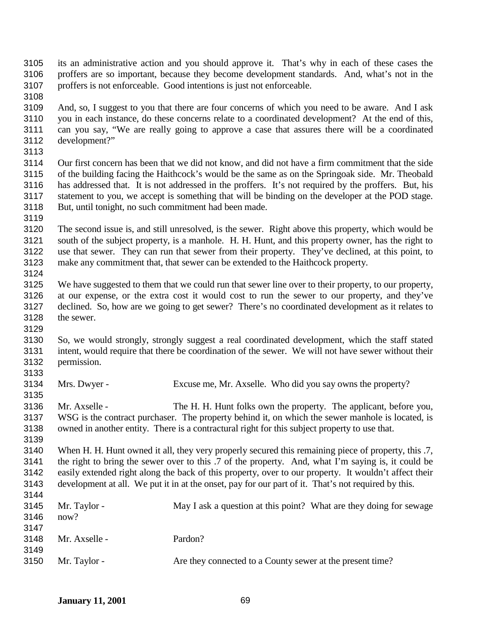its an administrative action and you should approve it. That's why in each of these cases the proffers are so important, because they become development standards. And, what's not in the proffers is not enforceable. Good intentions is just not enforceable.

- And, so, I suggest to you that there are four concerns of which you need to be aware. And I ask you in each instance, do these concerns relate to a coordinated development? At the end of this, can you say, "We are really going to approve a case that assures there will be a coordinated development?"
- 

 Our first concern has been that we did not know, and did not have a firm commitment that the side of the building facing the Haithcock's would be the same as on the Springoak side. Mr. Theobald has addressed that. It is not addressed in the proffers. It's not required by the proffers. But, his statement to you, we accept is something that will be binding on the developer at the POD stage. But, until tonight, no such commitment had been made.

 The second issue is, and still unresolved, is the sewer. Right above this property, which would be south of the subject property, is a manhole. H. H. Hunt, and this property owner, has the right to use that sewer. They can run that sewer from their property. They've declined, at this point, to make any commitment that, that sewer can be extended to the Haithcock property. 

 We have suggested to them that we could run that sewer line over to their property, to our property, at our expense, or the extra cost it would cost to run the sewer to our property, and they've declined. So, how are we going to get sewer? There's no coordinated development as it relates to the sewer.

- So, we would strongly, strongly suggest a real coordinated development, which the staff stated intent, would require that there be coordination of the sewer. We will not have sewer without their permission.
- 

Mrs. Dwyer - Excuse me, Mr. Axselle. Who did you say owns the property?

 Mr. Axselle - The H. H. Hunt folks own the property. The applicant, before you, WSG is the contract purchaser. The property behind it, on which the sewer manhole is located, is owned in another entity. There is a contractural right for this subject property to use that.

 When H. H. Hunt owned it all, they very properly secured this remaining piece of property, this .7, the right to bring the sewer over to this .7 of the property. And, what I'm saying is, it could be easily extended right along the back of this property, over to our property. It wouldn't affect their development at all. We put it in at the onset, pay for our part of it. That's not required by this. 

| - 75 |               |                                                                    |
|------|---------------|--------------------------------------------------------------------|
| 3145 | Mr. Taylor -  | May I ask a question at this point? What are they doing for sewage |
| 3146 | now?          |                                                                    |
| 3147 |               |                                                                    |
| 3148 | Mr. Axselle - | Pardon?                                                            |
| 3149 |               |                                                                    |
| 3150 | Mr. Taylor -  | Are they connected to a County sewer at the present time?          |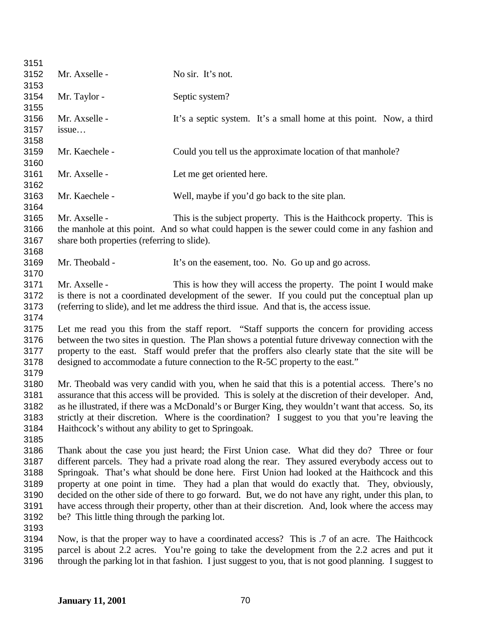| 3151 |                                                                                                         |                                                                                                 |  |
|------|---------------------------------------------------------------------------------------------------------|-------------------------------------------------------------------------------------------------|--|
| 3152 | Mr. Axselle -                                                                                           | No sir. It's not.                                                                               |  |
| 3153 |                                                                                                         |                                                                                                 |  |
| 3154 | Mr. Taylor -                                                                                            | Septic system?                                                                                  |  |
| 3155 |                                                                                                         |                                                                                                 |  |
| 3156 | Mr. Axselle -                                                                                           | It's a septic system. It's a small home at this point. Now, a third                             |  |
| 3157 | issue                                                                                                   |                                                                                                 |  |
| 3158 |                                                                                                         |                                                                                                 |  |
| 3159 | Mr. Kaechele -                                                                                          | Could you tell us the approximate location of that manhole?                                     |  |
| 3160 |                                                                                                         |                                                                                                 |  |
| 3161 | Mr. Axselle -                                                                                           | Let me get oriented here.                                                                       |  |
| 3162 |                                                                                                         |                                                                                                 |  |
| 3163 | Mr. Kaechele -                                                                                          | Well, maybe if you'd go back to the site plan.                                                  |  |
| 3164 |                                                                                                         |                                                                                                 |  |
| 3165 | Mr. Axselle -                                                                                           | This is the subject property. This is the Haithcock property. This is                           |  |
| 3166 |                                                                                                         | the manhole at this point. And so what could happen is the sewer could come in any fashion and  |  |
| 3167 | share both properties (referring to slide).                                                             |                                                                                                 |  |
| 3168 |                                                                                                         |                                                                                                 |  |
| 3169 | Mr. Theobald -                                                                                          | It's on the easement, too. No. Go up and go across.                                             |  |
| 3170 |                                                                                                         |                                                                                                 |  |
| 3171 | Mr. Axselle -                                                                                           | This is how they will access the property. The point I would make                               |  |
| 3172 |                                                                                                         | is there is not a coordinated development of the sewer. If you could put the conceptual plan up |  |
| 3173 |                                                                                                         | (referring to slide), and let me address the third issue. And that is, the access issue.        |  |
| 3174 |                                                                                                         |                                                                                                 |  |
| 3175 | Let me read you this from the staff report. "Staff supports the concern for providing access            |                                                                                                 |  |
| 3176 | between the two sites in question. The Plan shows a potential future driveway connection with the       |                                                                                                 |  |
| 3177 | property to the east. Staff would prefer that the proffers also clearly state that the site will be     |                                                                                                 |  |
| 3178 | designed to accommodate a future connection to the R-5C property to the east."                          |                                                                                                 |  |
| 3179 |                                                                                                         |                                                                                                 |  |
| 3180 | Mr. Theobald was very candid with you, when he said that this is a potential access. There's no         |                                                                                                 |  |
| 3181 | assurance that this access will be provided. This is solely at the discretion of their developer. And,  |                                                                                                 |  |
| 3182 | as he illustrated, if there was a McDonald's or Burger King, they wouldn't want that access. So, its    |                                                                                                 |  |
| 3183 | strictly at their discretion. Where is the coordination? I suggest to you that you're leaving the       |                                                                                                 |  |
| 3184 | Haithcock's without any ability to get to Springoak.                                                    |                                                                                                 |  |
| 3185 |                                                                                                         |                                                                                                 |  |
| 3186 |                                                                                                         | Thank about the case you just heard; the First Union case. What did they do? Three or four      |  |
| 3187 | different parcels. They had a private road along the rear. They assured everybody access out to         |                                                                                                 |  |
| 3188 | Springoak. That's what should be done here. First Union had looked at the Haithcock and this            |                                                                                                 |  |
| 3189 | property at one point in time. They had a plan that would do exactly that. They, obviously,             |                                                                                                 |  |
| 3190 | decided on the other side of there to go forward. But, we do not have any right, under this plan, to    |                                                                                                 |  |
| 3191 | have access through their property, other than at their discretion. And, look where the access may      |                                                                                                 |  |
| 3192 | be? This little thing through the parking lot.                                                          |                                                                                                 |  |
| 3193 |                                                                                                         |                                                                                                 |  |
| 3194 |                                                                                                         | Now, is that the proper way to have a coordinated access? This is .7 of an acre. The Haithcock  |  |
| 3195 | parcel is about 2.2 acres. You're going to take the development from the 2.2 acres and put it           |                                                                                                 |  |
| 3196 | through the parking lot in that fashion. I just suggest to you, that is not good planning. I suggest to |                                                                                                 |  |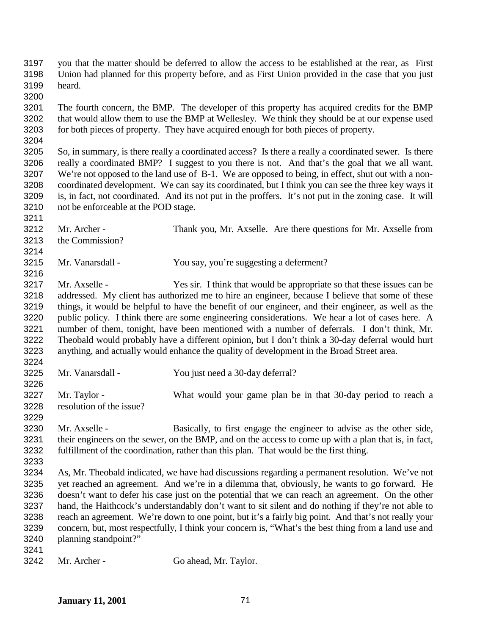you that the matter should be deferred to allow the access to be established at the rear, as First Union had planned for this property before, and as First Union provided in the case that you just heard.

 The fourth concern, the BMP. The developer of this property has acquired credits for the BMP that would allow them to use the BMP at Wellesley. We think they should be at our expense used for both pieces of property. They have acquired enough for both pieces of property.

 So, in summary, is there really a coordinated access? Is there a really a coordinated sewer. Is there really a coordinated BMP? I suggest to you there is not. And that's the goal that we all want. We're not opposed to the land use of B-1. We are opposed to being, in effect, shut out with a non- coordinated development. We can say its coordinated, but I think you can see the three key ways it is, in fact, not coordinated. And its not put in the proffers. It's not put in the zoning case. It will not be enforceable at the POD stage.

 Mr. Archer - Thank you, Mr. Axselle. Are there questions for Mr. Axselle from the Commission?

Mr. Vanarsdall - You say, you're suggesting a deferment?

 Mr. Axselle - Yes sir. I think that would be appropriate so that these issues can be addressed. My client has authorized me to hire an engineer, because I believe that some of these things, it would be helpful to have the benefit of our engineer, and their engineer, as well as the public policy. I think there are some engineering considerations. We hear a lot of cases here. A number of them, tonight, have been mentioned with a number of deferrals. I don't think, Mr. Theobald would probably have a different opinion, but I don't think a 30-day deferral would hurt anything, and actually would enhance the quality of development in the Broad Street area. 

Mr. Vanarsdall - You just need a 30-day deferral?

 Mr. Taylor - What would your game plan be in that 30-day period to reach a resolution of the issue?

 Mr. Axselle - Basically, to first engage the engineer to advise as the other side, their engineers on the sewer, on the BMP, and on the access to come up with a plan that is, in fact, fulfillment of the coordination, rather than this plan. That would be the first thing.

 As, Mr. Theobald indicated, we have had discussions regarding a permanent resolution. We've not yet reached an agreement. And we're in a dilemma that, obviously, he wants to go forward. He doesn't want to defer his case just on the potential that we can reach an agreement. On the other hand, the Haithcock's understandably don't want to sit silent and do nothing if they're not able to reach an agreement. We're down to one point, but it's a fairly big point. And that's not really your concern, but, most respectfully, I think your concern is, "What's the best thing from a land use and planning standpoint?"

Mr. Archer - Go ahead, Mr. Taylor.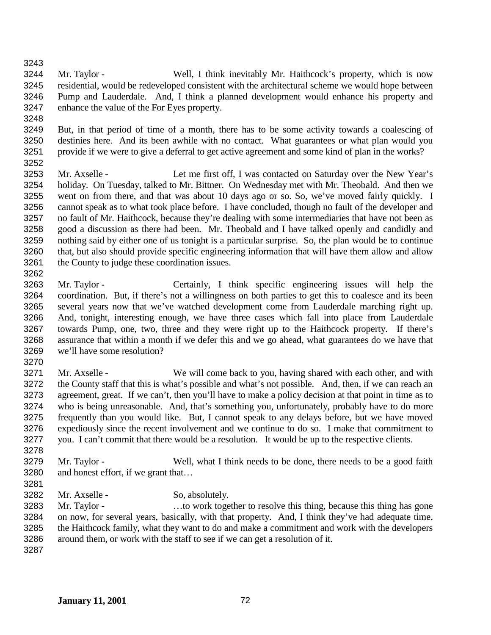Mr. Taylor - Well, I think inevitably Mr. Haithcock's property, which is now residential, would be redeveloped consistent with the architectural scheme we would hope between Pump and Lauderdale. And, I think a planned development would enhance his property and enhance the value of the For Eyes property.

- But, in that period of time of a month, there has to be some activity towards a coalescing of destinies here. And its been awhile with no contact. What guarantees or what plan would you provide if we were to give a deferral to get active agreement and some kind of plan in the works?
- Mr. Axselle Let me first off, I was contacted on Saturday over the New Year's holiday. On Tuesday, talked to Mr. Bittner. On Wednesday met with Mr. Theobald. And then we went on from there, and that was about 10 days ago or so. So, we've moved fairly quickly. I cannot speak as to what took place before. I have concluded, though no fault of the developer and no fault of Mr. Haithcock, because they're dealing with some intermediaries that have not been as good a discussion as there had been. Mr. Theobald and I have talked openly and candidly and nothing said by either one of us tonight is a particular surprise. So, the plan would be to continue that, but also should provide specific engineering information that will have them allow and allow the County to judge these coordination issues.
- Mr. Taylor Certainly, I think specific engineering issues will help the coordination. But, if there's not a willingness on both parties to get this to coalesce and its been several years now that we've watched development come from Lauderdale marching right up. And, tonight, interesting enough, we have three cases which fall into place from Lauderdale towards Pump, one, two, three and they were right up to the Haithcock property. If there's assurance that within a month if we defer this and we go ahead, what guarantees do we have that we'll have some resolution?
- 

- Mr. Axselle We will come back to you, having shared with each other, and with the County staff that this is what's possible and what's not possible. And, then, if we can reach an agreement, great. If we can't, then you'll have to make a policy decision at that point in time as to who is being unreasonable. And, that's something you, unfortunately, probably have to do more frequently than you would like. But, I cannot speak to any delays before, but we have moved expediously since the recent involvement and we continue to do so. I make that commitment to you. I can't commit that there would be a resolution. It would be up to the respective clients.
- 3279 Mr. Taylor Well, what I think needs to be done, there needs to be a good faith and honest effort, if we grant that…
- 

- 3282 Mr. Axselle So, absolutely.
- 3283 Mr. Taylor …to work together to resolve this thing, because this thing has gone on now, for several years, basically, with that property. And, I think they've had adequate time, the Haithcock family, what they want to do and make a commitment and work with the developers around them, or work with the staff to see if we can get a resolution of it.
-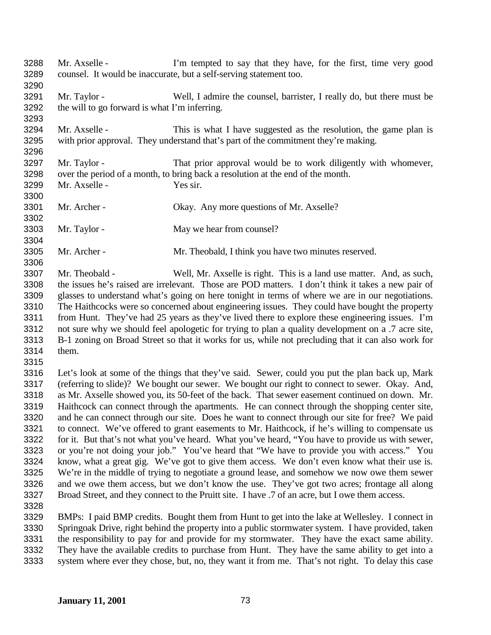- Mr. Axselle I'm tempted to say that they have, for the first, time very good counsel. It would be inaccurate, but a self-serving statement too. Mr. Taylor - Well, I admire the counsel, barrister, I really do, but there must be the will to go forward is what I'm inferring. Mr. Axselle - This is what I have suggested as the resolution, the game plan is with prior approval. They understand that's part of the commitment they're making. 3297 Mr. Taylor - That prior approval would be to work diligently with whomever, over the period of a month, to bring back a resolution at the end of the month. Mr. Axselle - Yes sir. Mr. Archer - Okay. Any more questions of Mr. Axselle? 3303 Mr. Taylor - May we hear from counsel? Mr. Archer - Mr. Theobald, I think you have two minutes reserved. Mr. Theobald - Well, Mr. Axselle is right. This is a land use matter. And, as such, the issues he's raised are irrelevant. Those are POD matters. I don't think it takes a new pair of glasses to understand what's going on here tonight in terms of where we are in our negotiations. The Haithcocks were so concerned about engineering issues. They could have bought the property from Hunt. They've had 25 years as they've lived there to explore these engineering issues. I'm not sure why we should feel apologetic for trying to plan a quality development on a .7 acre site, B-1 zoning on Broad Street so that it works for us, while not precluding that it can also work for them. Let's look at some of the things that they've said. Sewer, could you put the plan back up, Mark (referring to slide)? We bought our sewer. We bought our right to connect to sewer. Okay. And, as Mr. Axselle showed you, its 50-feet of the back. That sewer easement continued on down. Mr. Haithcock can connect through the apartments. He can connect through the shopping center site, and he can connect through our site. Does he want to connect through our site for free? We paid to connect. We've offered to grant easements to Mr. Haithcock, if he's willing to compensate us for it. But that's not what you've heard. What you've heard, "You have to provide us with sewer, or you're not doing your job." You've heard that "We have to provide you with access." You know, what a great gig. We've got to give them access. We don't even know what their use is. We're in the middle of trying to negotiate a ground lease, and somehow we now owe them sewer and we owe them access, but we don't know the use. They've got two acres; frontage all along Broad Street, and they connect to the Pruitt site. I have .7 of an acre, but I owe them access. BMPs: I paid BMP credits. Bought them from Hunt to get into the lake at Wellesley. I connect in Springoak Drive, right behind the property into a public stormwater system. I have provided, taken 3331 the responsibility to pay for and provide for my stormwater. They have the exact same ability.<br>3332 They have the available credits to purchase from Hunt. They have the same ability to get into a
	- They have the available credits to purchase from Hunt. They have the same ability to get into a system where ever they chose, but, no, they want it from me. That's not right. To delay this case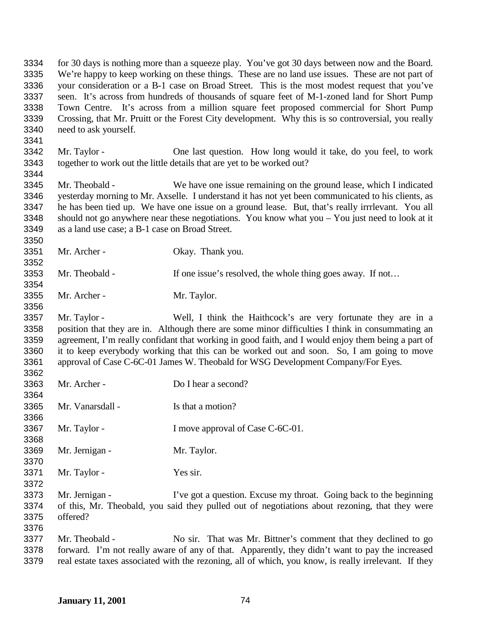for 30 days is nothing more than a squeeze play. You've got 30 days between now and the Board. We're happy to keep working on these things. These are no land use issues. These are not part of your consideration or a B-1 case on Broad Street. This is the most modest request that you've seen. It's across from hundreds of thousands of square feet of M-1-zoned land for Short Pump Town Centre. It's across from a million square feet proposed commercial for Short Pump Crossing, that Mr. Pruitt or the Forest City development. Why this is so controversial, you really need to ask yourself. Mr. Taylor - One last question. How long would it take, do you feel, to work together to work out the little details that are yet to be worked out? Mr. Theobald - We have one issue remaining on the ground lease, which I indicated yesterday morning to Mr. Axselle. I understand it has not yet been communicated to his clients, as he has been tied up. We have one issue on a ground lease. But, that's really irrrlevant. You all should not go anywhere near these negotiations. You know what you – You just need to look at it as a land use case; a B-1 case on Broad Street. Mr. Archer - Okay. Thank you. 3353 Mr. Theobald - If one issue's resolved, the whole thing goes away. If not... Mr. Archer - Mr. Taylor. Mr. Taylor - Well, I think the Haithcock's are very fortunate they are in a position that they are in. Although there are some minor difficulties I think in consummating an agreement, I'm really confidant that working in good faith, and I would enjoy them being a part of it to keep everybody working that this can be worked out and soon. So, I am going to move approval of Case C-6C-01 James W. Theobald for WSG Development Company/For Eyes. Mr. Archer - Do I hear a second? Mr. Vanarsdall - Is that a motion? 3367 Mr. Taylor - I move approval of Case C-6C-01. Mr. Jernigan - Mr. Taylor. Mr. Taylor - Yes sir. Mr. Jernigan - I've got a question. Excuse my throat. Going back to the beginning of this, Mr. Theobald, you said they pulled out of negotiations about rezoning, that they were offered? Mr. Theobald - No sir. That was Mr. Bittner's comment that they declined to go forward. I'm not really aware of any of that. Apparently, they didn't want to pay the increased

real estate taxes associated with the rezoning, all of which, you know, is really irrelevant. If they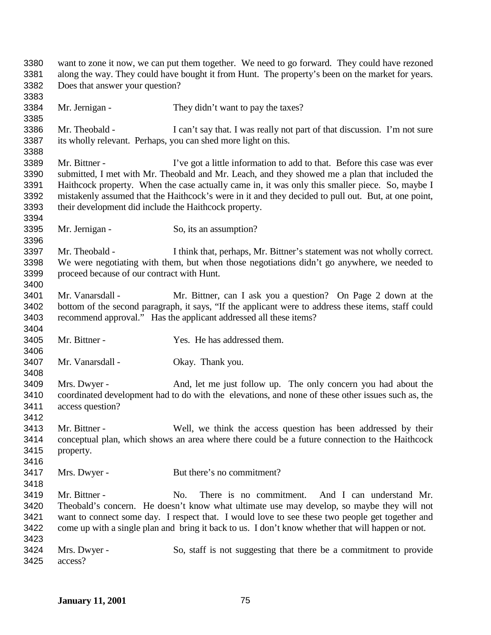want to zone it now, we can put them together. We need to go forward. They could have rezoned along the way. They could have bought it from Hunt. The property's been on the market for years. Does that answer your question? 3384 Mr. Jernigan - They didn't want to pay the taxes? 3386 Mr. Theobald - I can't say that. I was really not part of that discussion. I'm not sure its wholly relevant. Perhaps, you can shed more light on this. 3389 Mr. Bittner - I've got a little information to add to that. Before this case was ever submitted, I met with Mr. Theobald and Mr. Leach, and they showed me a plan that included the Haithcock property. When the case actually came in, it was only this smaller piece. So, maybe I mistakenly assumed that the Haithcock's were in it and they decided to pull out. But, at one point, their development did include the Haithcock property. 3395 Mr. Jernigan - So, its an assumption? Mr. Theobald - I think that, perhaps, Mr. Bittner's statement was not wholly correct. We were negotiating with them, but when those negotiations didn't go anywhere, we needed to proceed because of our contract with Hunt. Mr. Vanarsdall - Mr. Bittner, can I ask you a question? On Page 2 down at the bottom of the second paragraph, it says, "If the applicant were to address these items, staff could recommend approval." Has the applicant addressed all these items? Mr. Bittner - Yes. He has addressed them. Mr. Vanarsdall - Okay. Thank you. Mrs. Dwyer - And, let me just follow up. The only concern you had about the coordinated development had to do with the elevations, and none of these other issues such as, the access question? Mr. Bittner - Well, we think the access question has been addressed by their conceptual plan, which shows an area where there could be a future connection to the Haithcock property. 3417 Mrs. Dwyer - But there's no commitment? Mr. Bittner - No. There is no commitment. And I can understand Mr. Theobald's concern. He doesn't know what ultimate use may develop, so maybe they will not want to connect some day. I respect that. I would love to see these two people get together and come up with a single plan and bring it back to us. I don't know whether that will happen or not. Mrs. Dwyer - So, staff is not suggesting that there be a commitment to provide access?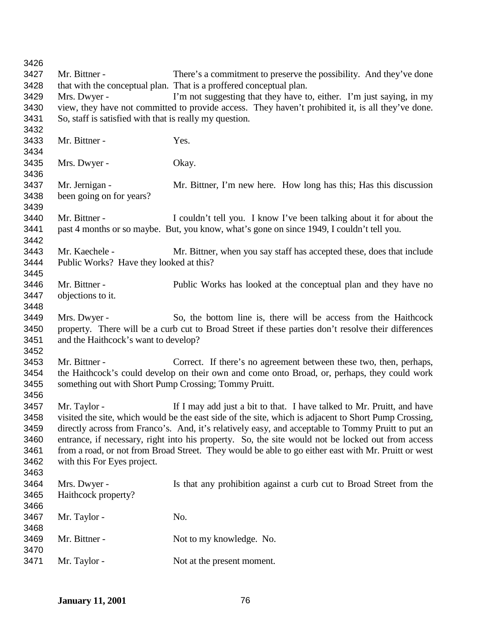Mr. Bittner - There's a commitment to preserve the possibility. And they've done that with the conceptual plan. That is a proffered conceptual plan. 3429 Mrs. Dwyer - I'm not suggesting that they have to, either. I'm just saying, in my view, they have not committed to provide access. They haven't prohibited it, is all they've done. So, staff is satisfied with that is really my question. Mr. Bittner - Yes. Mrs. Dwyer - Okay. Mr. Jernigan - Mr. Bittner, I'm new here. How long has this; Has this discussion been going on for years? 3440 Mr. Bittner - I couldn't tell you. I know I've been talking about it for about the past 4 months or so maybe. But, you know, what's gone on since 1949, I couldn't tell you. Mr. Kaechele - Mr. Bittner, when you say staff has accepted these, does that include Public Works? Have they looked at this? Mr. Bittner - Public Works has looked at the conceptual plan and they have no objections to it. Mrs. Dwyer - So, the bottom line is, there will be access from the Haithcock property. There will be a curb cut to Broad Street if these parties don't resolve their differences and the Haithcock's want to develop? Mr. Bittner - Correct. If there's no agreement between these two, then, perhaps, the Haithcock's could develop on their own and come onto Broad, or, perhaps, they could work something out with Short Pump Crossing; Tommy Pruitt. Mr. Taylor - If I may add just a bit to that. I have talked to Mr. Pruitt, and have visited the site, which would be the east side of the site, which is adjacent to Short Pump Crossing, directly across from Franco's. And, it's relatively easy, and acceptable to Tommy Pruitt to put an entrance, if necessary, right into his property. So, the site would not be locked out from access from a road, or not from Broad Street. They would be able to go either east with Mr. Pruitt or west with this For Eyes project. Mrs. Dwyer - Is that any prohibition against a curb cut to Broad Street from the Haithcock property? 3467 Mr. Taylor - No. 3469 Mr. Bittner - Not to my knowledge. No. 3471 Mr. Taylor - Not at the present moment.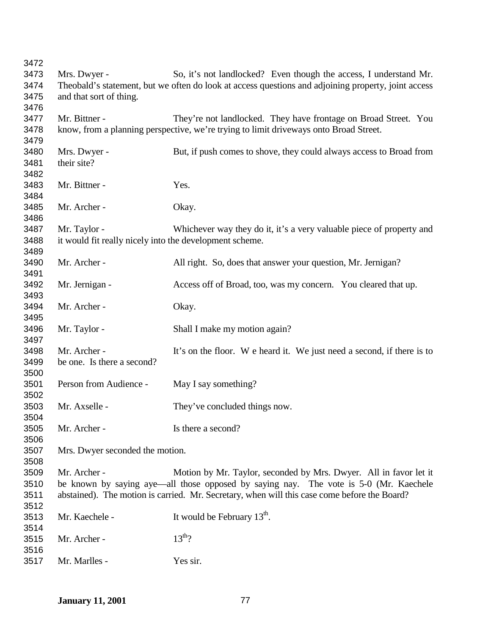| 3472 |                                                         |                                                                                                     |
|------|---------------------------------------------------------|-----------------------------------------------------------------------------------------------------|
| 3473 | Mrs. Dwyer -                                            | So, it's not landlocked? Even though the access, I understand Mr.                                   |
| 3474 |                                                         | Theobald's statement, but we often do look at access questions and adjoining property, joint access |
| 3475 | and that sort of thing.                                 |                                                                                                     |
| 3476 |                                                         |                                                                                                     |
| 3477 | Mr. Bittner -                                           | They're not landlocked. They have frontage on Broad Street. You                                     |
| 3478 |                                                         | know, from a planning perspective, we're trying to limit driveways onto Broad Street.               |
| 3479 |                                                         |                                                                                                     |
| 3480 | Mrs. Dwyer -                                            | But, if push comes to shove, they could always access to Broad from                                 |
| 3481 | their site?                                             |                                                                                                     |
| 3482 |                                                         |                                                                                                     |
| 3483 | Mr. Bittner -                                           | Yes.                                                                                                |
| 3484 |                                                         |                                                                                                     |
| 3485 | Mr. Archer -                                            | Okay.                                                                                               |
| 3486 |                                                         |                                                                                                     |
| 3487 | Mr. Taylor -                                            | Whichever way they do it, it's a very valuable piece of property and                                |
| 3488 | it would fit really nicely into the development scheme. |                                                                                                     |
| 3489 |                                                         |                                                                                                     |
| 3490 | Mr. Archer -                                            | All right. So, does that answer your question, Mr. Jernigan?                                        |
| 3491 |                                                         |                                                                                                     |
|      |                                                         |                                                                                                     |
| 3492 | Mr. Jernigan -                                          | Access off of Broad, too, was my concern. You cleared that up.                                      |
| 3493 |                                                         |                                                                                                     |
| 3494 | Mr. Archer -                                            | Okay.                                                                                               |
| 3495 |                                                         |                                                                                                     |
| 3496 | Mr. Taylor -                                            | Shall I make my motion again?                                                                       |
| 3497 |                                                         |                                                                                                     |
| 3498 | Mr. Archer -                                            | It's on the floor. We heard it. We just need a second, if there is to                               |
| 3499 | be one. Is there a second?                              |                                                                                                     |
| 3500 |                                                         |                                                                                                     |
| 3501 | Person from Audience -                                  | May I say something?                                                                                |
| 3502 |                                                         |                                                                                                     |
| 3503 | Mr. Axselle -                                           | They've concluded things now.                                                                       |
| 3504 |                                                         |                                                                                                     |
| 3505 | Mr. Archer -                                            | Is there a second?                                                                                  |
| 3506 |                                                         |                                                                                                     |
| 3507 | Mrs. Dwyer seconded the motion.                         |                                                                                                     |
| 3508 |                                                         |                                                                                                     |
| 3509 | Mr. Archer -                                            | Motion by Mr. Taylor, seconded by Mrs. Dwyer. All in favor let it                                   |
| 3510 |                                                         | be known by saying aye—all those opposed by saying nay. The vote is 5-0 (Mr. Kaechele               |
| 3511 |                                                         | abstained). The motion is carried. Mr. Secretary, when will this case come before the Board?        |
| 3512 |                                                         |                                                                                                     |
| 3513 | Mr. Kaechele -                                          | It would be February $13^{\text{th}}$ .                                                             |
| 3514 |                                                         |                                                                                                     |
| 3515 | Mr. Archer -                                            | $13^{th}$ ?                                                                                         |
| 3516 |                                                         |                                                                                                     |
| 3517 | Mr. Marlles -                                           | Yes sir.                                                                                            |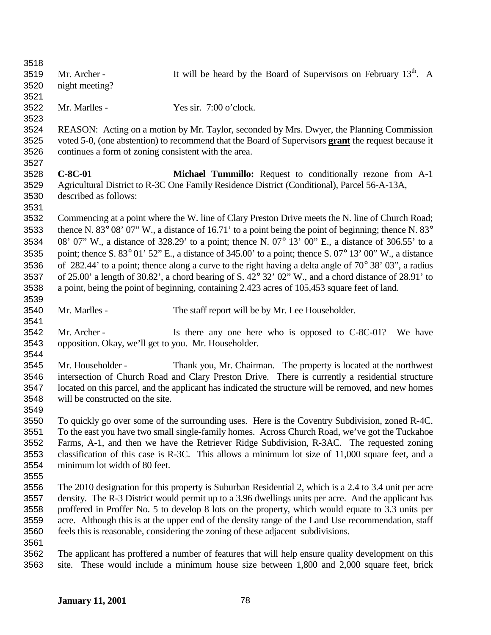| 3518 |                                                      |                                                                                                                             |
|------|------------------------------------------------------|-----------------------------------------------------------------------------------------------------------------------------|
| 3519 | Mr. Archer -                                         | It will be heard by the Board of Supervisors on February $13th$ . A                                                         |
| 3520 | night meeting?                                       |                                                                                                                             |
| 3521 |                                                      |                                                                                                                             |
| 3522 | Mr. Marlles -                                        | Yes sir. 7:00 o'clock.                                                                                                      |
| 3523 |                                                      |                                                                                                                             |
| 3524 |                                                      | REASON: Acting on a motion by Mr. Taylor, seconded by Mrs. Dwyer, the Planning Commission                                   |
| 3525 |                                                      | voted 5-0, (one abstention) to recommend that the Board of Supervisors grant the request because it                         |
| 3526 | continues a form of zoning consistent with the area. |                                                                                                                             |
| 3527 |                                                      |                                                                                                                             |
| 3528 | $C-8C-01$                                            | Michael Tummillo: Request to conditionally rezone from A-1                                                                  |
| 3529 |                                                      | Agricultural District to R-3C One Family Residence District (Conditional), Parcel 56-A-13A,                                 |
| 3530 | described as follows:                                |                                                                                                                             |
| 3531 |                                                      |                                                                                                                             |
| 3532 |                                                      | Commencing at a point where the W. line of Clary Preston Drive meets the N. line of Church Road;                            |
| 3533 |                                                      | thence N. 83° 08' 07" W., a distance of 16.71' to a point being the point of beginning; thence N. 83°                       |
| 3534 |                                                      | 08' 07" W., a distance of 328.29' to a point; thence N. 07° 13' 00" E., a distance of 306.55' to a                          |
| 3535 |                                                      | point; thence S. 83 $^{\circ}$ 01' 52" E., a distance of 345.00' to a point; thence S. 07 $^{\circ}$ 13' 00" W., a distance |
| 3536 |                                                      | of 282.44' to a point; thence along a curve to the right having a delta angle of $70^{\circ}$ 38' 03", a radius             |
| 3537 |                                                      | of $25.00'$ a length of $30.82'$ , a chord bearing of S. $42^{\circ}$ $32'$ $02''$ W., and a chord distance of $28.91'$ to  |
| 3538 |                                                      | a point, being the point of beginning, containing 2.423 acres of 105,453 square feet of land.                               |
| 3539 |                                                      |                                                                                                                             |
| 3540 | Mr. Marlles -                                        | The staff report will be by Mr. Lee Householder.                                                                            |
| 3541 |                                                      |                                                                                                                             |
| 3542 | Mr. Archer -                                         | Is there any one here who is opposed to C-8C-01?<br>We have                                                                 |
| 3543 | opposition. Okay, we'll get to you. Mr. Householder. |                                                                                                                             |
| 3544 |                                                      |                                                                                                                             |
| 3545 | Mr. Householder -                                    | Thank you, Mr. Chairman. The property is located at the northwest                                                           |
| 3546 |                                                      | intersection of Church Road and Clary Preston Drive. There is currently a residential structure                             |
| 3547 |                                                      | located on this parcel, and the applicant has indicated the structure will be removed, and new homes                        |
| 3548 | will be constructed on the site.                     |                                                                                                                             |
| 3549 |                                                      |                                                                                                                             |
| 3550 |                                                      | To quickly go over some of the surrounding uses. Here is the Coventry Subdivision, zoned R-4C.                              |
| 3551 |                                                      | To the east you have two small single-family homes. Across Church Road, we've got the Tuckahoe                              |
| 3552 |                                                      | Farms, A-1, and then we have the Retriever Ridge Subdivision, R-3AC. The requested zoning                                   |
| 3553 |                                                      | classification of this case is R-3C. This allows a minimum lot size of 11,000 square feet, and a                            |
| 3554 | minimum lot width of 80 feet.                        |                                                                                                                             |
| 3555 |                                                      |                                                                                                                             |
| 3556 |                                                      | The 2010 designation for this property is Suburban Residential 2, which is a 2.4 to 3.4 unit per acre                       |
| 3557 |                                                      | density. The R-3 District would permit up to a 3.96 dwellings units per acre. And the applicant has                         |
| 3558 |                                                      | proffered in Proffer No. 5 to develop 8 lots on the property, which would equate to 3.3 units per                           |
| 3559 |                                                      | acre. Although this is at the upper end of the density range of the Land Use recommendation, staff                          |
| 3560 |                                                      | feels this is reasonable, considering the zoning of these adjacent subdivisions.                                            |
| 3561 |                                                      |                                                                                                                             |
| 3562 |                                                      | The applicant has proffered a number of features that will help ensure quality development on this                          |
| 3563 | site.                                                | These would include a minimum house size between 1,800 and 2,000 square feet, brick                                         |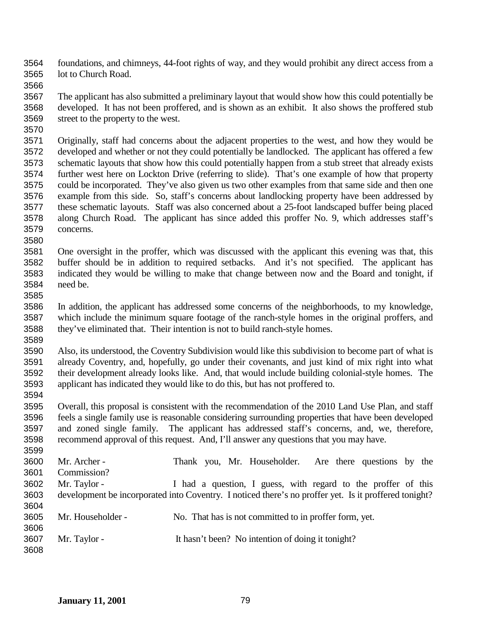foundations, and chimneys, 44-foot rights of way, and they would prohibit any direct access from a lot to Church Road.

 The applicant has also submitted a preliminary layout that would show how this could potentially be developed. It has not been proffered, and is shown as an exhibit. It also shows the proffered stub street to the property to the west.

 Originally, staff had concerns about the adjacent properties to the west, and how they would be developed and whether or not they could potentially be landlocked. The applicant has offered a few schematic layouts that show how this could potentially happen from a stub street that already exists further west here on Lockton Drive (referring to slide). That's one example of how that property could be incorporated. They've also given us two other examples from that same side and then one example from this side. So, staff's concerns about landlocking property have been addressed by these schematic layouts. Staff was also concerned about a 25-foot landscaped buffer being placed along Church Road. The applicant has since added this proffer No. 9, which addresses staff's concerns.

- One oversight in the proffer, which was discussed with the applicant this evening was that, this buffer should be in addition to required setbacks. And it's not specified. The applicant has indicated they would be willing to make that change between now and the Board and tonight, if need be.
- In addition, the applicant has addressed some concerns of the neighborhoods, to my knowledge, which include the minimum square footage of the ranch-style homes in the original proffers, and they've eliminated that. Their intention is not to build ranch-style homes.

 Also, its understood, the Coventry Subdivision would like this subdivision to become part of what is already Coventry, and, hopefully, go under their covenants, and just kind of mix right into what their development already looks like. And, that would include building colonial-style homes. The applicant has indicated they would like to do this, but has not proffered to. 

 Overall, this proposal is consistent with the recommendation of the 2010 Land Use Plan, and staff feels a single family use is reasonable considering surrounding properties that have been developed and zoned single family. The applicant has addressed staff's concerns, and, we, therefore, recommend approval of this request. And, I'll answer any questions that you may have. 

| - vuu |                   |                                                                                                       |
|-------|-------------------|-------------------------------------------------------------------------------------------------------|
| 3600  | Mr. Archer -      | Thank you, Mr. Householder. Are there questions by the                                                |
| 3601  | Commission?       |                                                                                                       |
| 3602  | Mr. Taylor -      | I had a question, I guess, with regard to the proffer of this                                         |
| 3603  |                   | development be incorporated into Coventry. I noticed there's no proffer yet. Is it proffered tonight? |
| 3604  |                   |                                                                                                       |
| 3605  | Mr. Householder - | No. That has is not committed to in proffer form, yet.                                                |
| 3606  |                   |                                                                                                       |
| 3607  | Mr. Taylor -      | It hasn't been? No intention of doing it tonight?                                                     |
| 3608  |                   |                                                                                                       |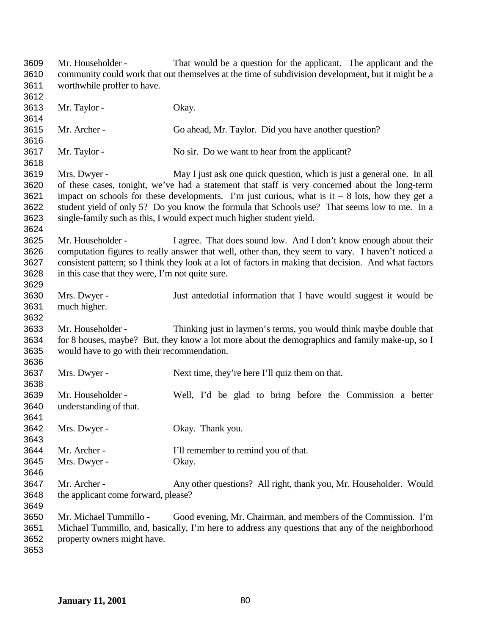Mr. Householder - That would be a question for the applicant. The applicant and the community could work that out themselves at the time of subdivision development, but it might be a worthwhile proffer to have. Mr. Taylor - Okay. Mr. Archer - Go ahead, Mr. Taylor. Did you have another question? Mr. Taylor - No sir. Do we want to hear from the applicant? Mrs. Dwyer - May I just ask one quick question, which is just a general one. In all of these cases, tonight, we've had a statement that staff is very concerned about the long-term 3621 impact on schools for these developments. I'm just curious, what is it  $-8$  lots, how they get a student yield of only 5? Do you know the formula that Schools use? That seems low to me. In a single-family such as this, I would expect much higher student yield. Mr. Householder - I agree. That does sound low. And I don't know enough about their computation figures to really answer that well, other than, they seem to vary. I haven't noticed a consistent pattern; so I think they look at a lot of factors in making that decision. And what factors in this case that they were, I'm not quite sure. Mrs. Dwyer - Just antedotial information that I have would suggest it would be much higher. Mr. Householder - Thinking just in laymen's terms, you would think maybe double that for 8 houses, maybe? But, they know a lot more about the demographics and family make-up, so I would have to go with their recommendation. Mrs. Dwyer - Next time, they're here I'll quiz them on that. Mr. Householder - Well, I'd be glad to bring before the Commission a better understanding of that. Mrs. Dwyer - Okay. Thank you. Mr. Archer - I'll remember to remind you of that. Mrs. Dwyer - Okay. Mr. Archer - Any other questions? All right, thank you, Mr. Householder. Would the applicant come forward, please? Mr. Michael Tummillo - Good evening, Mr. Chairman, and members of the Commission. I'm Michael Tummillo, and, basically, I'm here to address any questions that any of the neighborhood property owners might have.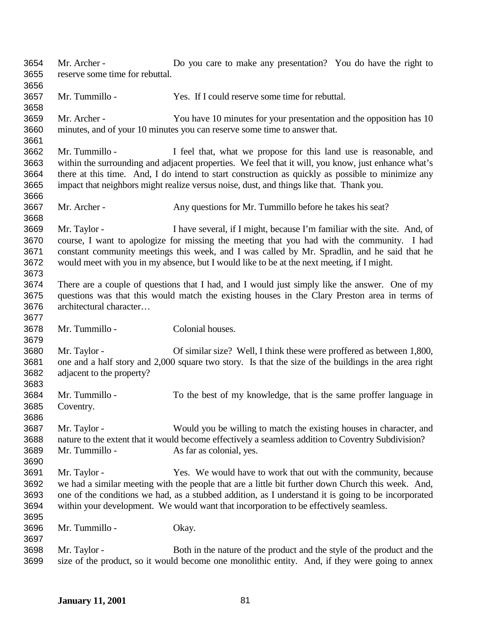Mr. Archer - Do you care to make any presentation? You do have the right to reserve some time for rebuttal. Mr. Tummillo - Yes. If I could reserve some time for rebuttal. Mr. Archer - You have 10 minutes for your presentation and the opposition has 10 minutes, and of your 10 minutes you can reserve some time to answer that. Mr. Tummillo - I feel that, what we propose for this land use is reasonable, and within the surrounding and adjacent properties. We feel that it will, you know, just enhance what's there at this time. And, I do intend to start construction as quickly as possible to minimize any impact that neighbors might realize versus noise, dust, and things like that. Thank you. 3667 Mr. Archer - Any questions for Mr. Tummillo before he takes his seat? Mr. Taylor - I have several, if I might, because I'm familiar with the site. And, of course, I want to apologize for missing the meeting that you had with the community. I had constant community meetings this week, and I was called by Mr. Spradlin, and he said that he would meet with you in my absence, but I would like to be at the next meeting, if I might. There are a couple of questions that I had, and I would just simply like the answer. One of my questions was that this would match the existing houses in the Clary Preston area in terms of architectural character… Mr. Tummillo - Colonial houses. Mr. Taylor - Of similar size? Well, I think these were proffered as between 1,800, one and a half story and 2,000 square two story. Is that the size of the buildings in the area right adjacent to the property? Mr. Tummillo - To the best of my knowledge, that is the same proffer language in Coventry. Mr. Taylor - Would you be willing to match the existing houses in character, and nature to the extent that it would become effectively a seamless addition to Coventry Subdivision? Mr. Tummillo - As far as colonial, yes. Mr. Taylor - Yes. We would have to work that out with the community, because we had a similar meeting with the people that are a little bit further down Church this week. And, one of the conditions we had, as a stubbed addition, as I understand it is going to be incorporated within your development. We would want that incorporation to be effectively seamless. Mr. Tummillo - Okay. Mr. Taylor - Both in the nature of the product and the style of the product and the size of the product, so it would become one monolithic entity. And, if they were going to annex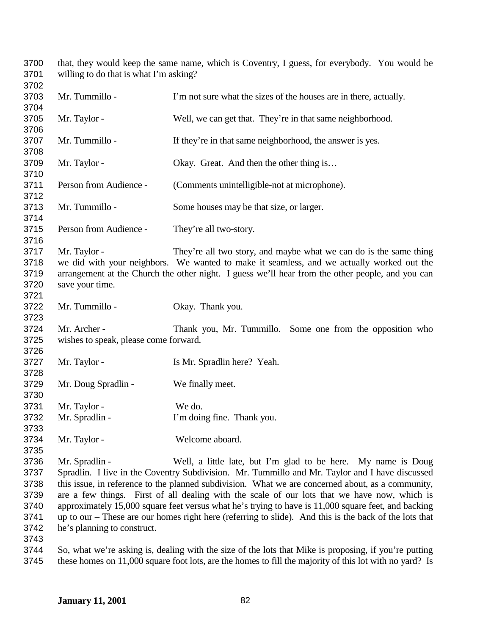that, they would keep the same name, which is Coventry, I guess, for everybody. You would be willing to do that is what I'm asking? 

| 3703<br>3704 | Mr. Tummillo -                        | I'm not sure what the sizes of the houses are in there, actually.                                      |
|--------------|---------------------------------------|--------------------------------------------------------------------------------------------------------|
| 3705         | Mr. Taylor -                          | Well, we can get that. They're in that same neighborhood.                                              |
| 3706         |                                       |                                                                                                        |
| 3707         | Mr. Tummillo -                        | If they're in that same neighborhood, the answer is yes.                                               |
| 3708         |                                       |                                                                                                        |
| 3709         | Mr. Taylor -                          | Okay. Great. And then the other thing is                                                               |
| 3710         |                                       |                                                                                                        |
| 3711         | Person from Audience -                | (Comments unintelligible-not at microphone).                                                           |
| 3712         |                                       |                                                                                                        |
| 3713         | Mr. Tummillo -                        | Some houses may be that size, or larger.                                                               |
| 3714         |                                       |                                                                                                        |
| 3715         | Person from Audience -                | They're all two-story.                                                                                 |
| 3716         |                                       |                                                                                                        |
| 3717         | Mr. Taylor -                          | They're all two story, and maybe what we can do is the same thing                                      |
| 3718         |                                       | we did with your neighbors. We wanted to make it seamless, and we actually worked out the              |
| 3719         |                                       | arrangement at the Church the other night. I guess we'll hear from the other people, and you can       |
| 3720         | save your time.                       |                                                                                                        |
| 3721<br>3722 | Mr. Tummillo -                        | Okay. Thank you.                                                                                       |
| 3723         |                                       |                                                                                                        |
| 3724         | Mr. Archer -                          | Thank you, Mr. Tummillo. Some one from the opposition who                                              |
| 3725         | wishes to speak, please come forward. |                                                                                                        |
| 3726         |                                       |                                                                                                        |
| 3727         | Mr. Taylor -                          | Is Mr. Spradlin here? Yeah.                                                                            |
| 3728         |                                       |                                                                                                        |
| 3729         | Mr. Doug Spradlin -                   | We finally meet.                                                                                       |
| 3730         |                                       |                                                                                                        |
| 3731         | Mr. Taylor -                          | We do.                                                                                                 |
| 3732         | Mr. Spradlin -                        | I'm doing fine. Thank you.                                                                             |
| 3733         |                                       |                                                                                                        |
| 3734         | Mr. Taylor -                          | Welcome aboard.                                                                                        |
| 3735         |                                       |                                                                                                        |
| 3736         | Mr. Spradlin -                        | Well, a little late, but I'm glad to be here. My name is Doug                                          |
| 3737         |                                       | Spradlin. I live in the Coventry Subdivision. Mr. Tummillo and Mr. Taylor and I have discussed         |
| 3738         |                                       | this issue, in reference to the planned subdivision. What we are concerned about, as a community,      |
| 3739         |                                       | are a few things. First of all dealing with the scale of our lots that we have now, which is           |
| 3740         |                                       | approximately 15,000 square feet versus what he's trying to have is 11,000 square feet, and backing    |
| 3741         |                                       | up to our – These are our homes right here (referring to slide). And this is the back of the lots that |
| 3742         | he's planning to construct.           |                                                                                                        |
| 3743         |                                       |                                                                                                        |

3744 So, what we're asking is, dealing with the size of the lots that Mike is proposing, if you're putting these homes on 11,000 square foot lots, are the homes to fill the majority of this lot with no yard? Is these homes on 11,000 square foot lots, are the homes to fill the majority of this lot with no yard? Is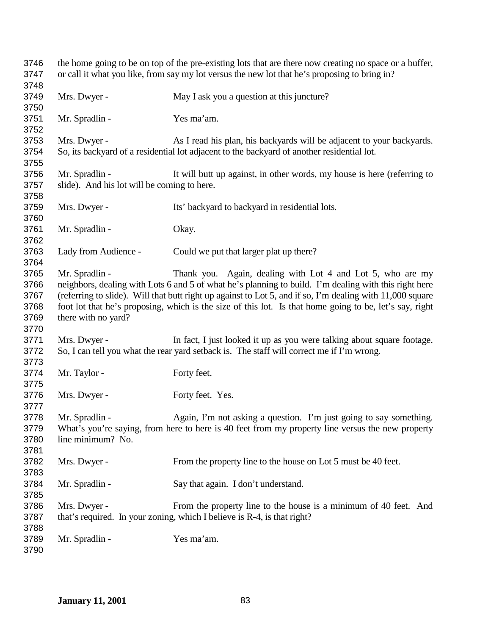| 3746<br>3747                         | the home going to be on top of the pre-existing lots that are there now creating no space or a buffer,<br>or call it what you like, from say my lot versus the new lot that he's proposing to bring in? |                                                                                                                                                                                                                                                                                                                                                                                             |  |
|--------------------------------------|---------------------------------------------------------------------------------------------------------------------------------------------------------------------------------------------------------|---------------------------------------------------------------------------------------------------------------------------------------------------------------------------------------------------------------------------------------------------------------------------------------------------------------------------------------------------------------------------------------------|--|
| 3748                                 |                                                                                                                                                                                                         |                                                                                                                                                                                                                                                                                                                                                                                             |  |
| 3749<br>3750                         | Mrs. Dwyer -                                                                                                                                                                                            | May I ask you a question at this juncture?                                                                                                                                                                                                                                                                                                                                                  |  |
| 3751<br>3752                         | Mr. Spradlin -                                                                                                                                                                                          | Yes ma'am.                                                                                                                                                                                                                                                                                                                                                                                  |  |
| 3753<br>3754                         | Mrs. Dwyer -                                                                                                                                                                                            | As I read his plan, his backyards will be adjacent to your backyards.<br>So, its backyard of a residential lot adjacent to the backyard of another residential lot.                                                                                                                                                                                                                         |  |
| 3755                                 |                                                                                                                                                                                                         |                                                                                                                                                                                                                                                                                                                                                                                             |  |
| 3756<br>3757                         | Mr. Spradlin -<br>slide). And his lot will be coming to here.                                                                                                                                           | It will butt up against, in other words, my house is here (referring to                                                                                                                                                                                                                                                                                                                     |  |
| 3758                                 |                                                                                                                                                                                                         |                                                                                                                                                                                                                                                                                                                                                                                             |  |
| 3759<br>3760                         | Mrs. Dwyer -                                                                                                                                                                                            | Its' backyard to backyard in residential lots.                                                                                                                                                                                                                                                                                                                                              |  |
| 3761<br>3762                         | Mr. Spradlin -                                                                                                                                                                                          | Okay.                                                                                                                                                                                                                                                                                                                                                                                       |  |
| 3763<br>3764                         | Lady from Audience -                                                                                                                                                                                    | Could we put that larger plat up there?                                                                                                                                                                                                                                                                                                                                                     |  |
| 3765<br>3766<br>3767<br>3768<br>3769 | Mr. Spradlin -<br>there with no yard?                                                                                                                                                                   | Thank you. Again, dealing with Lot 4 and Lot 5, who are my<br>neighbors, dealing with Lots 6 and 5 of what he's planning to build. I'm dealing with this right here<br>(referring to slide). Will that butt right up against to Lot 5, and if so, I'm dealing with 11,000 square<br>foot lot that he's proposing, which is the size of this lot. Is that home going to be, let's say, right |  |
| 3770<br>3771<br>3772                 | Mrs. Dwyer -                                                                                                                                                                                            | In fact, I just looked it up as you were talking about square footage.<br>So, I can tell you what the rear yard setback is. The staff will correct me if I'm wrong.                                                                                                                                                                                                                         |  |
| 3773<br>3774                         | Mr. Taylor -                                                                                                                                                                                            | Forty feet.                                                                                                                                                                                                                                                                                                                                                                                 |  |
| 3775                                 |                                                                                                                                                                                                         |                                                                                                                                                                                                                                                                                                                                                                                             |  |
| 3776<br>3777                         | Mrs. Dwyer -                                                                                                                                                                                            | Forty feet. Yes.                                                                                                                                                                                                                                                                                                                                                                            |  |
| 3778<br>3779<br>3780<br>3781         | Mr. Spradlin -<br>line minimum? No.                                                                                                                                                                     | Again, I'm not asking a question. I'm just going to say something.<br>What's you're saying, from here to here is 40 feet from my property line versus the new property                                                                                                                                                                                                                      |  |
| 3782<br>3783                         | Mrs. Dwyer -                                                                                                                                                                                            | From the property line to the house on Lot 5 must be 40 feet.                                                                                                                                                                                                                                                                                                                               |  |
| 3784<br>3785                         | Mr. Spradlin -                                                                                                                                                                                          | Say that again. I don't understand.                                                                                                                                                                                                                                                                                                                                                         |  |
| 3786<br>3787<br>3788                 | Mrs. Dwyer -                                                                                                                                                                                            | From the property line to the house is a minimum of 40 feet. And<br>that's required. In your zoning, which I believe is R-4, is that right?                                                                                                                                                                                                                                                 |  |
| 3789<br>3790                         | Mr. Spradlin -                                                                                                                                                                                          | Yes ma'am.                                                                                                                                                                                                                                                                                                                                                                                  |  |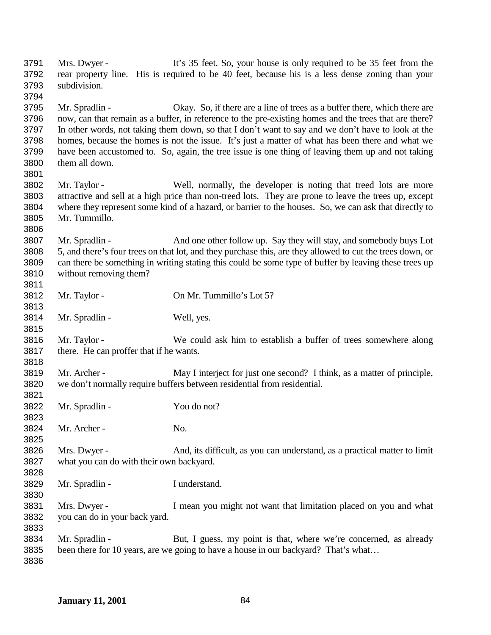Mrs. Dwyer - It's 35 feet. So, your house is only required to be 35 feet from the rear property line. His is required to be 40 feet, because his is a less dense zoning than your subdivision. Mr. Spradlin - Okay. So, if there are a line of trees as a buffer there, which there are now, can that remain as a buffer, in reference to the pre-existing homes and the trees that are there? In other words, not taking them down, so that I don't want to say and we don't have to look at the homes, because the homes is not the issue. It's just a matter of what has been there and what we have been accustomed to. So, again, the tree issue is one thing of leaving them up and not taking them all down. Mr. Taylor - Well, normally, the developer is noting that treed lots are more attractive and sell at a high price than non-treed lots. They are prone to leave the trees up, except where they represent some kind of a hazard, or barrier to the houses. So, we can ask that directly to Mr. Tummillo. Mr. Spradlin - And one other follow up. Say they will stay, and somebody buys Lot 5, and there's four trees on that lot, and they purchase this, are they allowed to cut the trees down, or can there be something in writing stating this could be some type of buffer by leaving these trees up without removing them? Mr. Taylor - On Mr. Tummillo's Lot 5? Mr. Spradlin - Well, yes. Mr. Taylor - We could ask him to establish a buffer of trees somewhere along there. He can proffer that if he wants. Mr. Archer - May I interject for just one second? I think, as a matter of principle, we don't normally require buffers between residential from residential. Mr. Spradlin - You do not? Mr. Archer - No. Mrs. Dwyer - And, its difficult, as you can understand, as a practical matter to limit what you can do with their own backyard. Mr. Spradlin - I understand. Mrs. Dwyer - I mean you might not want that limitation placed on you and what you can do in your back yard. Mr. Spradlin - But, I guess, my point is that, where we're concerned, as already been there for 10 years, are we going to have a house in our backyard? That's what…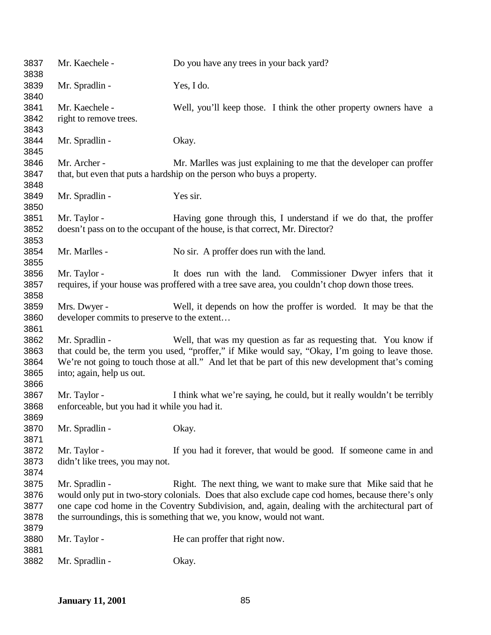| 3837<br>3838 | Mr. Kaechele -                                | Do you have any trees in your back yard?                                                           |
|--------------|-----------------------------------------------|----------------------------------------------------------------------------------------------------|
| 3839<br>3840 | Mr. Spradlin -                                | Yes, I do.                                                                                         |
| 3841         | Mr. Kaechele -                                | Well, you'll keep those. I think the other property owners have a                                  |
| 3842         | right to remove trees.                        |                                                                                                    |
| 3843         |                                               |                                                                                                    |
| 3844         | Mr. Spradlin -                                | Okay.                                                                                              |
| 3845         |                                               |                                                                                                    |
| 3846         | Mr. Archer -                                  | Mr. Marlles was just explaining to me that the developer can proffer                               |
| 3847<br>3848 |                                               | that, but even that puts a hardship on the person who buys a property.                             |
| 3849         | Mr. Spradlin -                                | Yes sir.                                                                                           |
| 3850         |                                               |                                                                                                    |
| 3851         | Mr. Taylor -                                  | Having gone through this, I understand if we do that, the proffer                                  |
| 3852         |                                               | doesn't pass on to the occupant of the house, is that correct, Mr. Director?                       |
| 3853         |                                               |                                                                                                    |
| 3854         | Mr. Marlles -                                 | No sir. A proffer does run with the land.                                                          |
| 3855         |                                               |                                                                                                    |
| 3856         | Mr. Taylor -                                  | It does run with the land. Commissioner Dwyer infers that it                                       |
| 3857         |                                               | requires, if your house was proffered with a tree save area, you couldn't chop down those trees.   |
| 3858         |                                               |                                                                                                    |
| 3859         | Mrs. Dwyer -                                  | Well, it depends on how the proffer is worded. It may be that the                                  |
| 3860         | developer commits to preserve to the extent   |                                                                                                    |
| 3861         |                                               |                                                                                                    |
| 3862         | Mr. Spradlin -                                | Well, that was my question as far as requesting that. You know if                                  |
| 3863         |                                               | that could be, the term you used, "proffer," if Mike would say, "Okay, I'm going to leave those.   |
| 3864         |                                               | We're not going to touch those at all." And let that be part of this new development that's coming |
| 3865         | into; again, help us out.                     |                                                                                                    |
| 3866         |                                               |                                                                                                    |
| 3867         | Mr. Taylor -                                  | I think what we're saying, he could, but it really wouldn't be terribly                            |
| 3868         | enforceable, but you had it while you had it. |                                                                                                    |
| 3869         |                                               |                                                                                                    |
| 3870         | Mr. Spradlin -                                | Okay.                                                                                              |
| 3871         |                                               |                                                                                                    |
| 3872         | Mr. Taylor -                                  | If you had it forever, that would be good. If someone came in and                                  |
| 3873         | didn't like trees, you may not.               |                                                                                                    |
| 3874         |                                               |                                                                                                    |
| 3875         | Mr. Spradlin -                                | Right. The next thing, we want to make sure that Mike said that he                                 |
| 3876         |                                               | would only put in two-story colonials. Does that also exclude cape cod homes, because there's only |
| 3877         |                                               | one cape cod home in the Coventry Subdivision, and, again, dealing with the architectural part of  |
| 3878         |                                               | the surroundings, this is something that we, you know, would not want.                             |
| 3879         |                                               |                                                                                                    |
| 3880         | Mr. Taylor -                                  | He can proffer that right now.                                                                     |
| 3881         |                                               |                                                                                                    |
| 3882         | Mr. Spradlin -                                | Okay.                                                                                              |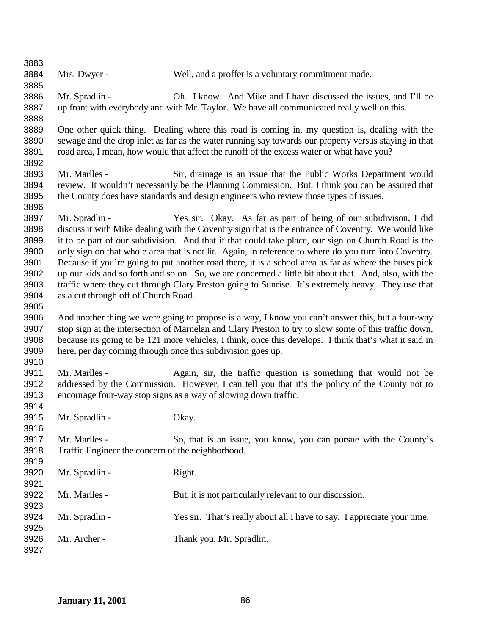| 3883 |                                                             |                                                                                                        |
|------|-------------------------------------------------------------|--------------------------------------------------------------------------------------------------------|
| 3884 | Mrs. Dwyer -                                                | Well, and a proffer is a voluntary commitment made.                                                    |
| 3885 |                                                             |                                                                                                        |
| 3886 | Mr. Spradlin -                                              | Oh. I know. And Mike and I have discussed the issues, and I'll be                                      |
| 3887 |                                                             | up front with everybody and with Mr. Taylor. We have all communicated really well on this.             |
| 3888 |                                                             |                                                                                                        |
| 3889 |                                                             | One other quick thing. Dealing where this road is coming in, my question is, dealing with the          |
| 3890 |                                                             | sewage and the drop inlet as far as the water running say towards our property versus staying in that  |
| 3891 |                                                             | road area, I mean, how would that affect the runoff of the excess water or what have you?              |
| 3892 |                                                             |                                                                                                        |
| 3893 | Mr. Marlles -                                               | Sir, drainage is an issue that the Public Works Department would                                       |
| 3894 |                                                             | review. It wouldn't necessarily be the Planning Commission. But, I think you can be assured that       |
| 3895 |                                                             | the County does have standards and design engineers who review those types of issues.                  |
| 3896 |                                                             |                                                                                                        |
| 3897 | Mr. Spradlin -                                              | Yes sir. Okay. As far as part of being of our subidivison, I did                                       |
| 3898 |                                                             | discuss it with Mike dealing with the Coventry sign that is the entrance of Coventry. We would like    |
| 3899 |                                                             | it to be part of our subdivision. And that if that could take place, our sign on Church Road is the    |
| 3900 |                                                             | only sign on that whole area that is not lit. Again, in reference to where do you turn into Coventry.  |
| 3901 |                                                             | Because if you're going to put another road there, it is a school area as far as where the buses pick  |
| 3902 |                                                             | up our kids and so forth and so on. So, we are concerned a little bit about that. And, also, with the  |
| 3903 |                                                             | traffic where they cut through Clary Preston going to Sunrise. It's extremely heavy. They use that     |
| 3904 | as a cut through off of Church Road.                        |                                                                                                        |
| 3905 |                                                             |                                                                                                        |
| 3906 |                                                             | And another thing we were going to propose is a way, I know you can't answer this, but a four-way      |
| 3907 |                                                             | stop sign at the intersection of Marnelan and Clary Preston to try to slow some of this traffic down,  |
| 3908 |                                                             | because its going to be 121 more vehicles, I think, once this develops. I think that's what it said in |
| 3909 | here, per day coming through once this subdivision goes up. |                                                                                                        |
| 3910 |                                                             |                                                                                                        |
| 3911 | Mr. Marlles -                                               | Again, sir, the traffic question is something that would not be                                        |
| 3912 |                                                             | addressed by the Commission. However, I can tell you that it's the policy of the County not to         |
| 3913 |                                                             | encourage four-way stop signs as a way of slowing down traffic.                                        |
| 3914 |                                                             |                                                                                                        |
| 3915 | Mr. Spradlin -                                              | Okay.                                                                                                  |
| 3916 |                                                             |                                                                                                        |
| 3917 | Mr. Marlles -                                               | So, that is an issue, you know, you can pursue with the County's                                       |
| 3918 | Traffic Engineer the concern of the neighborhood.           |                                                                                                        |
| 3919 |                                                             |                                                                                                        |
| 3920 | Mr. Spradlin -                                              | Right.                                                                                                 |
| 3921 |                                                             |                                                                                                        |
| 3922 | Mr. Marlles -                                               | But, it is not particularly relevant to our discussion.                                                |
| 3923 |                                                             |                                                                                                        |
| 3924 | Mr. Spradlin -                                              | Yes sir. That's really about all I have to say. I appreciate your time.                                |
| 3925 |                                                             |                                                                                                        |
| 3926 | Mr. Archer -                                                | Thank you, Mr. Spradlin.                                                                               |
| 3927 |                                                             |                                                                                                        |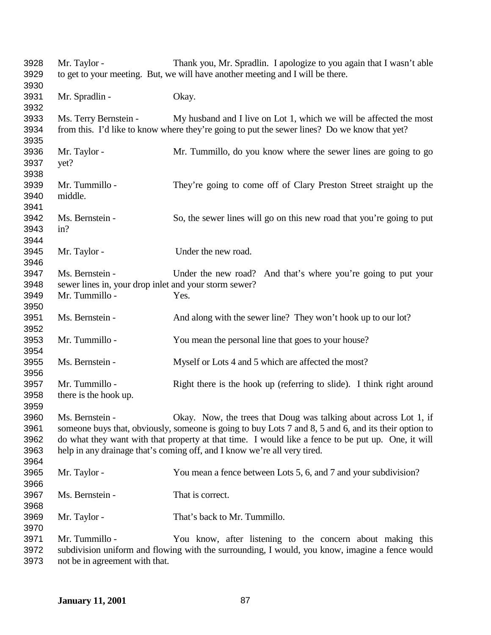| 3928<br>3929         | Mr. Taylor -                                          | Thank you, Mr. Spradlin. I apologize to you again that I wasn't able<br>to get to your meeting. But, we will have another meeting and I will be there. |
|----------------------|-------------------------------------------------------|--------------------------------------------------------------------------------------------------------------------------------------------------------|
| 3930<br>3931         | Mr. Spradlin -                                        | Okay.                                                                                                                                                  |
| 3932                 |                                                       |                                                                                                                                                        |
| 3933                 | Ms. Terry Bernstein -                                 | My husband and I live on Lot 1, which we will be affected the most                                                                                     |
| 3934<br>3935         |                                                       | from this. I'd like to know where they're going to put the sewer lines? Do we know that yet?                                                           |
| 3936<br>3937<br>3938 | Mr. Taylor -<br>yet?                                  | Mr. Tummillo, do you know where the sewer lines are going to go                                                                                        |
| 3939<br>3940<br>3941 | Mr. Tummillo -<br>middle.                             | They're going to come off of Clary Preston Street straight up the                                                                                      |
| 3942<br>3943<br>3944 | Ms. Bernstein -<br>in?                                | So, the sewer lines will go on this new road that you're going to put                                                                                  |
| 3945<br>3946         | Mr. Taylor -                                          | Under the new road.                                                                                                                                    |
| 3947                 | Ms. Bernstein -                                       | Under the new road? And that's where you're going to put your                                                                                          |
| 3948                 | sewer lines in, your drop inlet and your storm sewer? |                                                                                                                                                        |
| 3949<br>3950         | Mr. Tummillo -                                        | Yes.                                                                                                                                                   |
| 3951<br>3952         | Ms. Bernstein -                                       | And along with the sewer line? They won't hook up to our lot?                                                                                          |
| 3953<br>3954         | Mr. Tummillo -                                        | You mean the personal line that goes to your house?                                                                                                    |
| 3955<br>3956         | Ms. Bernstein -                                       | Myself or Lots 4 and 5 which are affected the most?                                                                                                    |
| 3957                 | Mr. Tummillo -                                        | Right there is the hook up (referring to slide). I think right around                                                                                  |
| 3958<br>3959         | there is the hook up.                                 |                                                                                                                                                        |
| 3960                 | Ms. Bernstein -                                       | Okay. Now, the trees that Doug was talking about across Lot 1, if                                                                                      |
| 3961                 |                                                       | someone buys that, obviously, someone is going to buy Lots 7 and 8, 5 and 6, and its their option to                                                   |
| 3962                 |                                                       | do what they want with that property at that time. I would like a fence to be put up. One, it will                                                     |
| 3963<br>3964         |                                                       | help in any drainage that's coming off, and I know we're all very tired.                                                                               |
| 3965<br>3966         | Mr. Taylor -                                          | You mean a fence between Lots 5, 6, and 7 and your subdivision?                                                                                        |
| 3967<br>3968         | Ms. Bernstein -                                       | That is correct.                                                                                                                                       |
| 3969<br>3970         | Mr. Taylor -                                          | That's back to Mr. Tummillo.                                                                                                                           |
| 3971                 | Mr. Tummillo -                                        | You know, after listening to the concern about making this                                                                                             |
| 3972                 |                                                       | subdivision uniform and flowing with the surrounding, I would, you know, imagine a fence would                                                         |

not be in agreement with that.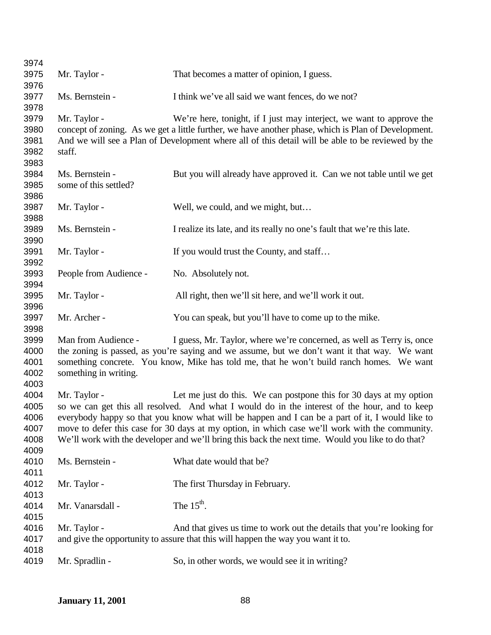| 3974                                         |                                                                                                                                                                                                                                                                                                                                                                                                                                                                                               |                                                                                                                                                                                                                                                                                  |
|----------------------------------------------|-----------------------------------------------------------------------------------------------------------------------------------------------------------------------------------------------------------------------------------------------------------------------------------------------------------------------------------------------------------------------------------------------------------------------------------------------------------------------------------------------|----------------------------------------------------------------------------------------------------------------------------------------------------------------------------------------------------------------------------------------------------------------------------------|
| 3975                                         | Mr. Taylor -                                                                                                                                                                                                                                                                                                                                                                                                                                                                                  | That becomes a matter of opinion, I guess.                                                                                                                                                                                                                                       |
| 3976                                         |                                                                                                                                                                                                                                                                                                                                                                                                                                                                                               |                                                                                                                                                                                                                                                                                  |
| 3977<br>3978                                 | Ms. Bernstein -                                                                                                                                                                                                                                                                                                                                                                                                                                                                               | I think we've all said we want fences, do we not?                                                                                                                                                                                                                                |
| 3979<br>3980<br>3981<br>3982<br>3983         | Mr. Taylor -<br>staff.                                                                                                                                                                                                                                                                                                                                                                                                                                                                        | We're here, tonight, if I just may interject, we want to approve the<br>concept of zoning. As we get a little further, we have another phase, which is Plan of Development.<br>And we will see a Plan of Development where all of this detail will be able to be reviewed by the |
| 3984<br>3985<br>3986                         | Ms. Bernstein -<br>some of this settled?                                                                                                                                                                                                                                                                                                                                                                                                                                                      | But you will already have approved it. Can we not table until we get                                                                                                                                                                                                             |
| 3987<br>3988                                 | Mr. Taylor -                                                                                                                                                                                                                                                                                                                                                                                                                                                                                  | Well, we could, and we might, but                                                                                                                                                                                                                                                |
| 3989<br>3990                                 | Ms. Bernstein -                                                                                                                                                                                                                                                                                                                                                                                                                                                                               | I realize its late, and its really no one's fault that we're this late.                                                                                                                                                                                                          |
| 3991<br>3992                                 | Mr. Taylor -                                                                                                                                                                                                                                                                                                                                                                                                                                                                                  | If you would trust the County, and staff                                                                                                                                                                                                                                         |
| 3993<br>3994                                 | People from Audience -                                                                                                                                                                                                                                                                                                                                                                                                                                                                        | No. Absolutely not.                                                                                                                                                                                                                                                              |
| 3995<br>3996                                 | Mr. Taylor -                                                                                                                                                                                                                                                                                                                                                                                                                                                                                  | All right, then we'll sit here, and we'll work it out.                                                                                                                                                                                                                           |
| 3997<br>3998                                 | Mr. Archer -                                                                                                                                                                                                                                                                                                                                                                                                                                                                                  | You can speak, but you'll have to come up to the mike.                                                                                                                                                                                                                           |
| 3999<br>4000<br>4001<br>4002<br>4003         | I guess, Mr. Taylor, where we're concerned, as well as Terry is, once<br>Man from Audience -<br>the zoning is passed, as you're saying and we assume, but we don't want it that way. We want<br>something concrete. You know, Mike has told me, that he won't build ranch homes. We want<br>something in writing.                                                                                                                                                                             |                                                                                                                                                                                                                                                                                  |
| 4004<br>4005<br>4006<br>4007<br>4008<br>4009 | Mr. Taylor -<br>Let me just do this. We can postpone this for 30 days at my option<br>so we can get this all resolved. And what I would do in the interest of the hour, and to keep<br>everybody happy so that you know what will be happen and I can be a part of it, I would like to<br>move to defer this case for 30 days at my option, in which case we'll work with the community.<br>We'll work with the developer and we'll bring this back the next time. Would you like to do that? |                                                                                                                                                                                                                                                                                  |
| 4010<br>4011                                 | Ms. Bernstein -                                                                                                                                                                                                                                                                                                                                                                                                                                                                               | What date would that be?                                                                                                                                                                                                                                                         |
| 4012<br>4013                                 | Mr. Taylor -                                                                                                                                                                                                                                                                                                                                                                                                                                                                                  | The first Thursday in February.                                                                                                                                                                                                                                                  |
| 4014<br>4015                                 | Mr. Vanarsdall -                                                                                                                                                                                                                                                                                                                                                                                                                                                                              | The $15^{\text{th}}$ .                                                                                                                                                                                                                                                           |
| 4016<br>4017<br>4018                         | Mr. Taylor -                                                                                                                                                                                                                                                                                                                                                                                                                                                                                  | And that gives us time to work out the details that you're looking for<br>and give the opportunity to assure that this will happen the way you want it to.                                                                                                                       |
| 4019                                         | Mr. Spradlin -                                                                                                                                                                                                                                                                                                                                                                                                                                                                                | So, in other words, we would see it in writing?                                                                                                                                                                                                                                  |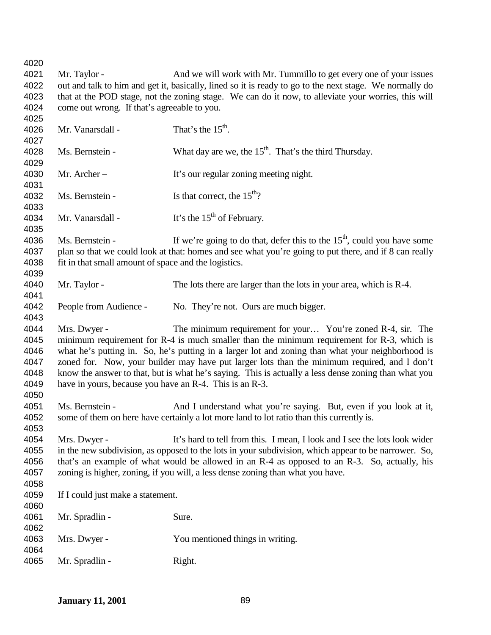4021 Mr. Taylor - And we will work with Mr. Tummillo to get every one of your issues out and talk to him and get it, basically, lined so it is ready to go to the next stage. We normally do that at the POD stage, not the zoning stage. We can do it now, to alleviate your worries, this will come out wrong. If that's agreeable to you. 4026 Mr. Vanarsdall - That's the  $15<sup>th</sup>$ . 4028 Ms. Bernstein - What day are we, the  $15<sup>th</sup>$ . That's the third Thursday. Mr. Archer – It's our regular zoning meeting night. 4032 Ms. Bernstein - Is that correct, the  $15<sup>th</sup>$ ? 4034 Mr. Vanarsdall - It's the  $15<sup>th</sup>$  of February. 4036 Ms. Bernstein - If we're going to do that, defer this to the  $15<sup>th</sup>$ , could you have some 4037 plan so that we could look at that: homes and see what you're going to put there, and if 8 can really fit in that small amount of space and the logistics. Mr. Taylor - The lots there are larger than the lots in your area, which is R-4. People from Audience - No. They're not. Ours are much bigger. Mrs. Dwyer - The minimum requirement for your… You're zoned R-4, sir. The minimum requirement for R-4 is much smaller than the minimum requirement for R-3, which is what he's putting in. So, he's putting in a larger lot and zoning than what your neighborhood is zoned for. Now, your builder may have put larger lots than the minimum required, and I don't know the answer to that, but is what he's saying. This is actually a less dense zoning than what you have in yours, because you have an R-4. This is an R-3. Ms. Bernstein - And I understand what you're saying. But, even if you look at it, some of them on here have certainly a lot more land to lot ratio than this currently is. Mrs. Dwyer - It's hard to tell from this. I mean, I look and I see the lots look wider in the new subdivision, as opposed to the lots in your subdivision, which appear to be narrower. So, that's an example of what would be allowed in an R-4 as opposed to an R-3. So, actually, his zoning is higher, zoning, if you will, a less dense zoning than what you have. If I could just make a statement. 4061 Mr. Spradlin - Sure. Mrs. Dwyer - You mentioned things in writing. Mr. Spradlin - Right.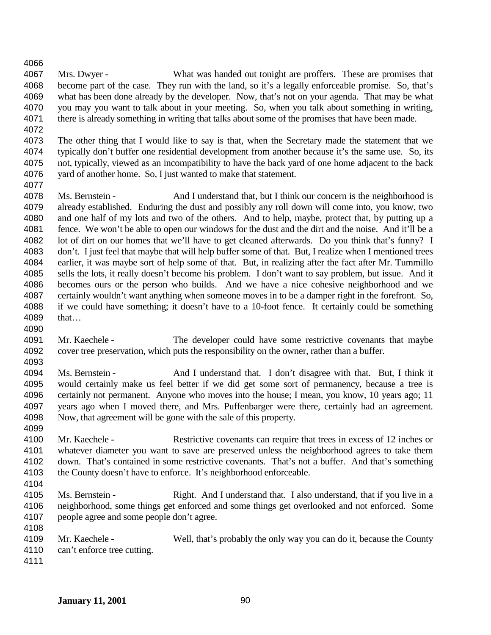Mrs. Dwyer - What was handed out tonight are proffers. These are promises that become part of the case. They run with the land, so it's a legally enforceable promise. So, that's what has been done already by the developer. Now, that's not on your agenda. That may be what you may you want to talk about in your meeting. So, when you talk about something in writing, there is already something in writing that talks about some of the promises that have been made.

 The other thing that I would like to say is that, when the Secretary made the statement that we typically don't buffer one residential development from another because it's the same use. So, its not, typically, viewed as an incompatibility to have the back yard of one home adjacent to the back yard of another home. So, I just wanted to make that statement.

 Ms. Bernstein - And I understand that, but I think our concern is the neighborhood is already established. Enduring the dust and possibly any roll down will come into, you know, two and one half of my lots and two of the others. And to help, maybe, protect that, by putting up a fence. We won't be able to open our windows for the dust and the dirt and the noise. And it'll be a 4082 lot of dirt on our homes that we'll have to get cleaned afterwards. Do you think that's funny? I don't. I just feel that maybe that will help buffer some of that. But, I realize when I mentioned trees earlier, it was maybe sort of help some of that. But, in realizing after the fact after Mr. Tummillo sells the lots, it really doesn't become his problem. I don't want to say problem, but issue. And it becomes ours or the person who builds. And we have a nice cohesive neighborhood and we certainly wouldn't want anything when someone moves in to be a damper right in the forefront. So, if we could have something; it doesn't have to a 10-foot fence. It certainly could be something that…

- Mr. Kaechele The developer could have some restrictive covenants that maybe cover tree preservation, which puts the responsibility on the owner, rather than a buffer.
- Ms. Bernstein And I understand that. I don't disagree with that. But, I think it would certainly make us feel better if we did get some sort of permanency, because a tree is certainly not permanent. Anyone who moves into the house; I mean, you know, 10 years ago; 11 4097 years ago when I moved there, and Mrs. Puffenbarger were there, certainly had an agreement.<br>4098 Now, that agreement will be gone with the sale of this property. Now, that agreement will be gone with the sale of this property.
- Mr. Kaechele Restrictive covenants can require that trees in excess of 12 inches or whatever diameter you want to save are preserved unless the neighborhood agrees to take them down. That's contained in some restrictive covenants. That's not a buffer. And that's something the County doesn't have to enforce. It's neighborhood enforceable.
- 

- 4105 Ms. Bernstein Right. And I understand that. I also understand, that if you live in a neighborhood, some things get enforced and some things get overlooked and not enforced. Some people agree and some people don't agree.
- Mr. Kaechele Well, that's probably the only way you can do it, because the County can't enforce tree cutting.
-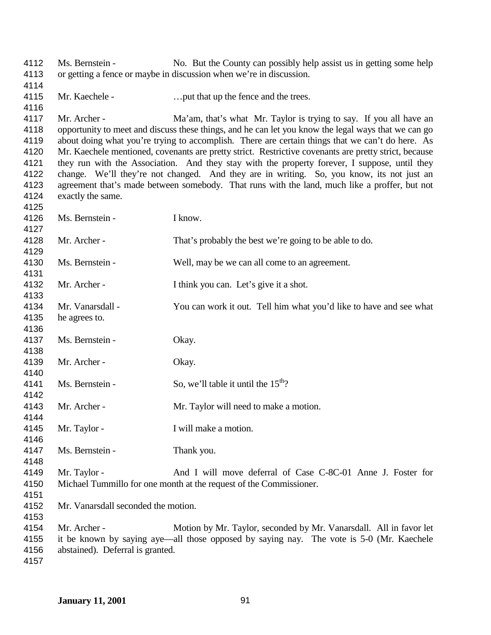Ms. Bernstein - No. But the County can possibly help assist us in getting some help or getting a fence or maybe in discussion when we're in discussion. Mr. Kaechele - …put that up the fence and the trees. 4117 Mr. Archer - Ma'am, that's what Mr. Taylor is trying to say. If you all have an 4118 opportunity to meet and discuss these things, and he can let you know the legal ways that we can go about doing what you're trying to accomplish. There are certain things that we can't do here. As about doing what you're trying to accomplish. There are certain things that we can't do here. As Mr. Kaechele mentioned, covenants are pretty strict. Restrictive covenants are pretty strict, because they run with the Association. And they stay with the property forever, I suppose, until they change. We'll they're not changed. And they are in writing. So, you know, its not just an agreement that's made between somebody. That runs with the land, much like a proffer, but not exactly the same. Ms. Bernstein - I know. Mr. Archer - That's probably the best we're going to be able to do. Ms. Bernstein - Well, may be we can all come to an agreement. Mr. Archer - I think you can. Let's give it a shot. Mr. Vanarsdall - You can work it out. Tell him what you'd like to have and see what he agrees to. 4137 Ms. Bernstein - Okay. Mr. Archer - Okay. 4141 Ms. Bernstein - So, we'll table it until the  $15<sup>th</sup>$ ? Mr. Archer - Mr. Taylor will need to make a motion. Mr. Taylor - I will make a motion. Ms. Bernstein - Thank you. Mr. Taylor - And I will move deferral of Case C-8C-01 Anne J. Foster for Michael Tummillo for one month at the request of the Commissioner. Mr. Vanarsdall seconded the motion. Mr. Archer - Motion by Mr. Taylor, seconded by Mr. Vanarsdall. All in favor let it be known by saying aye—all those opposed by saying nay. The vote is 5-0 (Mr. Kaechele abstained). Deferral is granted.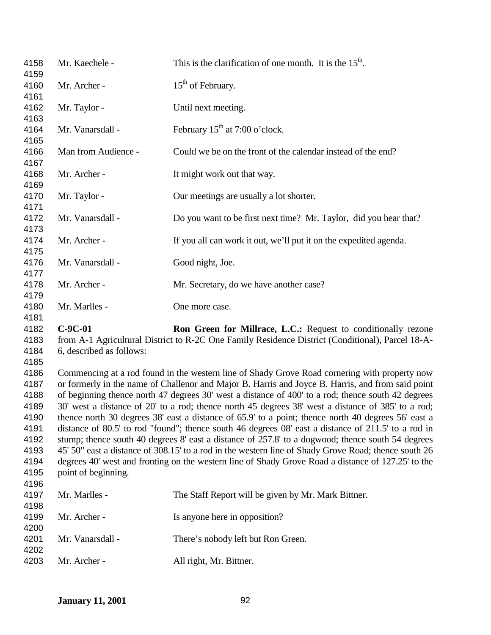| 4158<br>4159 | Mr. Kaechele -           | This is the clarification of one month. It is the $15th$ .                                                                                                                                                |
|--------------|--------------------------|-----------------------------------------------------------------------------------------------------------------------------------------------------------------------------------------------------------|
| 4160         | Mr. Archer -             | $15th$ of February.                                                                                                                                                                                       |
| 4161         |                          |                                                                                                                                                                                                           |
| 4162         | Mr. Taylor -             | Until next meeting.                                                                                                                                                                                       |
| 4163<br>4164 | Mr. Vanarsdall -         | February $15th$ at 7:00 o'clock.                                                                                                                                                                          |
| 4165<br>4166 | Man from Audience -      | Could we be on the front of the calendar instead of the end?                                                                                                                                              |
| 4167         |                          |                                                                                                                                                                                                           |
| 4168<br>4169 | Mr. Archer -             | It might work out that way.                                                                                                                                                                               |
| 4170<br>4171 | Mr. Taylor -             | Our meetings are usually a lot shorter.                                                                                                                                                                   |
| 4172         | Mr. Vanarsdall -         | Do you want to be first next time? Mr. Taylor, did you hear that?                                                                                                                                         |
| 4173<br>4174 | Mr. Archer -             | If you all can work it out, we'll put it on the expedited agenda.                                                                                                                                         |
| 4175<br>4176 | Mr. Vanarsdall -         | Good night, Joe.                                                                                                                                                                                          |
| 4177<br>4178 | Mr. Archer -             | Mr. Secretary, do we have another case?                                                                                                                                                                   |
| 4179         |                          |                                                                                                                                                                                                           |
| 4180         | Mr. Marlles -            | One more case.                                                                                                                                                                                            |
| 4181<br>4182 | $C-9C-01$                | Ron Green for Millrace, L.C.: Request to conditionally rezone                                                                                                                                             |
| 4183         |                          | from A-1 Agricultural District to R-2C One Family Residence District (Conditional), Parcel 18-A-                                                                                                          |
| 4184         | 6, described as follows: |                                                                                                                                                                                                           |
| 4185         |                          |                                                                                                                                                                                                           |
| 4186         |                          | Commencing at a rod found in the western line of Shady Grove Road cornering with property now                                                                                                             |
| 4187         |                          | or formerly in the name of Challenor and Major B. Harris and Joyce B. Harris, and from said point                                                                                                         |
| 4188         |                          | of beginning thence north 47 degrees 30' west a distance of 400' to a rod; thence south 42 degrees                                                                                                        |
| 4189<br>4190 |                          | 30' west a distance of 20' to a rod; thence north 45 degrees 38' west a distance of 385' to a rod;<br>thence north 30 degrees 38' east a distance of 65.9' to a point; thence north 40 degrees 56' east a |
| 4191         |                          | distance of 80.5' to rod "found"; thence south 46 degrees 08' east a distance of 211.5' to a rod in                                                                                                       |
| 4192         |                          | stump; thence south 40 degrees 8' east a distance of 257.8' to a dogwood; thence south 54 degrees                                                                                                         |
| 4193         |                          | 45' 50" east a distance of 308.15' to a rod in the western line of Shady Grove Road; thence south 26                                                                                                      |
| 4194         |                          | degrees 40' west and fronting on the western line of Shady Grove Road a distance of 127.25' to the                                                                                                        |
| 4195         | point of beginning.      |                                                                                                                                                                                                           |
| 4196         |                          |                                                                                                                                                                                                           |
| 4197         | Mr. Marlles -            | The Staff Report will be given by Mr. Mark Bittner.                                                                                                                                                       |
| 4198         |                          |                                                                                                                                                                                                           |
| 4199         | Mr. Archer -             | Is anyone here in opposition?                                                                                                                                                                             |
| 4200         |                          |                                                                                                                                                                                                           |
| 4201         | Mr. Vanarsdall -         | There's nobody left but Ron Green.                                                                                                                                                                        |
| 4202         |                          |                                                                                                                                                                                                           |
| 4203         | Mr. Archer -             | All right, Mr. Bittner.                                                                                                                                                                                   |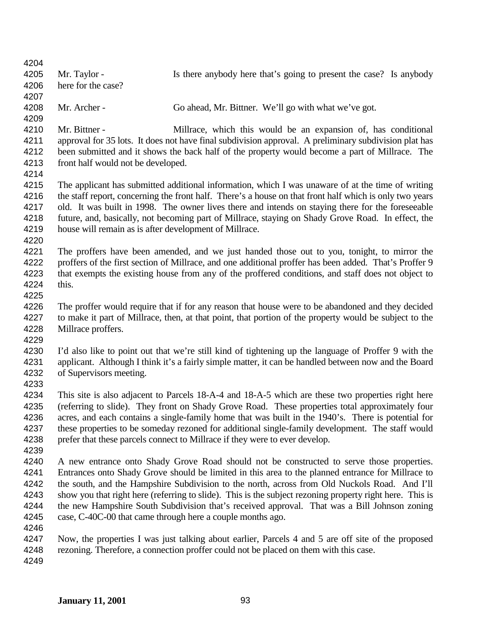| 4204<br>4205                                         | Mr. Taylor -                                           | Is there anybody here that's going to present the case? Is anybody                                                                                                                                                                                                                                                                                                                                                                                                                                                                                                        |
|------------------------------------------------------|--------------------------------------------------------|---------------------------------------------------------------------------------------------------------------------------------------------------------------------------------------------------------------------------------------------------------------------------------------------------------------------------------------------------------------------------------------------------------------------------------------------------------------------------------------------------------------------------------------------------------------------------|
| 4206<br>4207                                         | here for the case?                                     |                                                                                                                                                                                                                                                                                                                                                                                                                                                                                                                                                                           |
| 4208<br>4209                                         | Mr. Archer -                                           | Go ahead, Mr. Bittner. We'll go with what we've got.                                                                                                                                                                                                                                                                                                                                                                                                                                                                                                                      |
| 4210<br>4211<br>4212<br>4213<br>4214                 | Mr. Bittner -<br>front half would not be developed.    | Millrace, which this would be an expansion of, has conditional<br>approval for 35 lots. It does not have final subdivision approval. A preliminary subdivision plat has<br>been submitted and it shows the back half of the property would become a part of Millrace. The                                                                                                                                                                                                                                                                                                 |
| 4215<br>4216<br>4217<br>4218<br>4219<br>4220         | house will remain as is after development of Millrace. | The applicant has submitted additional information, which I was unaware of at the time of writing<br>the staff report, concerning the front half. There's a house on that front half which is only two years<br>old. It was built in 1998. The owner lives there and intends on staying there for the foreseeable<br>future, and, basically, not becoming part of Millrace, staying on Shady Grove Road. In effect, the                                                                                                                                                   |
| 4221<br>4222<br>4223<br>4224<br>4225                 | this.                                                  | The proffers have been amended, and we just handed those out to you, tonight, to mirror the<br>proffers of the first section of Millrace, and one additional proffer has been added. That's Proffer 9<br>that exempts the existing house from any of the proffered conditions, and staff does not object to                                                                                                                                                                                                                                                               |
| 4226<br>4227<br>4228<br>4229                         | Millrace proffers.                                     | The proffer would require that if for any reason that house were to be abandoned and they decided<br>to make it part of Millrace, then, at that point, that portion of the property would be subject to the                                                                                                                                                                                                                                                                                                                                                               |
| 4230<br>4231<br>4232<br>4233                         | of Supervisors meeting.                                | I'd also like to point out that we're still kind of tightening up the language of Proffer 9 with the<br>applicant. Although I think it's a fairly simple matter, it can be handled between now and the Board                                                                                                                                                                                                                                                                                                                                                              |
| 4234<br>4235<br>4236<br>4237<br>4238<br>4239         |                                                        | This site is also adjacent to Parcels 18-A-4 and 18-A-5 which are these two properties right here<br>(referring to slide). They front on Shady Grove Road. These properties total approximately four<br>acres, and each contains a single-family home that was built in the 1940's. There is potential for<br>these properties to be someday rezoned for additional single-family development. The staff would<br>prefer that these parcels connect to Millrace if they were to ever develop.                                                                             |
| 4240<br>4241<br>4242<br>4243<br>4244<br>4245<br>4246 |                                                        | A new entrance onto Shady Grove Road should not be constructed to serve those properties.<br>Entrances onto Shady Grove should be limited in this area to the planned entrance for Millrace to<br>the south, and the Hampshire Subdivision to the north, across from Old Nuckols Road. And I'll<br>show you that right here (referring to slide). This is the subject rezoning property right here. This is<br>the new Hampshire South Subdivision that's received approval. That was a Bill Johnson zoning<br>case, C-40C-00 that came through here a couple months ago. |
| 4247<br>4248<br>4249                                 |                                                        | Now, the properties I was just talking about earlier, Parcels 4 and 5 are off site of the proposed<br>rezoning. Therefore, a connection proffer could not be placed on them with this case.                                                                                                                                                                                                                                                                                                                                                                               |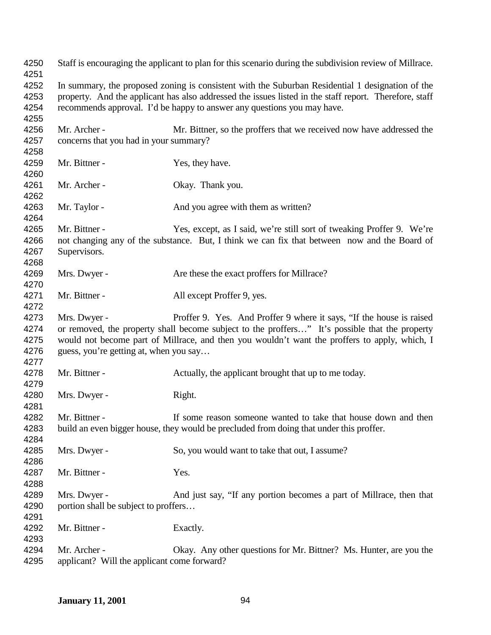| 4250<br>4251                         |                                                                                                                                                                                                                                                                                                                                   | Staff is encouraging the applicant to plan for this scenario during the subdivision review of Millrace.                                                               |
|--------------------------------------|-----------------------------------------------------------------------------------------------------------------------------------------------------------------------------------------------------------------------------------------------------------------------------------------------------------------------------------|-----------------------------------------------------------------------------------------------------------------------------------------------------------------------|
| 4252<br>4253<br>4254                 | In summary, the proposed zoning is consistent with the Suburban Residential 1 designation of the<br>property. And the applicant has also addressed the issues listed in the staff report. Therefore, staff<br>recommends approval. I'd be happy to answer any questions you may have.                                             |                                                                                                                                                                       |
| 4255<br>4256<br>4257<br>4258         | Mr. Archer -<br>concerns that you had in your summary?                                                                                                                                                                                                                                                                            | Mr. Bittner, so the proffers that we received now have addressed the                                                                                                  |
| 4259<br>4260                         | Mr. Bittner -                                                                                                                                                                                                                                                                                                                     | Yes, they have.                                                                                                                                                       |
| 4261<br>4262                         | Mr. Archer -                                                                                                                                                                                                                                                                                                                      | Okay. Thank you.                                                                                                                                                      |
| 4263<br>4264                         | Mr. Taylor -                                                                                                                                                                                                                                                                                                                      | And you agree with them as written?                                                                                                                                   |
| 4265<br>4266<br>4267<br>4268         | Mr. Bittner -<br>Supervisors.                                                                                                                                                                                                                                                                                                     | Yes, except, as I said, we're still sort of tweaking Proffer 9. We're<br>not changing any of the substance. But, I think we can fix that between now and the Board of |
| 4269<br>4270                         | Mrs. Dwyer -                                                                                                                                                                                                                                                                                                                      | Are these the exact proffers for Millrace?                                                                                                                            |
| 4271<br>4272                         | Mr. Bittner -                                                                                                                                                                                                                                                                                                                     | All except Proffer 9, yes.                                                                                                                                            |
| 4273<br>4274<br>4275<br>4276<br>4277 | Mrs. Dwyer -<br>Proffer 9. Yes. And Proffer 9 where it says, "If the house is raised<br>or removed, the property shall become subject to the proffers" It's possible that the property<br>would not become part of Millrace, and then you wouldn't want the proffers to apply, which, I<br>guess, you're getting at, when you say |                                                                                                                                                                       |
| 4278<br>4279                         | Mr. Bittner -                                                                                                                                                                                                                                                                                                                     | Actually, the applicant brought that up to me today.                                                                                                                  |
| 4280<br>4281                         | Mrs. Dwyer -                                                                                                                                                                                                                                                                                                                      | Right.                                                                                                                                                                |
| 4282<br>4283<br>4284                 | Mr. Bittner -                                                                                                                                                                                                                                                                                                                     | If some reason someone wanted to take that house down and then<br>build an even bigger house, they would be precluded from doing that under this proffer.             |
| 4285<br>4286                         | Mrs. Dwyer -                                                                                                                                                                                                                                                                                                                      | So, you would want to take that out, I assume?                                                                                                                        |
| 4287<br>4288                         | Mr. Bittner -                                                                                                                                                                                                                                                                                                                     | Yes.                                                                                                                                                                  |
| 4289<br>4290<br>4291                 | Mrs. Dwyer -<br>portion shall be subject to proffers                                                                                                                                                                                                                                                                              | And just say, "If any portion becomes a part of Millrace, then that                                                                                                   |
| 4292<br>4293                         | Mr. Bittner -                                                                                                                                                                                                                                                                                                                     | Exactly.                                                                                                                                                              |
| 4294<br>4295                         | Mr. Archer -<br>applicant? Will the applicant come forward?                                                                                                                                                                                                                                                                       | Okay. Any other questions for Mr. Bittner? Ms. Hunter, are you the                                                                                                    |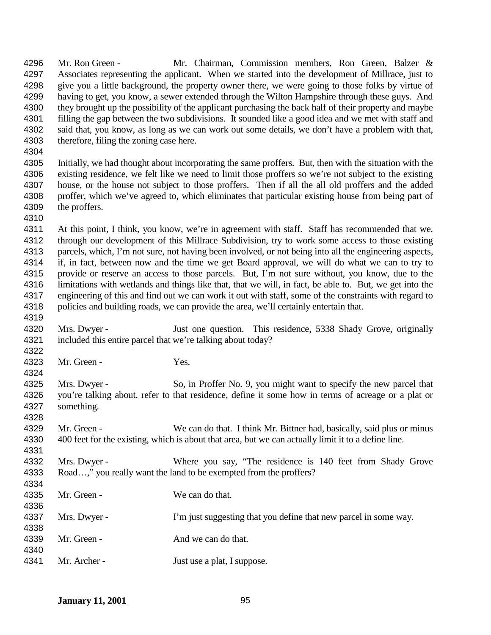Associates representing the applicant. When we started into the development of Millrace, just to 4298 give you a little background, the property owner there, we were going to those folks by virtue of having to get, you know, a sewer extended through the Wilton Hampshire through these guys. And they brought up the possibility of the applicant purchasing the back half of their property and maybe filling the gap between the two subdivisions. It sounded like a good idea and we met with staff and said that, you know, as long as we can work out some details, we don't have a problem with that, therefore, filing the zoning case here. Initially, we had thought about incorporating the same proffers. But, then with the situation with the existing residence, we felt like we need to limit those proffers so we're not subject to the existing house, or the house not subject to those proffers. Then if all the all old proffers and the added proffer, which we've agreed to, which eliminates that particular existing house from being part of the proffers. At this point, I think, you know, we're in agreement with staff. Staff has recommended that we, through our development of this Millrace Subdivision, try to work some access to those existing parcels, which, I'm not sure, not having been involved, or not being into all the engineering aspects, if, in fact, between now and the time we get Board approval, we will do what we can to try to provide or reserve an access to those parcels. But, I'm not sure without, you know, due to the 4316 limitations with wetlands and things like that, that we will, in fact, be able to. But, we get into the engineering of this and find out we can work it out with staff, some of the constraints with regard to policies and building roads, we can provide the area, we'll certainly entertain that. Mrs. Dwyer - Just one question. This residence, 5338 Shady Grove, originally included this entire parcel that we're talking about today? Mr. Green - Yes. 4325 Mrs. Dwyer - So, in Proffer No. 9, you might want to specify the new parcel that you're talking about, refer to that residence, define it some how in terms of acreage or a plat or something. 4329 Mr. Green - We can do that. I think Mr. Bittner had, basically, said plus or minus 400 feet for the existing, which is about that area, but we can actually limit it to a define line. Mrs. Dwyer - Where you say, "The residence is 140 feet from Shady Grove Road…," you really want the land to be exempted from the proffers? Mr. Green - We can do that. 4337 Mrs. Dwyer - I'm just suggesting that you define that new parcel in some way. 4339 Mr. Green - And we can do that. 4341 Mr. Archer - Just use a plat, I suppose.

4296 Mr. Ron Green - Mr. Chairman, Commission members, Ron Green, Balzer &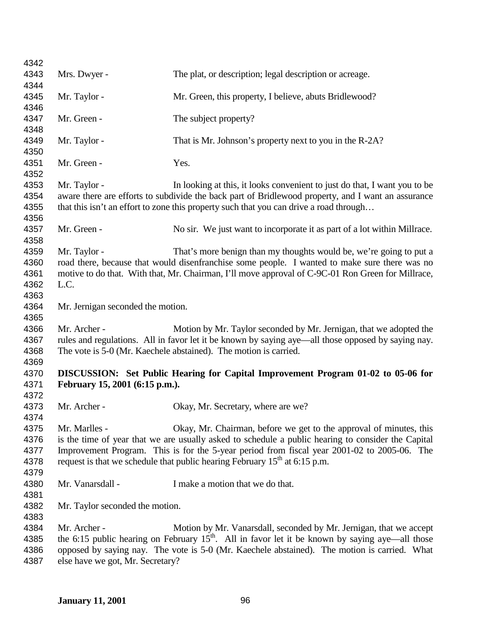| 4342         |                                                                                                                                                                                                    |                                                                                        |  |
|--------------|----------------------------------------------------------------------------------------------------------------------------------------------------------------------------------------------------|----------------------------------------------------------------------------------------|--|
| 4343         | Mrs. Dwyer -                                                                                                                                                                                       | The plat, or description; legal description or acreage.                                |  |
| 4344         |                                                                                                                                                                                                    |                                                                                        |  |
| 4345         | Mr. Taylor -                                                                                                                                                                                       | Mr. Green, this property, I believe, abuts Bridlewood?                                 |  |
| 4346         |                                                                                                                                                                                                    |                                                                                        |  |
| 4347         | Mr. Green -                                                                                                                                                                                        | The subject property?                                                                  |  |
| 4348         |                                                                                                                                                                                                    |                                                                                        |  |
| 4349         | Mr. Taylor -                                                                                                                                                                                       | That is Mr. Johnson's property next to you in the R-2A?                                |  |
| 4350         |                                                                                                                                                                                                    |                                                                                        |  |
| 4351         | Mr. Green -                                                                                                                                                                                        | Yes.                                                                                   |  |
| 4352         |                                                                                                                                                                                                    |                                                                                        |  |
| 4353         | Mr. Taylor -                                                                                                                                                                                       | In looking at this, it looks convenient to just do that, I want you to be              |  |
| 4354         | aware there are efforts to subdivide the back part of Bridlewood property, and I want an assurance                                                                                                 |                                                                                        |  |
| 4355         |                                                                                                                                                                                                    | that this isn't an effort to zone this property such that you can drive a road through |  |
| 4356         |                                                                                                                                                                                                    |                                                                                        |  |
| 4357         | Mr. Green -                                                                                                                                                                                        | No sir. We just want to incorporate it as part of a lot within Millrace.               |  |
| 4358<br>4359 | Mr. Taylor -                                                                                                                                                                                       | That's more benign than my thoughts would be, we're going to put a                     |  |
| 4360         |                                                                                                                                                                                                    |                                                                                        |  |
| 4361         | road there, because that would disenfranchise some people. I wanted to make sure there was no<br>motive to do that. With that, Mr. Chairman, I'll move approval of C-9C-01 Ron Green for Millrace, |                                                                                        |  |
| 4362         | L.C.                                                                                                                                                                                               |                                                                                        |  |
| 4363         |                                                                                                                                                                                                    |                                                                                        |  |
| 4364         | Mr. Jernigan seconded the motion.                                                                                                                                                                  |                                                                                        |  |
| 4365         |                                                                                                                                                                                                    |                                                                                        |  |
| 4366         | Mr. Archer -                                                                                                                                                                                       | Motion by Mr. Taylor seconded by Mr. Jernigan, that we adopted the                     |  |
| 4367         | rules and regulations. All in favor let it be known by saying aye—all those opposed by saying nay.                                                                                                 |                                                                                        |  |
| 4368         |                                                                                                                                                                                                    | The vote is 5-0 (Mr. Kaechele abstained). The motion is carried.                       |  |
| 4369         |                                                                                                                                                                                                    |                                                                                        |  |
| 4370         |                                                                                                                                                                                                    | DISCUSSION: Set Public Hearing for Capital Improvement Program 01-02 to 05-06 for      |  |
| 4371         | February 15, 2001 (6:15 p.m.).                                                                                                                                                                     |                                                                                        |  |
| 4372         |                                                                                                                                                                                                    |                                                                                        |  |
| 4373         | Mr. Archer -                                                                                                                                                                                       | Okay, Mr. Secretary, where are we?                                                     |  |
| 4374         |                                                                                                                                                                                                    |                                                                                        |  |
| 4375         | Mr. Marlles -                                                                                                                                                                                      | Okay, Mr. Chairman, before we get to the approval of minutes, this                     |  |
| 4376         | is the time of year that we are usually asked to schedule a public hearing to consider the Capital                                                                                                 |                                                                                        |  |
| 4377         | Improvement Program. This is for the 5-year period from fiscal year 2001-02 to 2005-06. The                                                                                                        |                                                                                        |  |
| 4378         |                                                                                                                                                                                                    | request is that we schedule that public hearing February $15th$ at 6:15 p.m.           |  |
| 4379         |                                                                                                                                                                                                    |                                                                                        |  |
| 4380         | Mr. Vanarsdall -                                                                                                                                                                                   | I make a motion that we do that.                                                       |  |
| 4381         |                                                                                                                                                                                                    |                                                                                        |  |
| 4382         | Mr. Taylor seconded the motion.                                                                                                                                                                    |                                                                                        |  |
| 4383         |                                                                                                                                                                                                    |                                                                                        |  |
| 4384         | Mr. Archer -                                                                                                                                                                                       | Motion by Mr. Vanarsdall, seconded by Mr. Jernigan, that we accept                     |  |
| 4385         | the 6:15 public hearing on February $15th$ . All in favor let it be known by saying aye—all those                                                                                                  |                                                                                        |  |
| 4386         | opposed by saying nay. The vote is 5-0 (Mr. Kaechele abstained). The motion is carried. What                                                                                                       |                                                                                        |  |
| 4387         | else have we got, Mr. Secretary?                                                                                                                                                                   |                                                                                        |  |